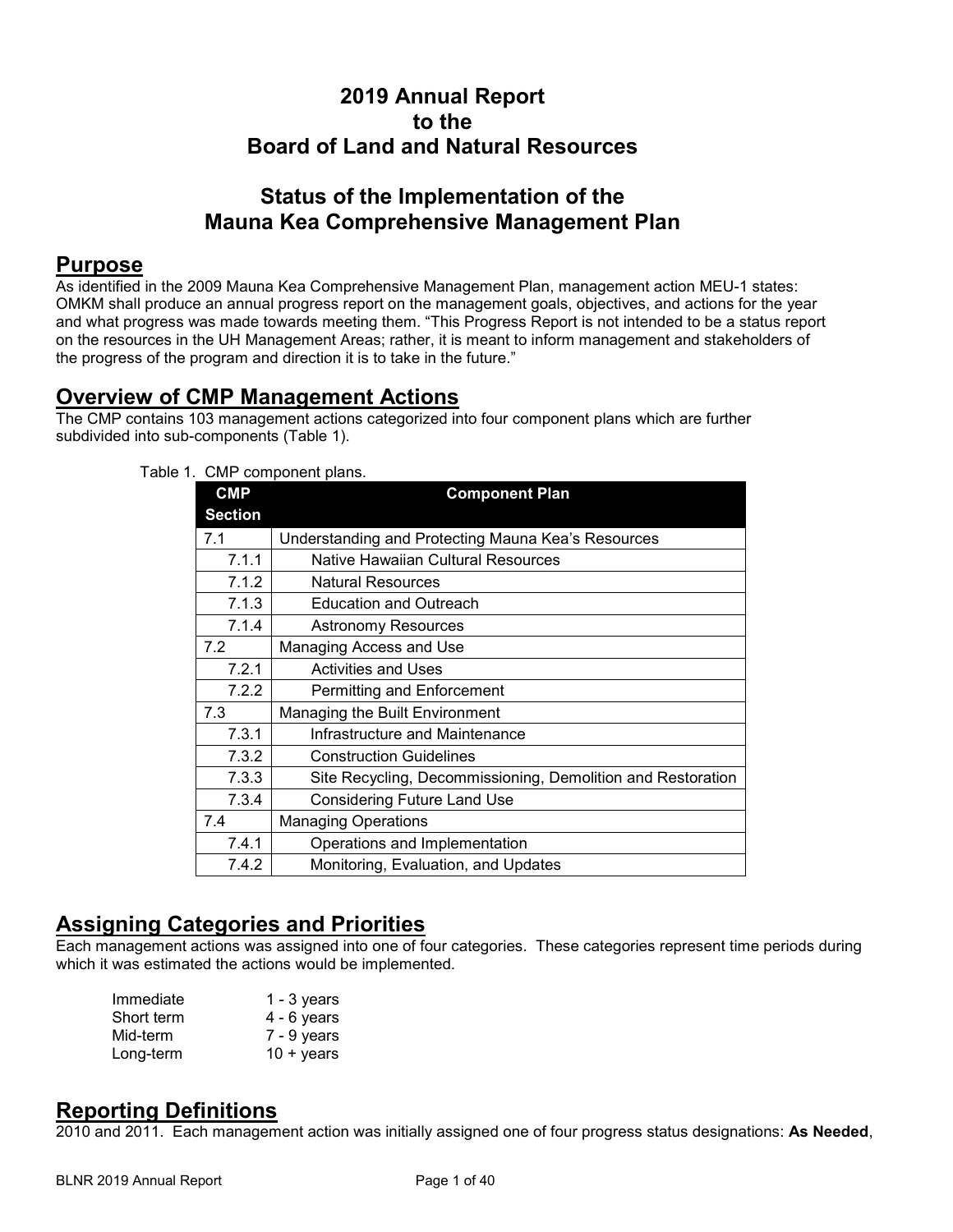# **2019 Annual Report to the Board of Land and Natural Resources**

# **Status of the Implementation of the Mauna Kea Comprehensive Management Plan**

# **Purpose**

As identified in the 2009 Mauna Kea Comprehensive Management Plan, management action MEU-1 states: OMKM shall produce an annual progress report on the management goals, objectives, and actions for the year and what progress was made towards meeting them. "This Progress Report is not intended to be a status report on the resources in the UH Management Areas; rather, it is meant to inform management and stakeholders of the progress of the program and direction it is to take in the future."

# **Overview of CMP Management Actions**

The CMP contains 103 management actions categorized into four component plans which are further subdivided into sub-components (Table 1).

| <b>CMP</b>     | <b>SIVII</b> CONTROLLER PIGHOL<br><b>Component Plan</b>     |
|----------------|-------------------------------------------------------------|
| <b>Section</b> |                                                             |
| 7.1            | Understanding and Protecting Mauna Kea's Resources          |
| 7.1.1          | Native Hawaiian Cultural Resources                          |
| 7.1.2          | <b>Natural Resources</b>                                    |
| 7.1.3          | <b>Education and Outreach</b>                               |
| 7.1.4          | <b>Astronomy Resources</b>                                  |
| 7.2            | Managing Access and Use                                     |
| 7.2.1          | <b>Activities and Uses</b>                                  |
| 7.2.2          | Permitting and Enforcement                                  |
| 7.3            | Managing the Built Environment                              |
| 7.3.1          | Infrastructure and Maintenance                              |
| 7.3.2          | <b>Construction Guidelines</b>                              |
| 7.3.3          | Site Recycling, Decommissioning, Demolition and Restoration |
| 7.3.4          | <b>Considering Future Land Use</b>                          |
| 7.4            | <b>Managing Operations</b>                                  |
| 7.4.1          | Operations and Implementation                               |
| 7.4.2          | Monitoring, Evaluation, and Updates                         |

Table 1. CMP component plans.

# **Assigning Categories and Priorities**

Each management actions was assigned into one of four categories. These categories represent time periods during which it was estimated the actions would be implemented.

| Immediate  | $1 - 3$ years       |
|------------|---------------------|
| Short term | 4 - 6 years         |
| Mid-term   | $7 - 9$ years       |
| Long-term  | $10 + \text{years}$ |

# **Reporting Definitions**

2010 and 2011. Each management action was initially assigned one of four progress status designations: **As Needed**,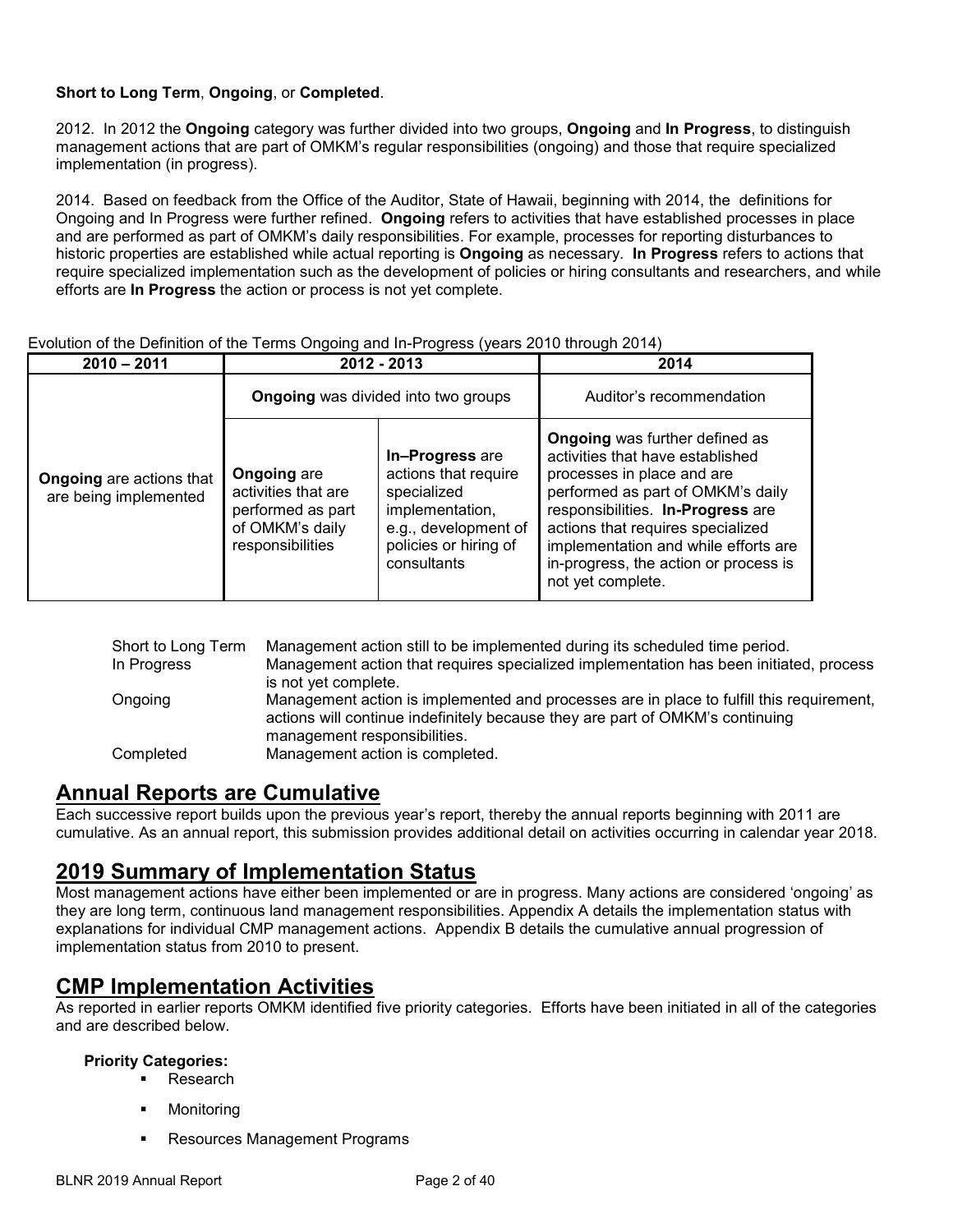### **Short to Long Term**, **Ongoing**, or **Completed**.

2012. In 2012 the **Ongoing** category was further divided into two groups, **Ongoing** and **In Progress**, to distinguish management actions that are part of OMKM's regular responsibilities (ongoing) and those that require specialized implementation (in progress).

2014. Based on feedback from the Office of the Auditor, State of Hawaii, beginning with 2014, the definitions for Ongoing and In Progress were further refined. **Ongoing** refers to activities that have established processes in place and are performed as part of OMKM's daily responsibilities. For example, processes for reporting disturbances to historic properties are established while actual reporting is **Ongoing** as necessary. **In Progress** refers to actions that require specialized implementation such as the development of policies or hiring consultants and researchers, and while efforts are **In Progress** the action or process is not yet complete.

| $2010 - 2011$                                            | 2012 - 2013                                                                                           |                                                                                                                                           | 2014                                                                                                                                                                                                                                                                                                                         |
|----------------------------------------------------------|-------------------------------------------------------------------------------------------------------|-------------------------------------------------------------------------------------------------------------------------------------------|------------------------------------------------------------------------------------------------------------------------------------------------------------------------------------------------------------------------------------------------------------------------------------------------------------------------------|
|                                                          | <b>Ongoing</b> was divided into two groups                                                            |                                                                                                                                           | Auditor's recommendation                                                                                                                                                                                                                                                                                                     |
| <b>Ongoing</b> are actions that<br>are being implemented | <b>Ongoing are</b><br>activities that are<br>performed as part<br>of OMKM's daily<br>responsibilities | In-Progress are<br>actions that require<br>specialized<br>implementation,<br>e.g., development of<br>policies or hiring of<br>consultants | <b>Ongoing</b> was further defined as<br>activities that have established<br>processes in place and are<br>performed as part of OMKM's daily<br>responsibilities. In-Progress are<br>actions that requires specialized<br>implementation and while efforts are<br>in-progress, the action or process is<br>not yet complete. |

### Evolution of the Definition of the Terms Ongoing and In-Progress (years 2010 through 2014)

| Short to Long Term<br>In Progress | Management action still to be implemented during its scheduled time period.<br>Management action that requires specialized implementation has been initiated, process                                     |
|-----------------------------------|-----------------------------------------------------------------------------------------------------------------------------------------------------------------------------------------------------------|
|                                   | is not yet complete.                                                                                                                                                                                      |
| Ongoing                           | Management action is implemented and processes are in place to fulfill this requirement,<br>actions will continue indefinitely because they are part of OMKM's continuing<br>management responsibilities. |
| Completed                         | Management action is completed.                                                                                                                                                                           |

# **Annual Reports are Cumulative**

Each successive report builds upon the previous year's report, thereby the annual reports beginning with 2011 are cumulative. As an annual report, this submission provides additional detail on activities occurring in calendar year 2018.

# **2019 Summary of Implementation Status**

Most management actions have either been implemented or are in progress. Many actions are considered 'ongoing' as they are long term, continuous land management responsibilities. Appendix A details the implementation status with explanations for individual CMP management actions. Appendix B details the cumulative annual progression of implementation status from 2010 to present.

# **CMP Implementation Activities**

As reported in earlier reports OMKM identified five priority categories. Efforts have been initiated in all of the categories and are described below.

### **Priority Categories:**

- **Research**
- **•** Monitoring
- Resources Management Programs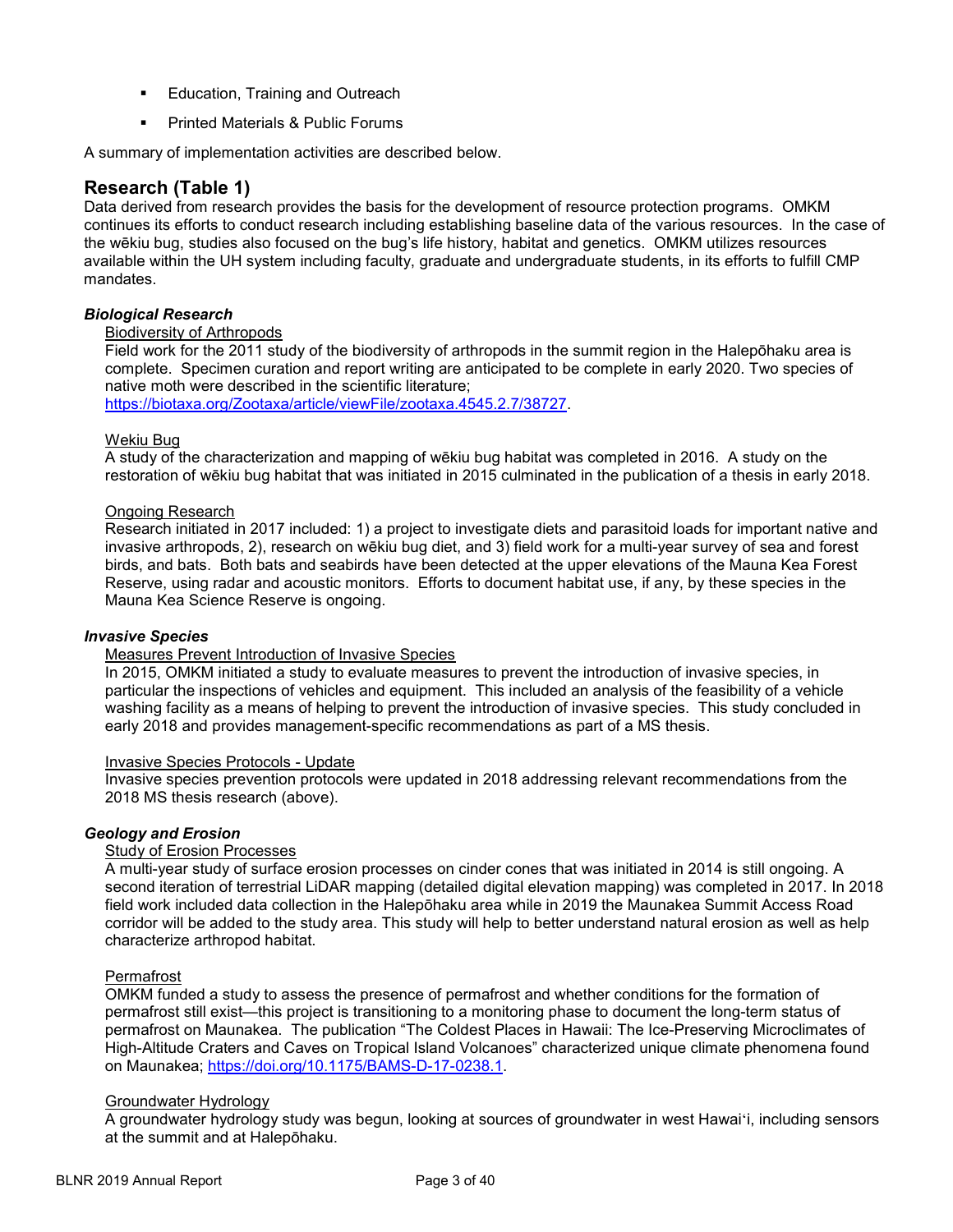- **Education, Training and Outreach**
- **•** Printed Materials & Public Forums

A summary of implementation activities are described below.

## **Research (Table 1)**

Data derived from research provides the basis for the development of resource protection programs. OMKM continues its efforts to conduct research including establishing baseline data of the various resources. In the case of the wēkiu bug, studies also focused on the bug's life history, habitat and genetics. OMKM utilizes resources available within the UH system including faculty, graduate and undergraduate students, in its efforts to fulfill CMP mandates.

#### *Biological Research*

#### Biodiversity of Arthropods

Field work for the 2011 study of the biodiversity of arthropods in the summit region in the Halepōhaku area is complete. Specimen curation and report writing are anticipated to be complete in early 2020. Two species of native moth were described in the scientific literature;

[https://biotaxa.org/Zootaxa/article/viewFile/zootaxa.4545.2.7/38727.](https://biotaxa.org/Zootaxa/article/viewFile/zootaxa.4545.2.7/38727)

### Wekiu Bug

A study of the characterization and mapping of wēkiu bug habitat was completed in 2016. A study on the restoration of wēkiu bug habitat that was initiated in 2015 culminated in the publication of a thesis in early 2018.

#### Ongoing Research

Research initiated in 2017 included: 1) a project to investigate diets and parasitoid loads for important native and invasive arthropods, 2), research on wēkiu bug diet, and 3) field work for a multi-year survey of sea and forest birds, and bats. Both bats and seabirds have been detected at the upper elevations of the Mauna Kea Forest Reserve, using radar and acoustic monitors. Efforts to document habitat use, if any, by these species in the Mauna Kea Science Reserve is ongoing.

#### *Invasive Species*

#### Measures Prevent Introduction of Invasive Species

In 2015, OMKM initiated a study to evaluate measures to prevent the introduction of invasive species, in particular the inspections of vehicles and equipment. This included an analysis of the feasibility of a vehicle washing facility as a means of helping to prevent the introduction of invasive species. This study concluded in early 2018 and provides management-specific recommendations as part of a MS thesis.

#### Invasive Species Protocols - Update

Invasive species prevention protocols were updated in 2018 addressing relevant recommendations from the 2018 MS thesis research (above).

#### *Geology and Erosion*

#### Study of Erosion Processes

A multi-year study of surface erosion processes on cinder cones that was initiated in 2014 is still ongoing. A second iteration of terrestrial LiDAR mapping (detailed digital elevation mapping) was completed in 2017. In 2018 field work included data collection in the Halepōhaku area while in 2019 the Maunakea Summit Access Road corridor will be added to the study area. This study will help to better understand natural erosion as well as help characterize arthropod habitat.

#### Permafrost

OMKM funded a study to assess the presence of permafrost and whether conditions for the formation of permafrost still exist—this project is transitioning to a monitoring phase to document the long-term status of permafrost on Maunakea. The publication "The Coldest Places in Hawaii: The Ice-Preserving Microclimates of High-Altitude Craters and Caves on Tropical Island Volcanoes" characterized unique climate phenomena found on Maunakea; [https://doi.org/10.1175/BAMS-D-17-0238.1.](https://doi.org/10.1175/BAMS-D-17-0238.1)

#### Groundwater Hydrology

A groundwater hydrology study was begun, looking at sources of groundwater in west Hawai'i, including sensors at the summit and at Halepōhaku.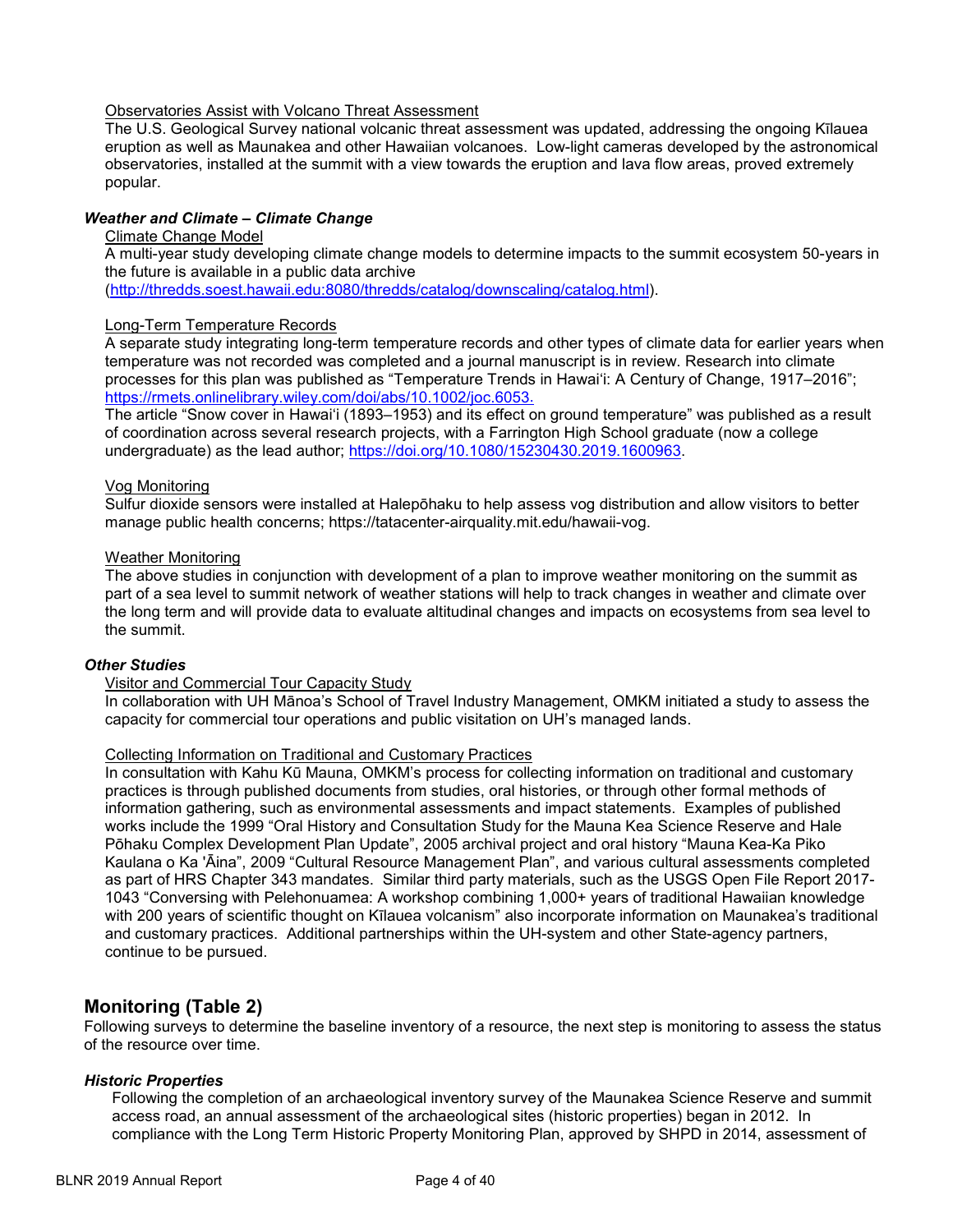#### Observatories Assist with Volcano Threat Assessment

The U.S. Geological Survey national volcanic threat assessment was updated, addressing the ongoing Kīlauea eruption as well as Maunakea and other Hawaiian volcanoes. Low-light cameras developed by the astronomical observatories, installed at the summit with a view towards the eruption and lava flow areas, proved extremely popular.

### *Weather and Climate – Climate Change*

#### Climate Change Model

A multi-year study developing climate change models to determine impacts to the summit ecosystem 50-years in the future is available in a public data archive

[\(http://thredds.soest.hawaii.edu:8080/thredds/catalog/downscaling/catalog.html\)](http://thredds.soest.hawaii.edu:8080/thredds/catalog/downscaling/catalog.html).

#### Long-Term Temperature Records

A separate study integrating long-term temperature records and other types of climate data for earlier years when temperature was not recorded was completed and a journal manuscript is in review. Research into climate processes for this plan was published as "Temperature Trends in Hawai'i: A Century of Change, 1917–2016"; [https://rmets.onlinelibrary.wiley.com/doi/abs/10.1002/joc.6053.](https://rmets.onlinelibrary.wiley.com/doi/abs/10.1002/joc.6053)

The article "Snow cover in Hawai'i (1893–1953) and its effect on ground temperature" was published as a result of coordination across several research projects, with a Farrington High School graduate (now a college undergraduate) as the lead author; [https://doi.org/10.1080/15230430.2019.1600963.](https://doi.org/10.1080/15230430.2019.1600963)

#### Vog Monitoring

Sulfur dioxide sensors were installed at Halepōhaku to help assess vog distribution and allow visitors to better manage public health concerns; https://tatacenter-airquality.mit.edu/hawaii-vog.

#### Weather Monitoring

The above studies in conjunction with development of a plan to improve weather monitoring on the summit as part of a sea level to summit network of weather stations will help to track changes in weather and climate over the long term and will provide data to evaluate altitudinal changes and impacts on ecosystems from sea level to the summit.

#### *Other Studies*

#### Visitor and Commercial Tour Capacity Study

In collaboration with UH Mānoa's School of Travel Industry Management, OMKM initiated a study to assess the capacity for commercial tour operations and public visitation on UH's managed lands.

#### Collecting Information on Traditional and Customary Practices

In consultation with Kahu Kū Mauna, OMKM's process for collecting information on traditional and customary practices is through published documents from studies, oral histories, or through other formal methods of information gathering, such as environmental assessments and impact statements. Examples of published works include the 1999 "Oral History and Consultation Study for the Mauna Kea Science Reserve and Hale Pōhaku Complex Development Plan Update", 2005 archival project and oral history "Mauna Kea-Ka Piko Kaulana o Ka 'Āina", 2009 "Cultural Resource Management Plan", and various cultural assessments completed as part of HRS Chapter 343 mandates. Similar third party materials, such as the USGS Open File Report 2017- 1043 "Conversing with Pelehonuamea: A workshop combining 1,000+ years of traditional Hawaiian knowledge with 200 years of scientific thought on Kīlauea volcanism" also incorporate information on Maunakea's traditional and customary practices. Additional partnerships within the UH-system and other State-agency partners, continue to be pursued.

### **Monitoring (Table 2)**

Following surveys to determine the baseline inventory of a resource, the next step is monitoring to assess the status of the resource over time.

#### *Historic Properties*

Following the completion of an archaeological inventory survey of the Maunakea Science Reserve and summit access road, an annual assessment of the archaeological sites (historic properties) began in 2012. In compliance with the Long Term Historic Property Monitoring Plan, approved by SHPD in 2014, assessment of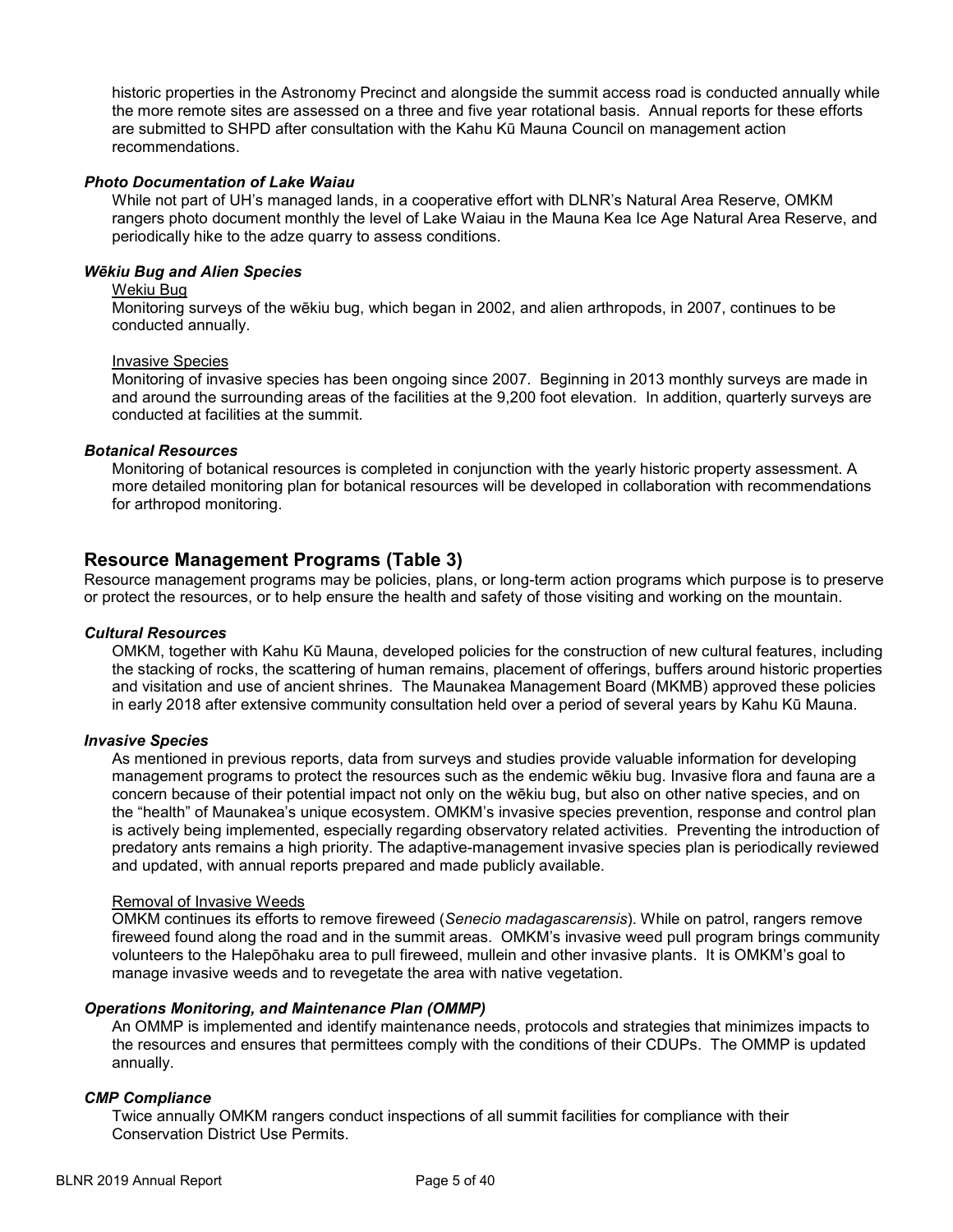historic properties in the Astronomy Precinct and alongside the summit access road is conducted annually while the more remote sites are assessed on a three and five year rotational basis. Annual reports for these efforts are submitted to SHPD after consultation with the Kahu Kū Mauna Council on management action recommendations.

#### *Photo Documentation of Lake Waiau*

While not part of UH's managed lands, in a cooperative effort with DLNR's Natural Area Reserve, OMKM rangers photo document monthly the level of Lake Waiau in the Mauna Kea Ice Age Natural Area Reserve, and periodically hike to the adze quarry to assess conditions.

### *Wēkiu Bug and Alien Species*

#### Wekiu Bug

Monitoring surveys of the wēkiu bug, which began in 2002, and alien arthropods, in 2007, continues to be conducted annually.

#### Invasive Species

Monitoring of invasive species has been ongoing since 2007. Beginning in 2013 monthly surveys are made in and around the surrounding areas of the facilities at the 9,200 foot elevation. In addition, quarterly surveys are conducted at facilities at the summit.

#### *Botanical Resources*

Monitoring of botanical resources is completed in conjunction with the yearly historic property assessment. A more detailed monitoring plan for botanical resources will be developed in collaboration with recommendations for arthropod monitoring.

### **Resource Management Programs (Table 3)**

Resource management programs may be policies, plans, or long-term action programs which purpose is to preserve or protect the resources, or to help ensure the health and safety of those visiting and working on the mountain.

#### *Cultural Resources*

OMKM, together with Kahu Kū Mauna, developed policies for the construction of new cultural features, including the stacking of rocks, the scattering of human remains, placement of offerings, buffers around historic properties and visitation and use of ancient shrines. The Maunakea Management Board (MKMB) approved these policies in early 2018 after extensive community consultation held over a period of several years by Kahu Kū Mauna.

#### *Invasive Species*

As mentioned in previous reports, data from surveys and studies provide valuable information for developing management programs to protect the resources such as the endemic wēkiu bug. Invasive flora and fauna are a concern because of their potential impact not only on the wēkiu bug, but also on other native species, and on the "health" of Maunakea's unique ecosystem. OMKM's invasive species prevention, response and control plan is actively being implemented, especially regarding observatory related activities. Preventing the introduction of predatory ants remains a high priority. The adaptive-management invasive species plan is periodically reviewed and updated, with annual reports prepared and made publicly available.

#### Removal of Invasive Weeds

OMKM continues its efforts to remove fireweed (*Senecio madagascarensis*). While on patrol, rangers remove fireweed found along the road and in the summit areas. OMKM's invasive weed pull program brings community volunteers to the Halepōhaku area to pull fireweed, mullein and other invasive plants. It is OMKM's goal to manage invasive weeds and to revegetate the area with native vegetation.

#### *Operations Monitoring, and Maintenance Plan (OMMP)*

An OMMP is implemented and identify maintenance needs, protocols and strategies that minimizes impacts to the resources and ensures that permittees comply with the conditions of their CDUPs. The OMMP is updated annually.

#### *CMP Compliance*

Twice annually OMKM rangers conduct inspections of all summit facilities for compliance with their Conservation District Use Permits.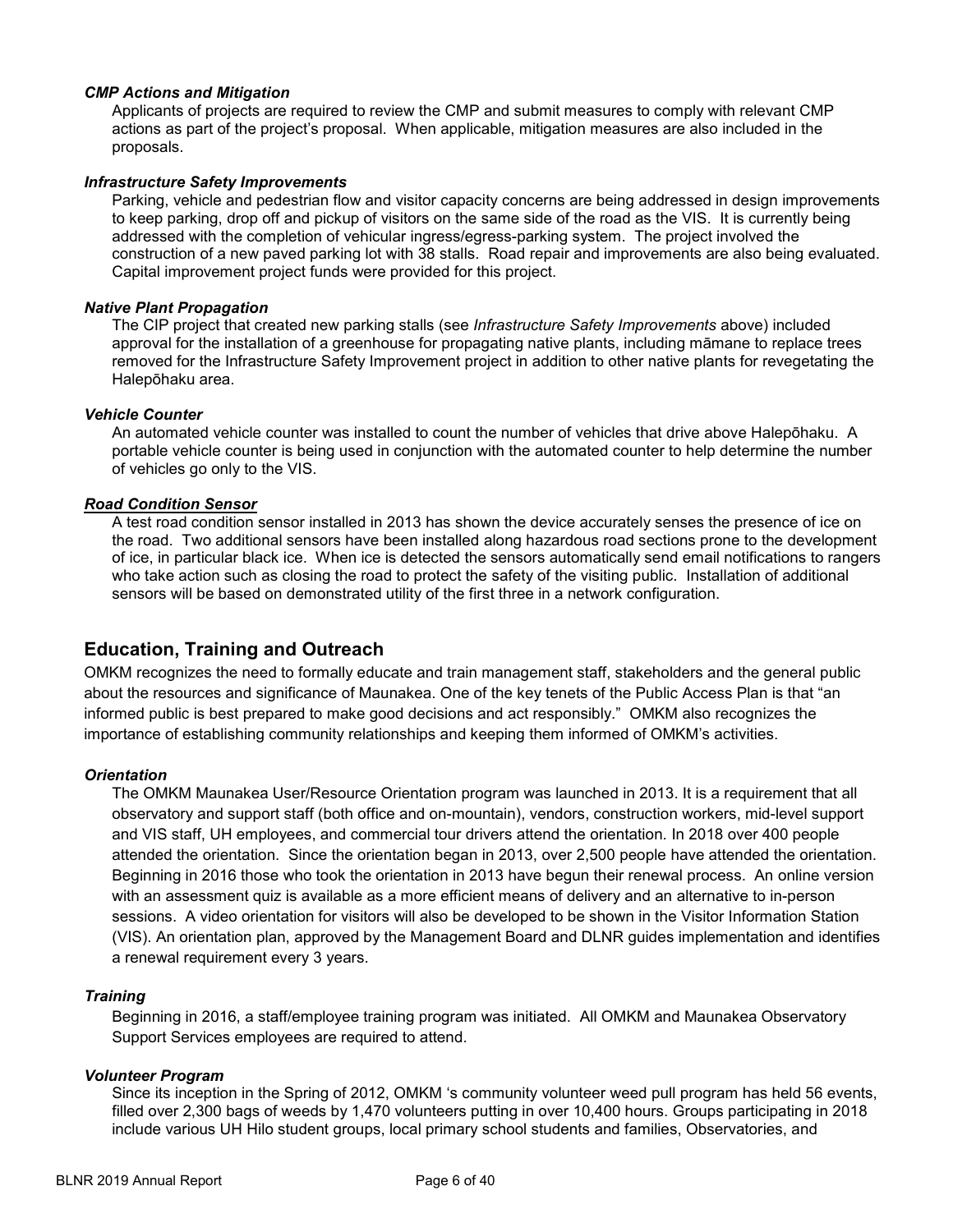#### *CMP Actions and Mitigation*

Applicants of projects are required to review the CMP and submit measures to comply with relevant CMP actions as part of the project's proposal. When applicable, mitigation measures are also included in the proposals.

#### *Infrastructure Safety Improvements*

Parking, vehicle and pedestrian flow and visitor capacity concerns are being addressed in design improvements to keep parking, drop off and pickup of visitors on the same side of the road as the VIS. It is currently being addressed with the completion of vehicular ingress/egress-parking system. The project involved the construction of a new paved parking lot with 38 stalls. Road repair and improvements are also being evaluated. Capital improvement project funds were provided for this project.

#### *Native Plant Propagation*

The CIP project that created new parking stalls (see *Infrastructure Safety Improvements* above) included approval for the installation of a greenhouse for propagating native plants, including māmane to replace trees removed for the Infrastructure Safety Improvement project in addition to other native plants for revegetating the Halepōhaku area.

#### *Vehicle Counter*

An automated vehicle counter was installed to count the number of vehicles that drive above Halepōhaku. A portable vehicle counter is being used in conjunction with the automated counter to help determine the number of vehicles go only to the VIS.

#### *Road Condition Sensor*

A test road condition sensor installed in 2013 has shown the device accurately senses the presence of ice on the road. Two additional sensors have been installed along hazardous road sections prone to the development of ice, in particular black ice. When ice is detected the sensors automatically send email notifications to rangers who take action such as closing the road to protect the safety of the visiting public. Installation of additional sensors will be based on demonstrated utility of the first three in a network configuration.

### **Education, Training and Outreach**

OMKM recognizes the need to formally educate and train management staff, stakeholders and the general public about the resources and significance of Maunakea. One of the key tenets of the Public Access Plan is that "an informed public is best prepared to make good decisions and act responsibly." OMKM also recognizes the importance of establishing community relationships and keeping them informed of OMKM's activities.

#### *Orientation*

The OMKM Maunakea User/Resource Orientation program was launched in 2013. It is a requirement that all observatory and support staff (both office and on-mountain), vendors, construction workers, mid-level support and VIS staff, UH employees, and commercial tour drivers attend the orientation. In 2018 over 400 people attended the orientation. Since the orientation began in 2013, over 2,500 people have attended the orientation. Beginning in 2016 those who took the orientation in 2013 have begun their renewal process. An online version with an assessment quiz is available as a more efficient means of delivery and an alternative to in-person sessions. A video orientation for visitors will also be developed to be shown in the Visitor Information Station (VIS). An orientation plan, approved by the Management Board and DLNR guides implementation and identifies a renewal requirement every 3 years.

#### *Training*

Beginning in 2016, a staff/employee training program was initiated. All OMKM and Maunakea Observatory Support Services employees are required to attend.

#### *Volunteer Program*

Since its inception in the Spring of 2012, OMKM 's community volunteer weed pull program has held 56 events, filled over 2,300 bags of weeds by 1,470 volunteers putting in over 10,400 hours. Groups participating in 2018 include various UH Hilo student groups, local primary school students and families, Observatories, and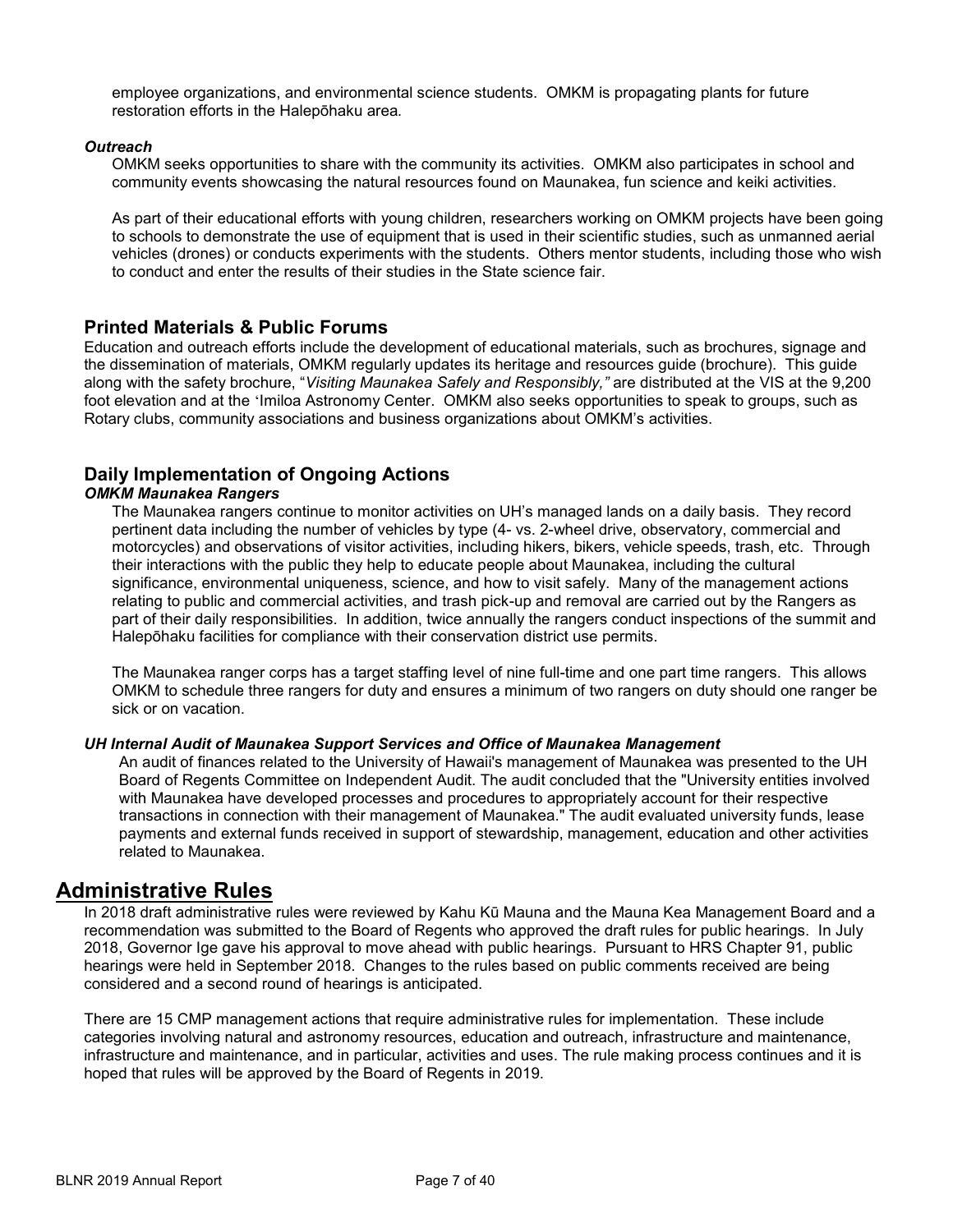employee organizations, and environmental science students. OMKM is propagating plants for future restoration efforts in the Halepōhaku area*.* 

#### *Outreach*

OMKM seeks opportunities to share with the community its activities. OMKM also participates in school and community events showcasing the natural resources found on Maunakea, fun science and keiki activities.

As part of their educational efforts with young children, researchers working on OMKM projects have been going to schools to demonstrate the use of equipment that is used in their scientific studies, such as unmanned aerial vehicles (drones) or conducts experiments with the students. Others mentor students, including those who wish to conduct and enter the results of their studies in the State science fair.

### **Printed Materials & Public Forums**

Education and outreach efforts include the development of educational materials, such as brochures, signage and the dissemination of materials, OMKM regularly updates its heritage and resources guide (brochure). This guide along with the safety brochure, "*Visiting Maunakea Safely and Responsibly,"* are distributed at the VIS at the 9,200 foot elevation and at the 'Imiloa Astronomy Center. OMKM also seeks opportunities to speak to groups, such as Rotary clubs, community associations and business organizations about OMKM's activities.

## **Daily Implementation of Ongoing Actions**

#### *OMKM Maunakea Rangers*

The Maunakea rangers continue to monitor activities on UH's managed lands on a daily basis. They record pertinent data including the number of vehicles by type (4- vs. 2-wheel drive, observatory, commercial and motorcycles) and observations of visitor activities, including hikers, bikers, vehicle speeds, trash, etc. Through their interactions with the public they help to educate people about Maunakea, including the cultural significance, environmental uniqueness, science, and how to visit safely. Many of the management actions relating to public and commercial activities, and trash pick-up and removal are carried out by the Rangers as part of their daily responsibilities. In addition, twice annually the rangers conduct inspections of the summit and Halepōhaku facilities for compliance with their conservation district use permits.

The Maunakea ranger corps has a target staffing level of nine full-time and one part time rangers. This allows OMKM to schedule three rangers for duty and ensures a minimum of two rangers on duty should one ranger be sick or on vacation.

#### *UH Internal Audit of Maunakea Support Services and Office of Maunakea Management*

An audit of finances related to the University of Hawaii's management of Maunakea was presented to the UH Board of Regents Committee on Independent Audit. The audit concluded that the "University entities involved with Maunakea have developed processes and procedures to appropriately account for their respective transactions in connection with their management of Maunakea." The audit evaluated university funds, lease payments and external funds received in support of stewardship, management, education and other activities related to Maunakea.

## **Administrative Rules**

In 2018 draft administrative rules were reviewed by Kahu Kū Mauna and the Mauna Kea Management Board and a recommendation was submitted to the Board of Regents who approved the draft rules for public hearings. In July 2018, Governor Ige gave his approval to move ahead with public hearings. Pursuant to HRS Chapter 91, public hearings were held in September 2018. Changes to the rules based on public comments received are being considered and a second round of hearings is anticipated.

There are 15 CMP management actions that require administrative rules for implementation. These include categories involving natural and astronomy resources, education and outreach, infrastructure and maintenance, infrastructure and maintenance, and in particular, activities and uses. The rule making process continues and it is hoped that rules will be approved by the Board of Regents in 2019.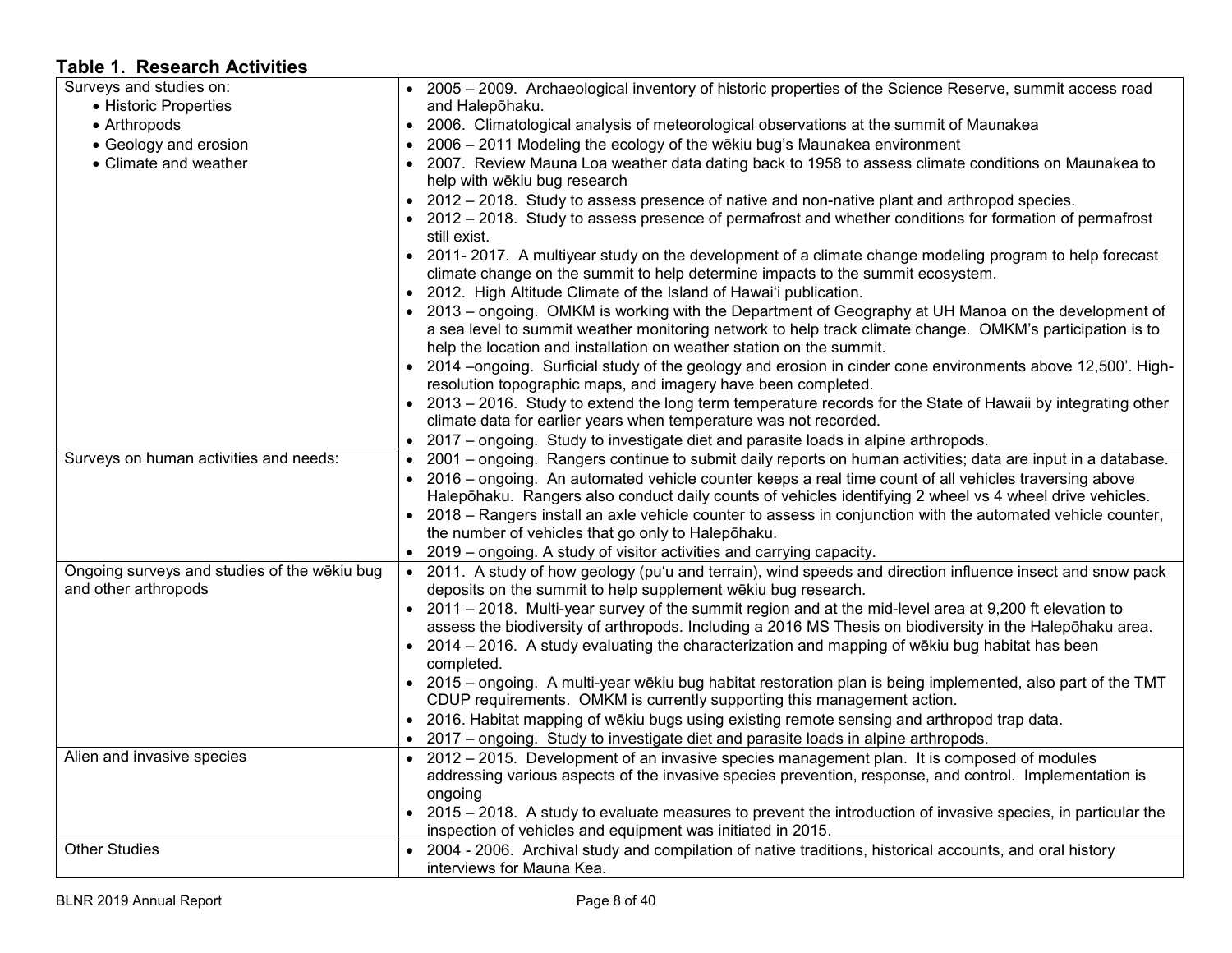# **Table 1. Research Activities**

| Surveys and studies on:                                              | • 2005 - 2009. Archaeological inventory of historic properties of the Science Reserve, summit access road                                                                                |
|----------------------------------------------------------------------|------------------------------------------------------------------------------------------------------------------------------------------------------------------------------------------|
| • Historic Properties                                                | and Halepōhaku.                                                                                                                                                                          |
| • Arthropods                                                         | 2006. Climatological analysis of meteorological observations at the summit of Maunakea<br>$\bullet$                                                                                      |
| • Geology and erosion                                                | 2006 - 2011 Modeling the ecology of the wēkiu bug's Maunakea environment<br>$\bullet$                                                                                                    |
| • Climate and weather                                                | 2007. Review Mauna Loa weather data dating back to 1958 to assess climate conditions on Maunakea to<br>help with wēkiu bug research                                                      |
|                                                                      | 2012 – 2018. Study to assess presence of native and non-native plant and arthropod species.                                                                                              |
|                                                                      | • 2012 – 2018. Study to assess presence of permafrost and whether conditions for formation of permafrost<br>still exist.                                                                 |
|                                                                      | 2011-2017. A multiyear study on the development of a climate change modeling program to help forecast<br>climate change on the summit to help determine impacts to the summit ecosystem. |
|                                                                      | 2012. High Altitude Climate of the Island of Hawai'i publication.<br>$\bullet$                                                                                                           |
|                                                                      | 2013 - ongoing. OMKM is working with the Department of Geography at UH Manoa on the development of                                                                                       |
|                                                                      | a sea level to summit weather monitoring network to help track climate change. OMKM's participation is to<br>help the location and installation on weather station on the summit.        |
|                                                                      | • 2014 -ongoing. Surficial study of the geology and erosion in cinder cone environments above 12,500'. High-                                                                             |
|                                                                      | resolution topographic maps, and imagery have been completed.                                                                                                                            |
|                                                                      | • 2013 – 2016. Study to extend the long term temperature records for the State of Hawaii by integrating other                                                                            |
|                                                                      | climate data for earlier years when temperature was not recorded.                                                                                                                        |
|                                                                      | 2017 – ongoing. Study to investigate diet and parasite loads in alpine arthropods.                                                                                                       |
| Surveys on human activities and needs:                               | 2001 – ongoing. Rangers continue to submit daily reports on human activities; data are input in a database.                                                                              |
|                                                                      | • 2016 – ongoing. An automated vehicle counter keeps a real time count of all vehicles traversing above                                                                                  |
|                                                                      | Halepōhaku. Rangers also conduct daily counts of vehicles identifying 2 wheel vs 4 wheel drive vehicles.                                                                                 |
|                                                                      | 2018 – Rangers install an axle vehicle counter to assess in conjunction with the automated vehicle counter,                                                                              |
|                                                                      | the number of vehicles that go only to Halepohaku.                                                                                                                                       |
|                                                                      | 2019 – ongoing. A study of visitor activities and carrying capacity.<br>$\bullet$                                                                                                        |
| Ongoing surveys and studies of the wēkiu bug<br>and other arthropods | • 2011. A study of how geology (pu'u and terrain), wind speeds and direction influence insect and snow pack<br>deposits on the summit to help supplement wēkiu bug research.             |
|                                                                      | • 2011 - 2018. Multi-year survey of the summit region and at the mid-level area at 9,200 ft elevation to                                                                                 |
|                                                                      | assess the biodiversity of arthropods. Including a 2016 MS Thesis on biodiversity in the Halepohaku area.                                                                                |
|                                                                      | 2014 – 2016. A study evaluating the characterization and mapping of wēkiu bug habitat has been                                                                                           |
|                                                                      | completed.                                                                                                                                                                               |
|                                                                      | • 2015 – ongoing. A multi-year wēkiu bug habitat restoration plan is being implemented, also part of the TMT                                                                             |
|                                                                      | CDUP requirements. OMKM is currently supporting this management action.                                                                                                                  |
|                                                                      | 2016. Habitat mapping of wēkiu bugs using existing remote sensing and arthropod trap data.                                                                                               |
|                                                                      | 2017 - ongoing. Study to investigate diet and parasite loads in alpine arthropods.<br>$\bullet$                                                                                          |
| Alien and invasive species                                           | • 2012 – 2015. Development of an invasive species management plan. It is composed of modules                                                                                             |
|                                                                      | addressing various aspects of the invasive species prevention, response, and control. Implementation is                                                                                  |
|                                                                      | ongoing                                                                                                                                                                                  |
|                                                                      | 2015 – 2018. A study to evaluate measures to prevent the introduction of invasive species, in particular the                                                                             |
|                                                                      | inspection of vehicles and equipment was initiated in 2015.                                                                                                                              |
| <b>Other Studies</b>                                                 | • 2004 - 2006. Archival study and compilation of native traditions, historical accounts, and oral history                                                                                |
|                                                                      | interviews for Mauna Kea.                                                                                                                                                                |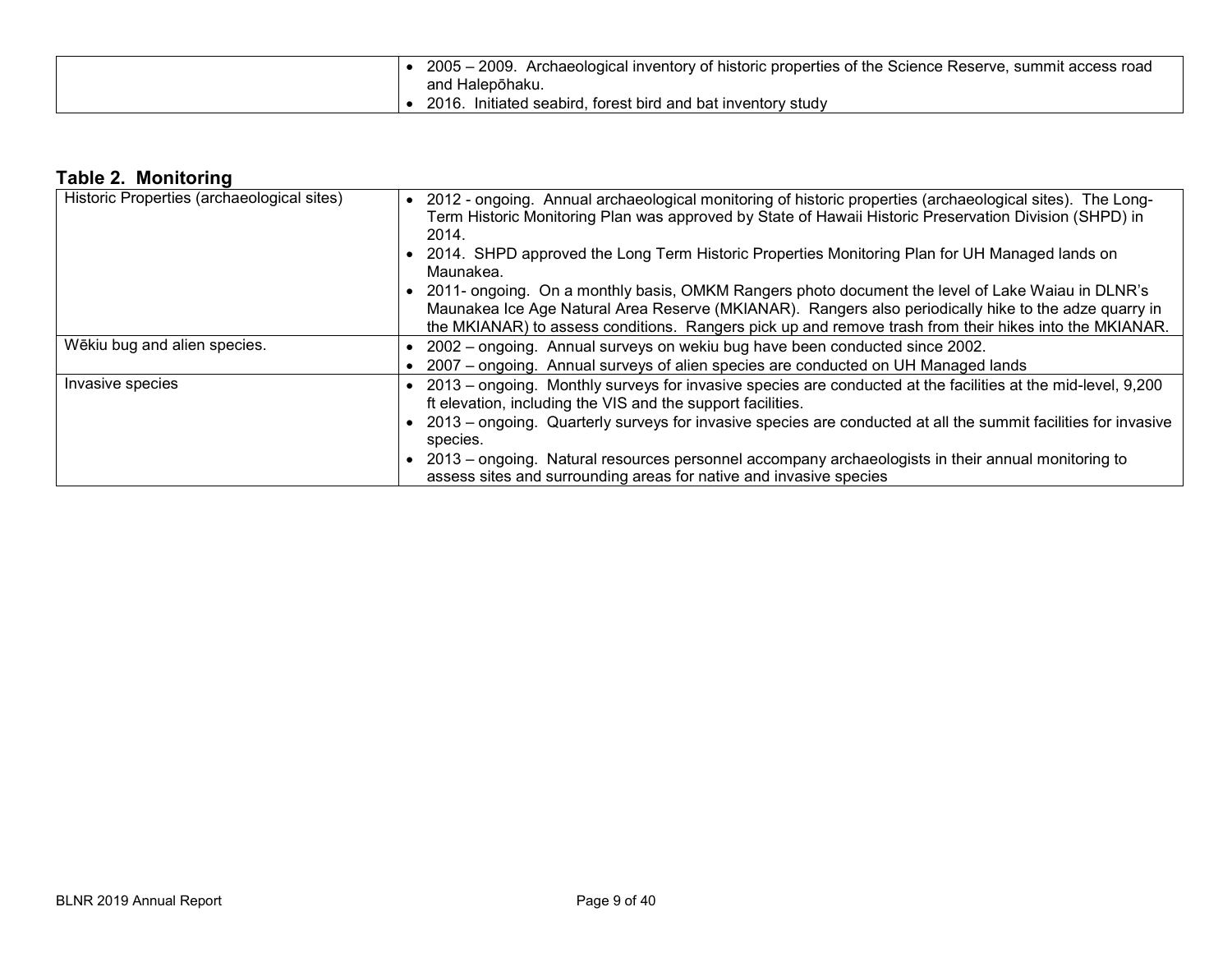| 2005 – 2009. Archaeological inventory of historic properties of the Science Reserve, summit access road |
|---------------------------------------------------------------------------------------------------------|
| and Halepōhaku.                                                                                         |
| 2016. Initiated seabird, forest bird and bat inventory study                                            |

# **Table 2. Monitoring**

| Historic Properties (archaeological sites) | 2012 - ongoing. Annual archaeological monitoring of historic properties (archaeological sites). The Long-<br>Term Historic Monitoring Plan was approved by State of Hawaii Historic Preservation Division (SHPD) in |
|--------------------------------------------|---------------------------------------------------------------------------------------------------------------------------------------------------------------------------------------------------------------------|
|                                            | 2014.                                                                                                                                                                                                               |
|                                            | 2014. SHPD approved the Long Term Historic Properties Monitoring Plan for UH Managed lands on                                                                                                                       |
|                                            | Maunakea.                                                                                                                                                                                                           |
|                                            | 2011- ongoing. On a monthly basis, OMKM Rangers photo document the level of Lake Waiau in DLNR's                                                                                                                    |
|                                            | Maunakea Ice Age Natural Area Reserve (MKIANAR). Rangers also periodically hike to the adze quarry in                                                                                                               |
|                                            | the MKIANAR) to assess conditions. Rangers pick up and remove trash from their hikes into the MKIANAR.                                                                                                              |
| Wēkiu bug and alien species.               | 2002 – ongoing. Annual surveys on wekiu bug have been conducted since 2002.                                                                                                                                         |
|                                            | 2007 – ongoing. Annual surveys of alien species are conducted on UH Managed lands                                                                                                                                   |
| Invasive species                           | 2013 – ongoing. Monthly surveys for invasive species are conducted at the facilities at the mid-level, 9,200                                                                                                        |
|                                            | ft elevation, including the VIS and the support facilities.                                                                                                                                                         |
|                                            | 2013 – ongoing. Quarterly surveys for invasive species are conducted at all the summit facilities for invasive                                                                                                      |
|                                            | species.                                                                                                                                                                                                            |
|                                            | 2013 – ongoing. Natural resources personnel accompany archaeologists in their annual monitoring to                                                                                                                  |
|                                            | assess sites and surrounding areas for native and invasive species                                                                                                                                                  |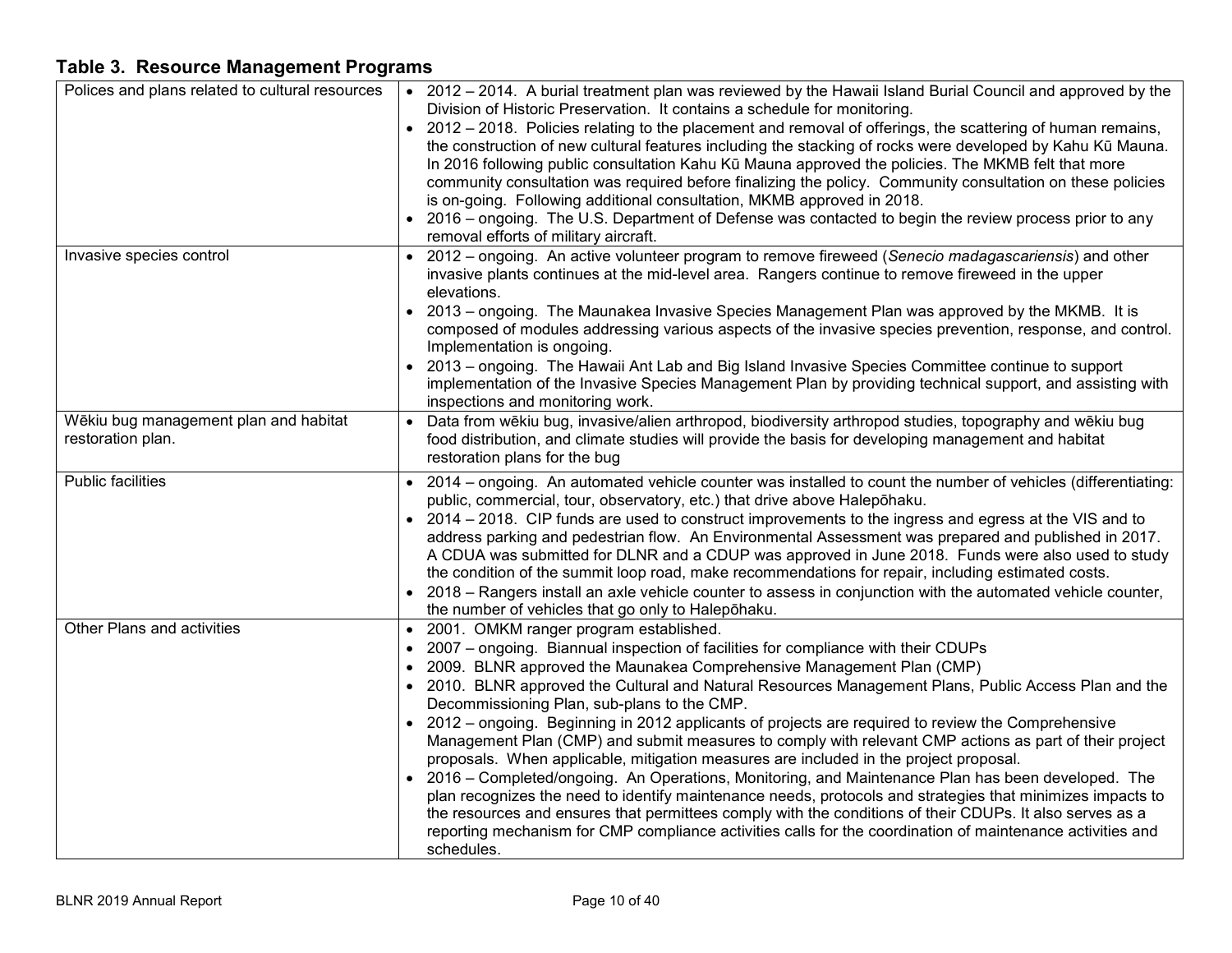# **Table 3. Resource Management Programs**

| Polices and plans related to cultural resources            | • 2012 – 2014. A burial treatment plan was reviewed by the Hawaii Island Burial Council and approved by the<br>Division of Historic Preservation. It contains a schedule for monitoring.<br>• 2012 – 2018. Policies relating to the placement and removal of offerings, the scattering of human remains,<br>the construction of new cultural features including the stacking of rocks were developed by Kahu Kū Mauna.<br>In 2016 following public consultation Kahu Kū Mauna approved the policies. The MKMB felt that more<br>community consultation was required before finalizing the policy. Community consultation on these policies<br>is on-going. Following additional consultation, MKMB approved in 2018.<br>2016 – ongoing. The U.S. Department of Defense was contacted to begin the review process prior to any<br>removal efforts of military aircraft.                                                                                                                                                                                                                                                                                                |
|------------------------------------------------------------|-----------------------------------------------------------------------------------------------------------------------------------------------------------------------------------------------------------------------------------------------------------------------------------------------------------------------------------------------------------------------------------------------------------------------------------------------------------------------------------------------------------------------------------------------------------------------------------------------------------------------------------------------------------------------------------------------------------------------------------------------------------------------------------------------------------------------------------------------------------------------------------------------------------------------------------------------------------------------------------------------------------------------------------------------------------------------------------------------------------------------------------------------------------------------|
| Invasive species control                                   | 2012 - ongoing. An active volunteer program to remove fireweed (Senecio madagascariensis) and other<br>invasive plants continues at the mid-level area. Rangers continue to remove fireweed in the upper<br>elevations.<br>2013 – ongoing. The Maunakea Invasive Species Management Plan was approved by the MKMB. It is<br>composed of modules addressing various aspects of the invasive species prevention, response, and control.<br>Implementation is ongoing.<br>2013 - ongoing. The Hawaii Ant Lab and Big Island Invasive Species Committee continue to support<br>implementation of the Invasive Species Management Plan by providing technical support, and assisting with<br>inspections and monitoring work.                                                                                                                                                                                                                                                                                                                                                                                                                                              |
| Wēkiu bug management plan and habitat<br>restoration plan. | Data from wēkiu bug, invasive/alien arthropod, biodiversity arthropod studies, topography and wēkiu bug<br>food distribution, and climate studies will provide the basis for developing management and habitat<br>restoration plans for the bug                                                                                                                                                                                                                                                                                                                                                                                                                                                                                                                                                                                                                                                                                                                                                                                                                                                                                                                       |
| <b>Public facilities</b>                                   | 2014 – ongoing. An automated vehicle counter was installed to count the number of vehicles (differentiating:<br>public, commercial, tour, observatory, etc.) that drive above Halepohaku.<br>• 2014 – 2018. CIP funds are used to construct improvements to the ingress and egress at the VIS and to<br>address parking and pedestrian flow. An Environmental Assessment was prepared and published in 2017.<br>A CDUA was submitted for DLNR and a CDUP was approved in June 2018. Funds were also used to study<br>the condition of the summit loop road, make recommendations for repair, including estimated costs.<br>2018 – Rangers install an axle vehicle counter to assess in conjunction with the automated vehicle counter,<br>the number of vehicles that go only to Halepohaku.                                                                                                                                                                                                                                                                                                                                                                          |
| Other Plans and activities                                 | 2001. OMKM ranger program established.<br>$\bullet$<br>2007 - ongoing. Biannual inspection of facilities for compliance with their CDUPs<br>$\bullet$<br>2009. BLNR approved the Maunakea Comprehensive Management Plan (CMP)<br>$\bullet$<br>• 2010. BLNR approved the Cultural and Natural Resources Management Plans, Public Access Plan and the<br>Decommissioning Plan, sub-plans to the CMP.<br>2012 – ongoing. Beginning in 2012 applicants of projects are required to review the Comprehensive<br>Management Plan (CMP) and submit measures to comply with relevant CMP actions as part of their project<br>proposals. When applicable, mitigation measures are included in the project proposal.<br>2016 – Completed/ongoing. An Operations, Monitoring, and Maintenance Plan has been developed. The<br>plan recognizes the need to identify maintenance needs, protocols and strategies that minimizes impacts to<br>the resources and ensures that permittees comply with the conditions of their CDUPs. It also serves as a<br>reporting mechanism for CMP compliance activities calls for the coordination of maintenance activities and<br>schedules. |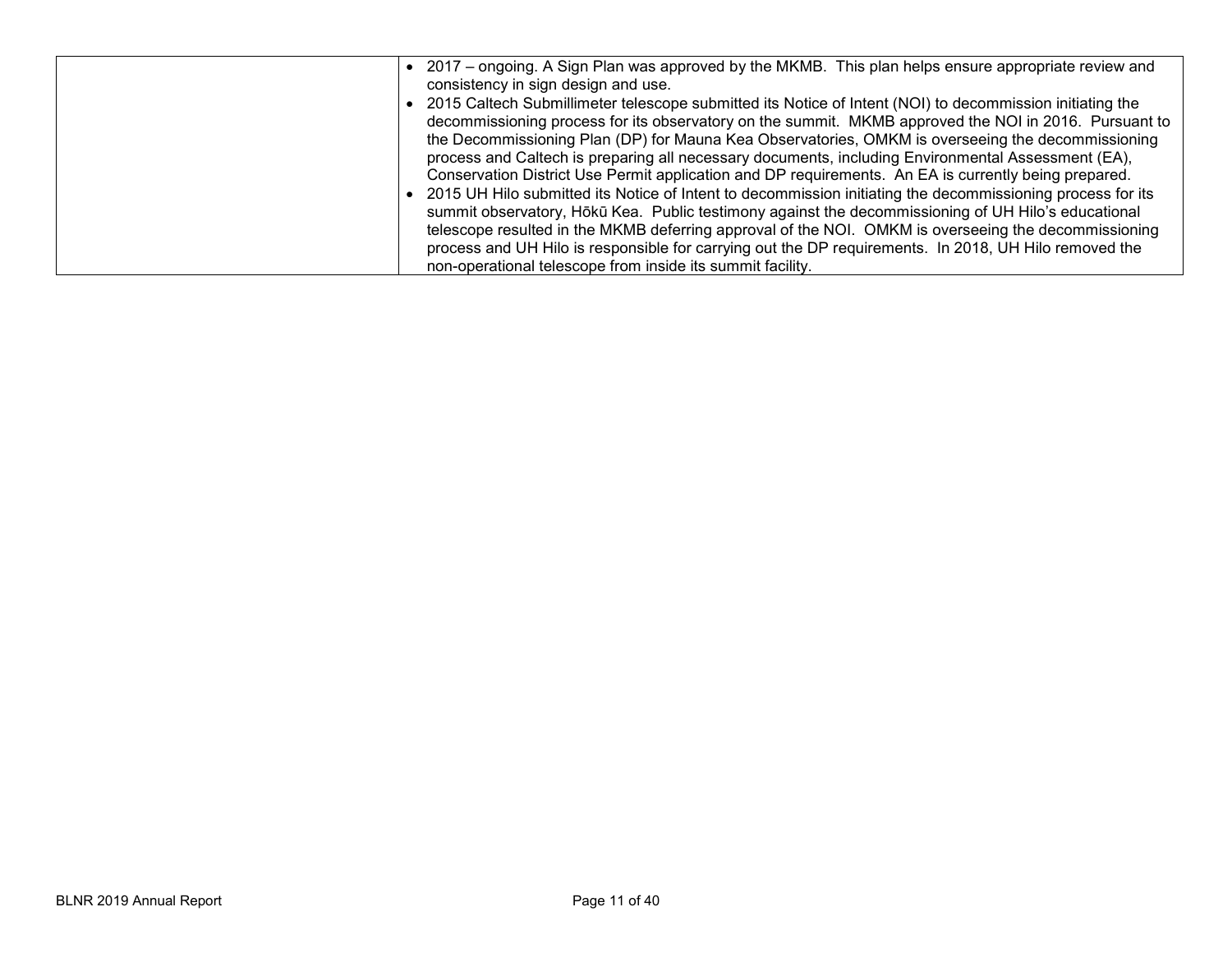| 2017 – ongoing. A Sign Plan was approved by the MKMB. This plan helps ensure appropriate review and        |
|------------------------------------------------------------------------------------------------------------|
| consistency in sign design and use.                                                                        |
| 2015 Caltech Submillimeter telescope submitted its Notice of Intent (NOI) to decommission initiating the   |
| decommissioning process for its observatory on the summit. MKMB approved the NOI in 2016. Pursuant to      |
| the Decommissioning Plan (DP) for Mauna Kea Observatories, OMKM is overseeing the decommissioning          |
| process and Caltech is preparing all necessary documents, including Environmental Assessment (EA),         |
| Conservation District Use Permit application and DP requirements. An EA is currently being prepared.       |
| 2015 UH Hilo submitted its Notice of Intent to decommission initiating the decommissioning process for its |
| summit observatory, Hōkū Kea. Public testimony against the decommissioning of UH Hilo's educational        |
| telescope resulted in the MKMB deferring approval of the NOI. OMKM is overseeing the decommissioning       |
| process and UH Hilo is responsible for carrying out the DP requirements. In 2018, UH Hilo removed the      |
| non-operational telescope from inside its summit facility.                                                 |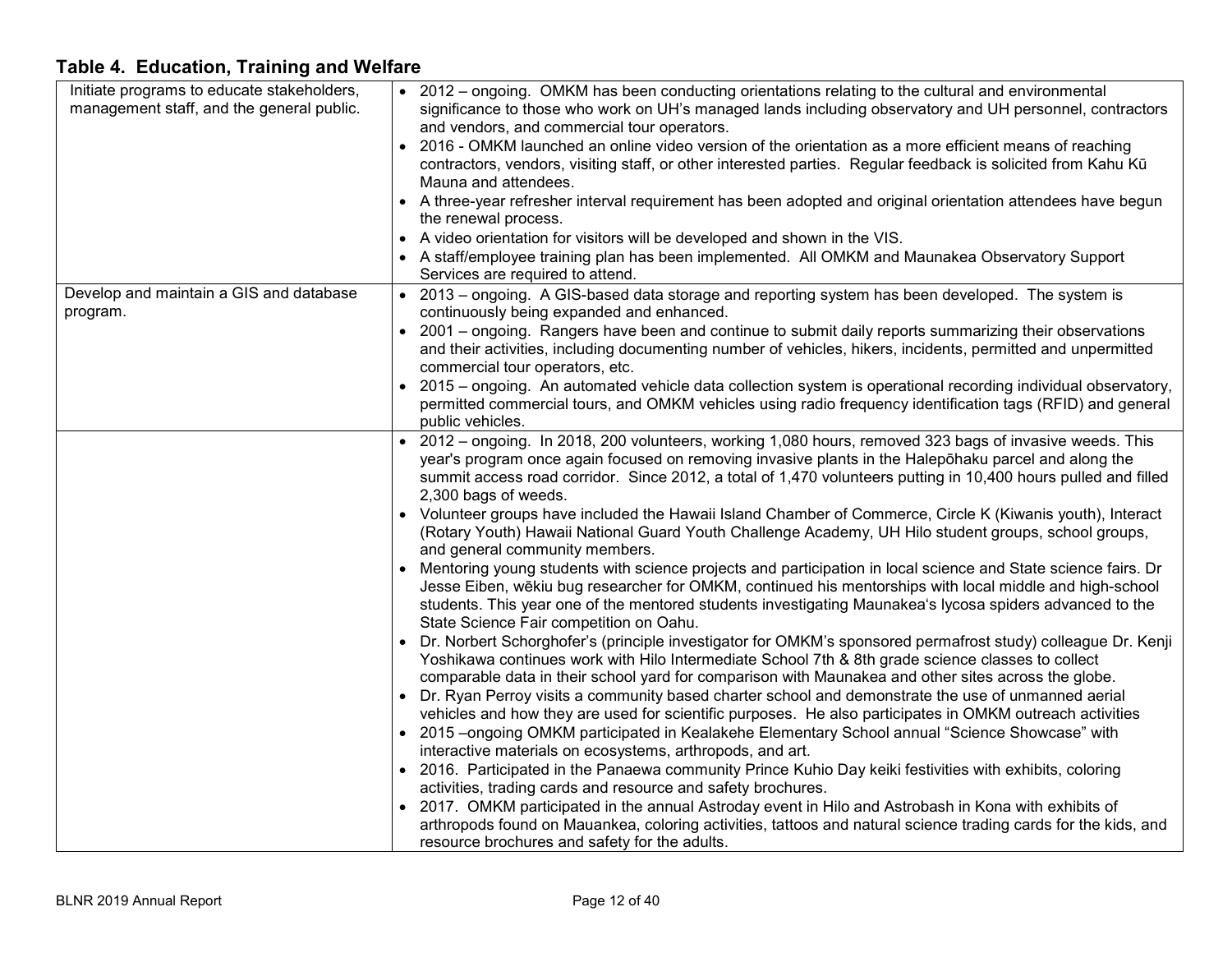| Initiate programs to educate stakeholders,<br>management staff, and the general public. | • 2012 – ongoing. OMKM has been conducting orientations relating to the cultural and environmental<br>significance to those who work on UH's managed lands including observatory and UH personnel, contractors |
|-----------------------------------------------------------------------------------------|----------------------------------------------------------------------------------------------------------------------------------------------------------------------------------------------------------------|
|                                                                                         | and vendors, and commercial tour operators.                                                                                                                                                                    |
|                                                                                         | 2016 - OMKM launched an online video version of the orientation as a more efficient means of reaching                                                                                                          |
|                                                                                         | contractors, vendors, visiting staff, or other interested parties. Regular feedback is solicited from Kahu Kū                                                                                                  |
|                                                                                         | Mauna and attendees.                                                                                                                                                                                           |
|                                                                                         | • A three-year refresher interval requirement has been adopted and original orientation attendees have begun                                                                                                   |
|                                                                                         | the renewal process.                                                                                                                                                                                           |
|                                                                                         | • A video orientation for visitors will be developed and shown in the VIS.                                                                                                                                     |
|                                                                                         | • A staff/employee training plan has been implemented. All OMKM and Maunakea Observatory Support                                                                                                               |
|                                                                                         | Services are required to attend.                                                                                                                                                                               |
| Develop and maintain a GIS and database                                                 | • 2013 – ongoing. A GIS-based data storage and reporting system has been developed. The system is                                                                                                              |
| program.                                                                                | continuously being expanded and enhanced.                                                                                                                                                                      |
|                                                                                         | • 2001 – ongoing. Rangers have been and continue to submit daily reports summarizing their observations                                                                                                        |
|                                                                                         | and their activities, including documenting number of vehicles, hikers, incidents, permitted and unpermitted                                                                                                   |
|                                                                                         | commercial tour operators, etc.                                                                                                                                                                                |
|                                                                                         | • 2015 – ongoing. An automated vehicle data collection system is operational recording individual observatory,                                                                                                 |
|                                                                                         | permitted commercial tours, and OMKM vehicles using radio frequency identification tags (RFID) and general                                                                                                     |
|                                                                                         | public vehicles.                                                                                                                                                                                               |
|                                                                                         | • 2012 – ongoing. In 2018, 200 volunteers, working 1,080 hours, removed 323 bags of invasive weeds. This                                                                                                       |
|                                                                                         | year's program once again focused on removing invasive plants in the Haleponaku parcel and along the                                                                                                           |
|                                                                                         | summit access road corridor. Since 2012, a total of 1,470 volunteers putting in 10,400 hours pulled and filled                                                                                                 |
|                                                                                         | 2,300 bags of weeds.                                                                                                                                                                                           |
|                                                                                         | Volunteer groups have included the Hawaii Island Chamber of Commerce, Circle K (Kiwanis youth), Interact                                                                                                       |
|                                                                                         | (Rotary Youth) Hawaii National Guard Youth Challenge Academy, UH Hilo student groups, school groups,                                                                                                           |
|                                                                                         | and general community members.                                                                                                                                                                                 |
|                                                                                         | Mentoring young students with science projects and participation in local science and State science fairs. Dr                                                                                                  |
|                                                                                         | Jesse Eiben, wēkiu bug researcher for OMKM, continued his mentorships with local middle and high-school                                                                                                        |
|                                                                                         | students. This year one of the mentored students investigating Maunakea's lycosa spiders advanced to the<br>State Science Fair competition on Oahu.                                                            |
|                                                                                         | • Dr. Norbert Schorghofer's (principle investigator for OMKM's sponsored permafrost study) colleague Dr. Kenji                                                                                                 |
|                                                                                         | Yoshikawa continues work with Hilo Intermediate School 7th & 8th grade science classes to collect                                                                                                              |
|                                                                                         | comparable data in their school yard for comparison with Maunakea and other sites across the globe.                                                                                                            |
|                                                                                         | • Dr. Ryan Perroy visits a community based charter school and demonstrate the use of unmanned aerial                                                                                                           |
|                                                                                         | vehicles and how they are used for scientific purposes. He also participates in OMKM outreach activities                                                                                                       |
|                                                                                         | • 2015 –ongoing OMKM participated in Kealakehe Elementary School annual "Science Showcase" with                                                                                                                |
|                                                                                         | interactive materials on ecosystems, arthropods, and art.                                                                                                                                                      |
|                                                                                         | • 2016. Participated in the Panaewa community Prince Kuhio Day keiki festivities with exhibits, coloring                                                                                                       |
|                                                                                         | activities, trading cards and resource and safety brochures.                                                                                                                                                   |
|                                                                                         | • 2017. OMKM participated in the annual Astroday event in Hilo and Astrobash in Kona with exhibits of                                                                                                          |
|                                                                                         | arthropods found on Mauankea, coloring activities, tattoos and natural science trading cards for the kids, and                                                                                                 |
|                                                                                         | resource brochures and safety for the adults.                                                                                                                                                                  |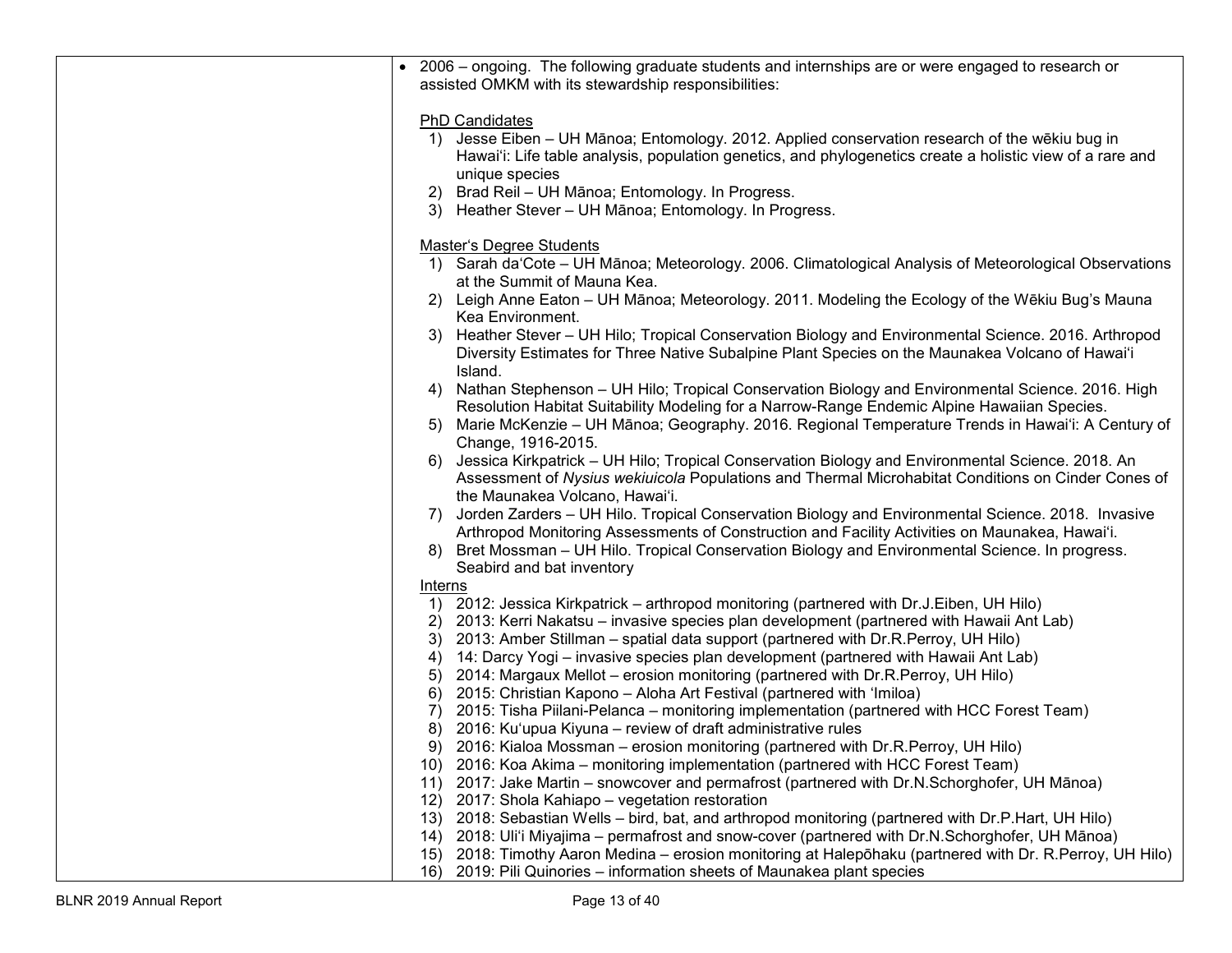|                  | • 2006 – ongoing. The following graduate students and internships are or were engaged to research or<br>assisted OMKM with its stewardship responsibilities:                                                                                |
|------------------|---------------------------------------------------------------------------------------------------------------------------------------------------------------------------------------------------------------------------------------------|
| 1)               | <b>PhD Candidates</b><br>Jesse Eiben – UH Mānoa; Entomology. 2012. Applied conservation research of the wēkiu bug in                                                                                                                        |
|                  | Hawai'i: Life table analysis, population genetics, and phylogenetics create a holistic view of a rare and<br>unique species                                                                                                                 |
|                  | 2) Brad Reil - UH Mānoa; Entomology. In Progress.                                                                                                                                                                                           |
|                  | 3) Heather Stever - UH Mānoa; Entomology. In Progress.                                                                                                                                                                                      |
|                  | <b>Master's Degree Students</b>                                                                                                                                                                                                             |
|                  | 1) Sarah da'Cote - UH Mānoa; Meteorology. 2006. Climatological Analysis of Meteorological Observations<br>at the Summit of Mauna Kea.                                                                                                       |
|                  | 2) Leigh Anne Eaton – UH Mānoa; Meteorology. 2011. Modeling the Ecology of the Wēkiu Bug's Mauna<br>Kea Environment.                                                                                                                        |
| 3)               | Heather Stever - UH Hilo; Tropical Conservation Biology and Environmental Science. 2016. Arthropod<br>Diversity Estimates for Three Native Subalpine Plant Species on the Maunakea Volcano of Hawai'i<br>Island.                            |
| 4)               | Nathan Stephenson - UH Hilo; Tropical Conservation Biology and Environmental Science. 2016. High<br>Resolution Habitat Suitability Modeling for a Narrow-Range Endemic Alpine Hawaiian Species.                                             |
|                  | 5) Marie McKenzie – UH Mānoa; Geography. 2016. Regional Temperature Trends in Hawai'i: A Century of<br>Change, 1916-2015.                                                                                                                   |
|                  | 6) Jessica Kirkpatrick - UH Hilo; Tropical Conservation Biology and Environmental Science. 2018. An<br>Assessment of Nysius wekiuicola Populations and Thermal Microhabitat Conditions on Cinder Cones of<br>the Maunakea Volcano, Hawai'i. |
| $\left( \right)$ | Jorden Zarders - UH Hilo. Tropical Conservation Biology and Environmental Science. 2018. Invasive<br>Arthropod Monitoring Assessments of Construction and Facility Activities on Maunakea, Hawai'i.                                         |
|                  | 8) Bret Mossman - UH Hilo. Tropical Conservation Biology and Environmental Science. In progress.                                                                                                                                            |
|                  | Seabird and bat inventory                                                                                                                                                                                                                   |
| Interns          | 1) 2012: Jessica Kirkpatrick - arthropod monitoring (partnered with Dr.J.Eiben, UH Hilo)                                                                                                                                                    |
|                  | 2) 2013: Kerri Nakatsu – invasive species plan development (partnered with Hawaii Ant Lab)                                                                                                                                                  |
|                  | 3) 2013: Amber Stillman - spatial data support (partnered with Dr.R.Perroy, UH Hilo)                                                                                                                                                        |
| 4)               | 14: Darcy Yogi – invasive species plan development (partnered with Hawaii Ant Lab)                                                                                                                                                          |
| 5)               | 2014: Margaux Mellot – erosion monitoring (partnered with Dr.R.Perroy, UH Hilo)                                                                                                                                                             |
| 6)               | 2015: Christian Kapono - Aloha Art Festival (partnered with 'Imiloa)                                                                                                                                                                        |
| 7)               | 2015: Tisha Piilani-Pelanca – monitoring implementation (partnered with HCC Forest Team)                                                                                                                                                    |
| 8)               | 2016: Ku'upua Kiyuna – review of draft administrative rules                                                                                                                                                                                 |
| 9)               | 2016: Kialoa Mossman – erosion monitoring (partnered with Dr.R.Perroy, UH Hilo)                                                                                                                                                             |
|                  | 10) 2016: Koa Akima - monitoring implementation (partnered with HCC Forest Team)                                                                                                                                                            |
| 12)              | 11) 2017: Jake Martin – snowcover and permafrost (partnered with Dr.N.Schorghofer, UH Mānoa)<br>2017: Shola Kahiapo - vegetation restoration                                                                                                |
|                  | 13) 2018: Sebastian Wells - bird, bat, and arthropod monitoring (partnered with Dr.P.Hart, UH Hilo)                                                                                                                                         |
|                  | 14) 2018: Uli'i Miyajima – permafrost and snow-cover (partnered with Dr.N.Schorghofer, UH Mānoa)                                                                                                                                            |
| 15)              | 2018: Timothy Aaron Medina – erosion monitoring at Halepōhaku (partnered with Dr. R. Perroy, UH Hilo)                                                                                                                                       |
| 16)              | 2019: Pili Quinories - information sheets of Maunakea plant species                                                                                                                                                                         |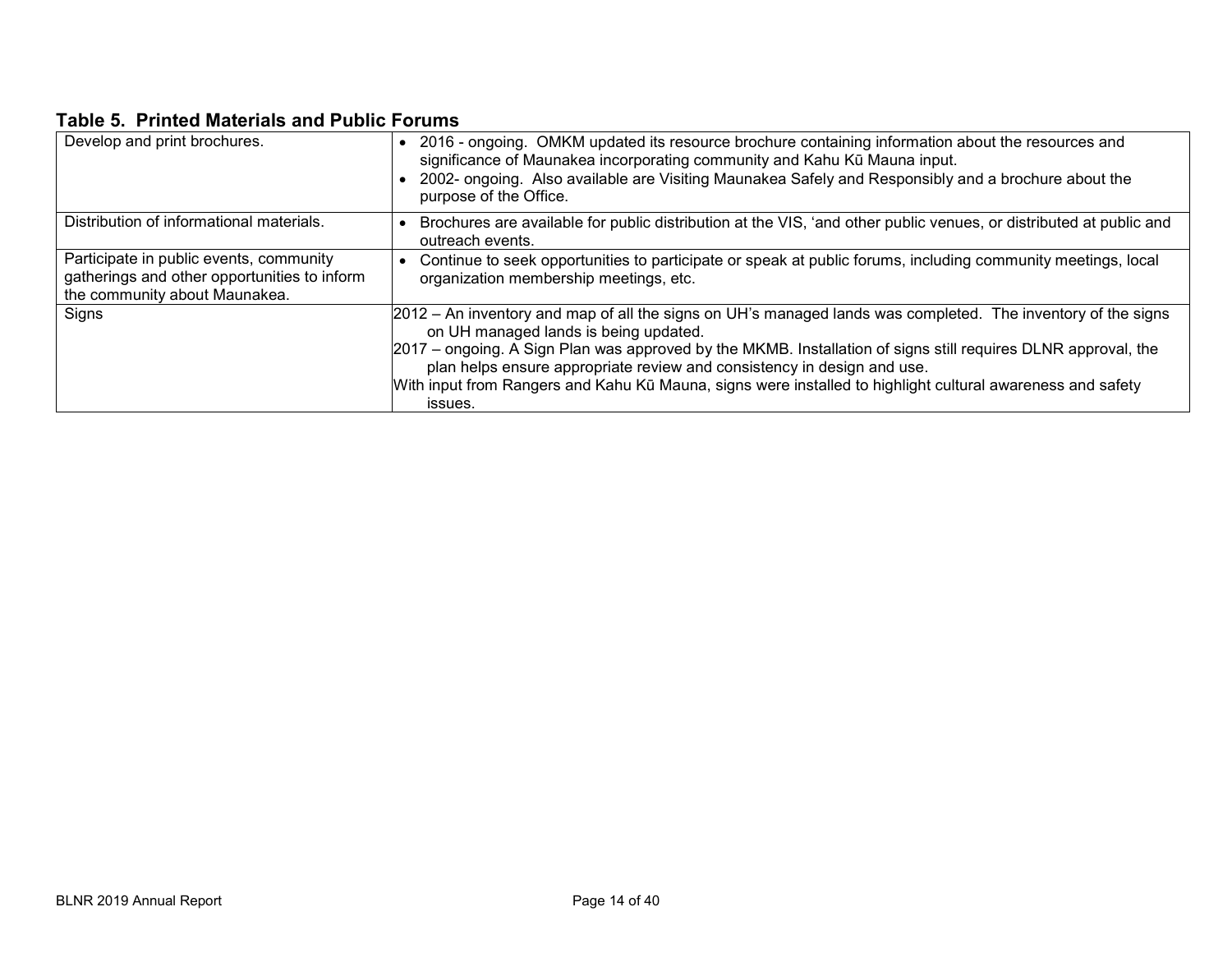# **Table 5. Printed Materials and Public Forums**

| Develop and print brochures.                                                                                             | 2016 - ongoing. OMKM updated its resource brochure containing information about the resources and<br>significance of Maunakea incorporating community and Kahu Kū Mauna input.<br>2002- ongoing. Also available are Visiting Maunakea Safely and Responsibly and a brochure about the<br>purpose of the Office.                                                                                                                                                            |
|--------------------------------------------------------------------------------------------------------------------------|----------------------------------------------------------------------------------------------------------------------------------------------------------------------------------------------------------------------------------------------------------------------------------------------------------------------------------------------------------------------------------------------------------------------------------------------------------------------------|
| Distribution of informational materials.                                                                                 | Brochures are available for public distribution at the VIS, 'and other public venues, or distributed at public and<br>outreach events.                                                                                                                                                                                                                                                                                                                                     |
| Participate in public events, community<br>gatherings and other opportunities to inform<br>the community about Maunakea. | Continue to seek opportunities to participate or speak at public forums, including community meetings, local<br>organization membership meetings, etc.                                                                                                                                                                                                                                                                                                                     |
| Signs                                                                                                                    | 2012 – An inventory and map of all the signs on UH's managed lands was completed. The inventory of the signs<br>on UH managed lands is being updated.<br>2017 – ongoing. A Sign Plan was approved by the MKMB. Installation of signs still requires DLNR approval, the<br>plan helps ensure appropriate review and consistency in design and use.<br>With input from Rangers and Kahu Kū Mauna, signs were installed to highlight cultural awareness and safety<br>issues. |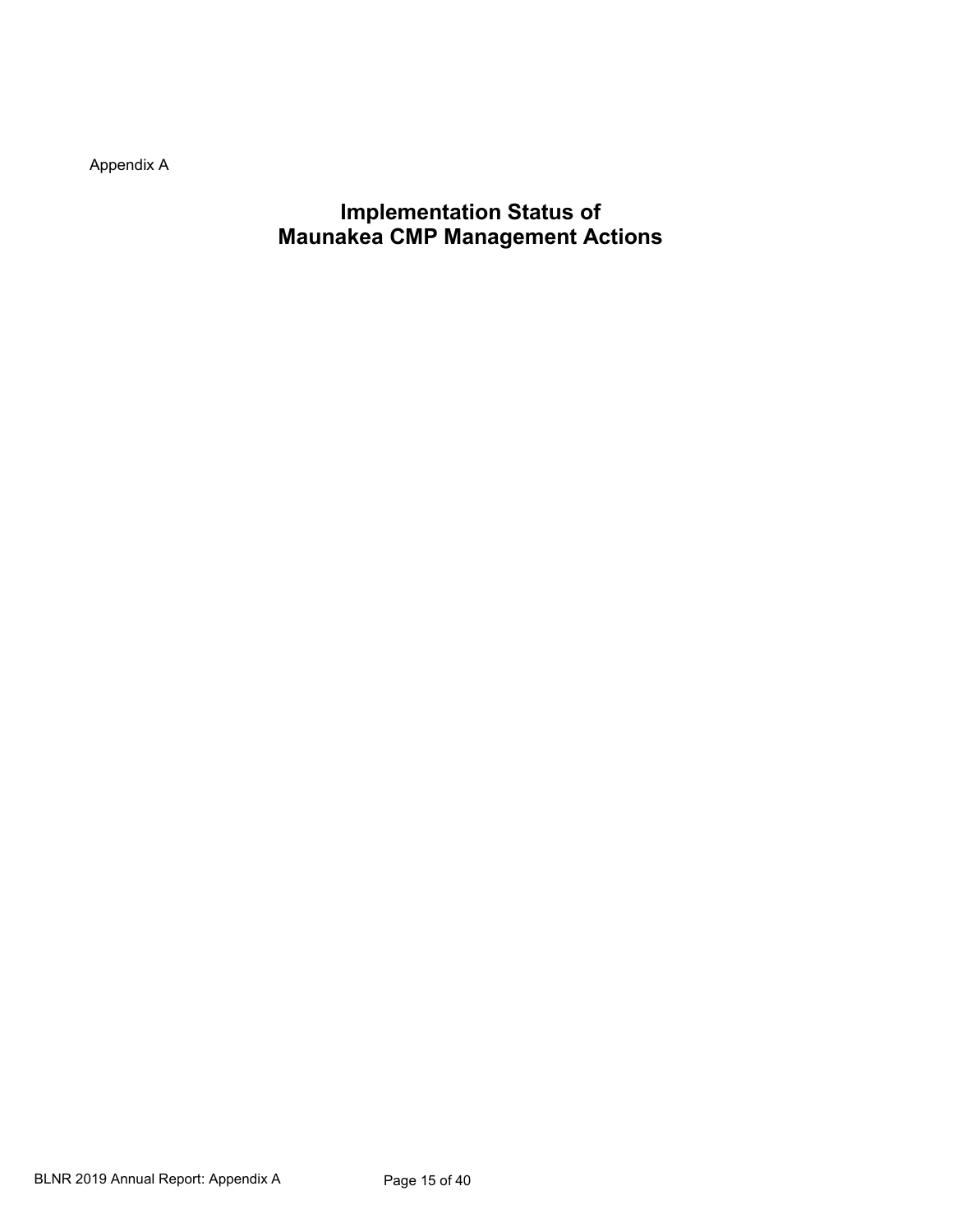Appendix A

**Implementation Status of Maunakea CMP Management Actions**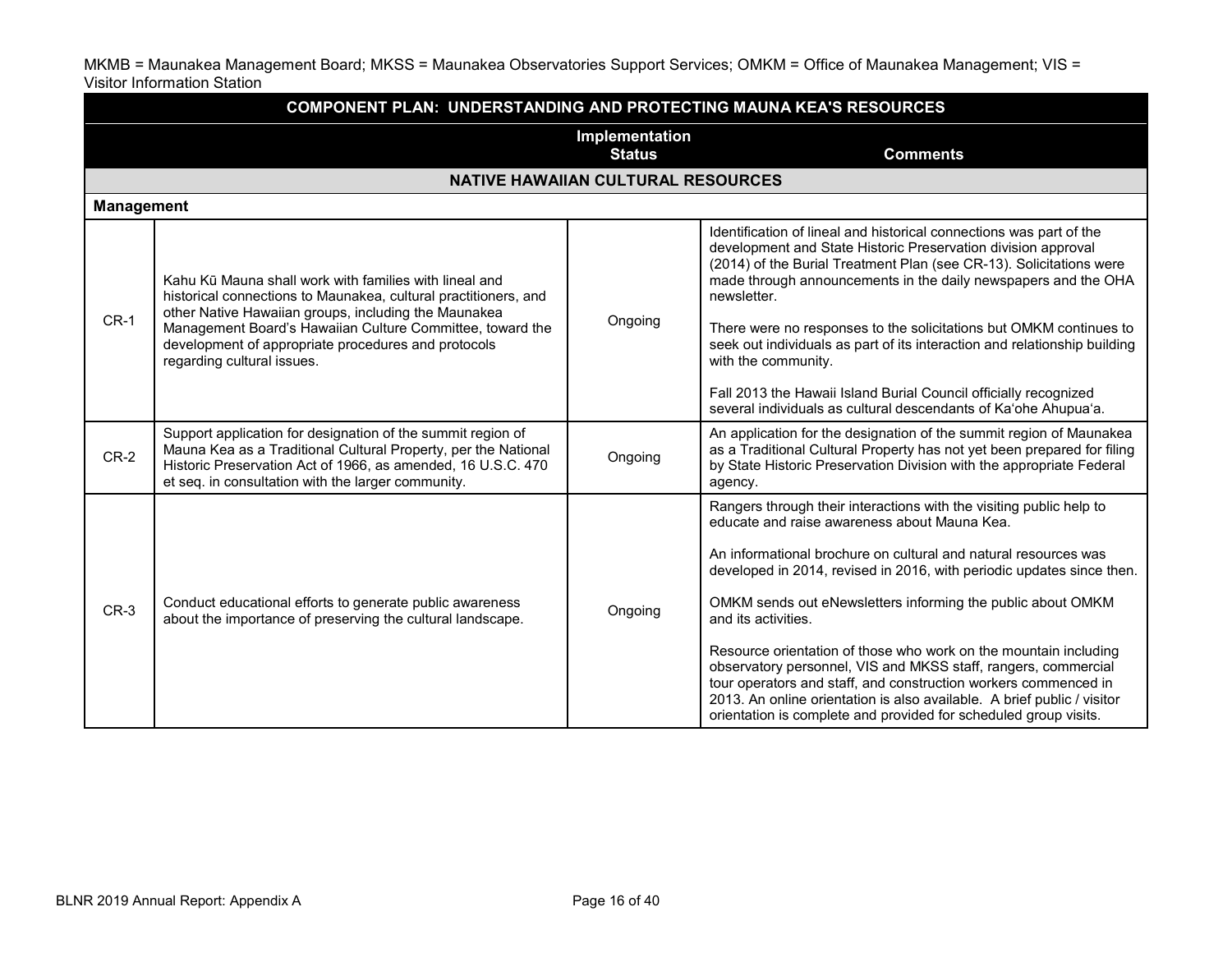MKMB = Maunakea Management Board; MKSS = Maunakea Observatories Support Services; OMKM = Office of Maunakea Management; VIS = Visitor Information Station

| <b>COMPONENT PLAN: UNDERSTANDING AND PROTECTING MAUNA KEA'S RESOURCES</b> |                                                                                                                                                                                                                                                     |                                           |                                                                                                                                                                                                                                                                                                                                                                                                                                                                                                                                                                                                                                                                                                               |  |  |  |
|---------------------------------------------------------------------------|-----------------------------------------------------------------------------------------------------------------------------------------------------------------------------------------------------------------------------------------------------|-------------------------------------------|---------------------------------------------------------------------------------------------------------------------------------------------------------------------------------------------------------------------------------------------------------------------------------------------------------------------------------------------------------------------------------------------------------------------------------------------------------------------------------------------------------------------------------------------------------------------------------------------------------------------------------------------------------------------------------------------------------------|--|--|--|
|                                                                           | Implementation<br><b>Status</b><br><b>Comments</b>                                                                                                                                                                                                  |                                           |                                                                                                                                                                                                                                                                                                                                                                                                                                                                                                                                                                                                                                                                                                               |  |  |  |
|                                                                           |                                                                                                                                                                                                                                                     | <b>NATIVE HAWAIIAN CULTURAL RESOURCES</b> |                                                                                                                                                                                                                                                                                                                                                                                                                                                                                                                                                                                                                                                                                                               |  |  |  |
| <b>Management</b>                                                         |                                                                                                                                                                                                                                                     |                                           |                                                                                                                                                                                                                                                                                                                                                                                                                                                                                                                                                                                                                                                                                                               |  |  |  |
| $CR-1$                                                                    | Kahu Kū Mauna shall work with families with lineal and<br>historical connections to Maunakea, cultural practitioners, and<br>other Native Hawaiian groups, including the Maunakea                                                                   | Ongoing                                   | Identification of lineal and historical connections was part of the<br>development and State Historic Preservation division approval<br>(2014) of the Burial Treatment Plan (see CR-13). Solicitations were<br>made through announcements in the daily newspapers and the OHA<br>newsletter.                                                                                                                                                                                                                                                                                                                                                                                                                  |  |  |  |
|                                                                           | Management Board's Hawaiian Culture Committee, toward the<br>development of appropriate procedures and protocols<br>regarding cultural issues.                                                                                                      |                                           | There were no responses to the solicitations but OMKM continues to<br>seek out individuals as part of its interaction and relationship building<br>with the community.<br>Fall 2013 the Hawaii Island Burial Council officially recognized<br>several individuals as cultural descendants of Ka'ohe Ahupua'a.                                                                                                                                                                                                                                                                                                                                                                                                 |  |  |  |
| $CR-2$                                                                    | Support application for designation of the summit region of<br>Mauna Kea as a Traditional Cultural Property, per the National<br>Historic Preservation Act of 1966, as amended, 16 U.S.C. 470<br>et seq. in consultation with the larger community. | Ongoing                                   | An application for the designation of the summit region of Maunakea<br>as a Traditional Cultural Property has not yet been prepared for filing<br>by State Historic Preservation Division with the appropriate Federal<br>agency.                                                                                                                                                                                                                                                                                                                                                                                                                                                                             |  |  |  |
| $CR-3$                                                                    | Conduct educational efforts to generate public awareness<br>about the importance of preserving the cultural landscape.                                                                                                                              | Ongoing                                   | Rangers through their interactions with the visiting public help to<br>educate and raise awareness about Mauna Kea.<br>An informational brochure on cultural and natural resources was<br>developed in 2014, revised in 2016, with periodic updates since then.<br>OMKM sends out eNewsletters informing the public about OMKM<br>and its activities.<br>Resource orientation of those who work on the mountain including<br>observatory personnel, VIS and MKSS staff, rangers, commercial<br>tour operators and staff, and construction workers commenced in<br>2013. An online orientation is also available. A brief public / visitor<br>orientation is complete and provided for scheduled group visits. |  |  |  |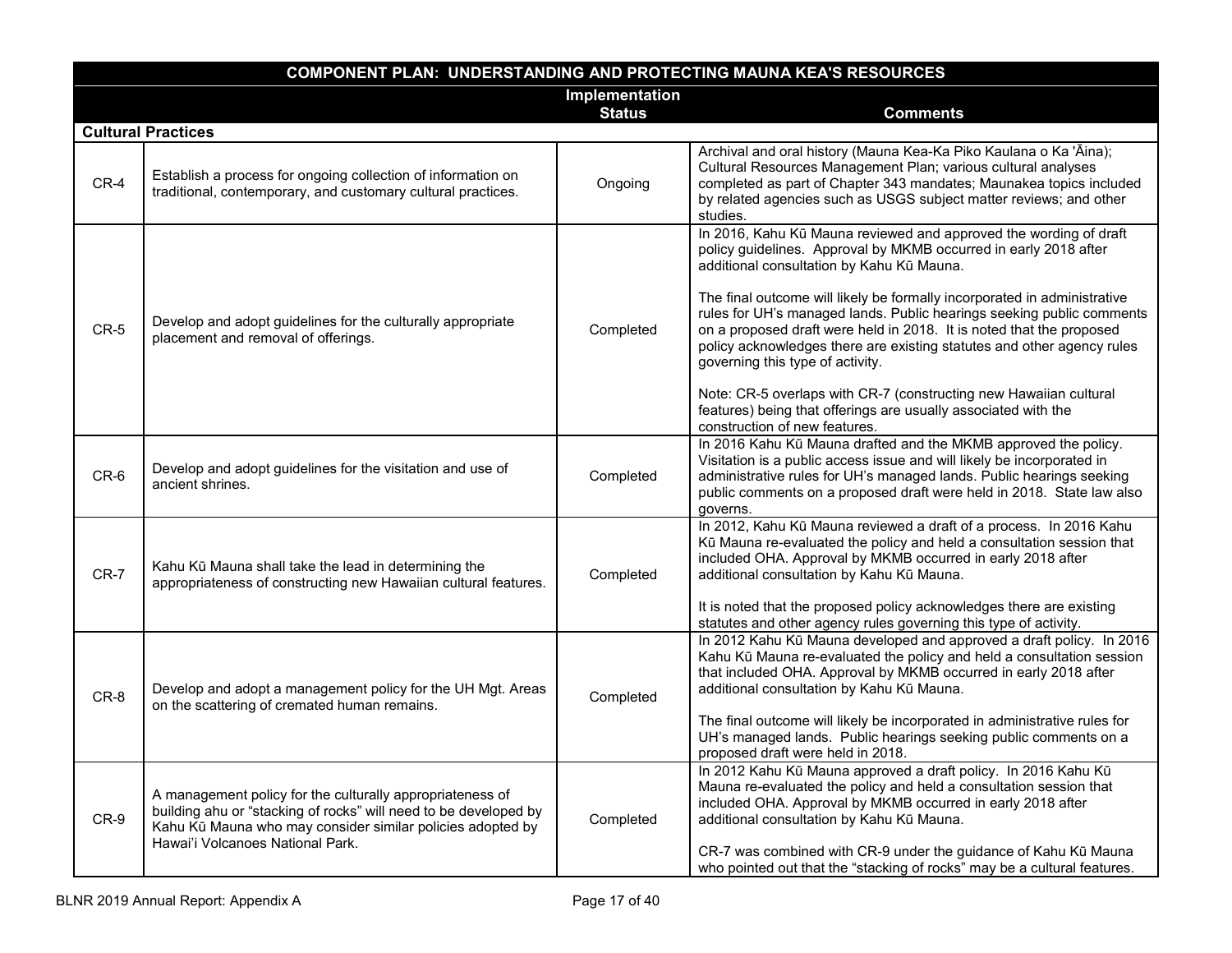| <b>COMPONENT PLAN: UNDERSTANDING AND PROTECTING MAUNA KEA'S RESOURCES</b> |                                                                                                                                                                                                                                 |                                 |                                                                                                                                                                                                                                                                                                                                                                                                                                                                                                                                                                                                                                                                                                       |  |
|---------------------------------------------------------------------------|---------------------------------------------------------------------------------------------------------------------------------------------------------------------------------------------------------------------------------|---------------------------------|-------------------------------------------------------------------------------------------------------------------------------------------------------------------------------------------------------------------------------------------------------------------------------------------------------------------------------------------------------------------------------------------------------------------------------------------------------------------------------------------------------------------------------------------------------------------------------------------------------------------------------------------------------------------------------------------------------|--|
|                                                                           |                                                                                                                                                                                                                                 | Implementation<br><b>Status</b> | <b>Comments</b>                                                                                                                                                                                                                                                                                                                                                                                                                                                                                                                                                                                                                                                                                       |  |
|                                                                           | <b>Cultural Practices</b>                                                                                                                                                                                                       |                                 |                                                                                                                                                                                                                                                                                                                                                                                                                                                                                                                                                                                                                                                                                                       |  |
| $CR-4$                                                                    | Establish a process for ongoing collection of information on<br>traditional, contemporary, and customary cultural practices.                                                                                                    | Ongoing                         | Archival and oral history (Mauna Kea-Ka Piko Kaulana o Ka 'Āina);<br>Cultural Resources Management Plan; various cultural analyses<br>completed as part of Chapter 343 mandates; Maunakea topics included<br>by related agencies such as USGS subject matter reviews; and other<br>studies.                                                                                                                                                                                                                                                                                                                                                                                                           |  |
| $CR-5$                                                                    | Develop and adopt guidelines for the culturally appropriate<br>placement and removal of offerings.                                                                                                                              | Completed                       | In 2016, Kahu Kū Mauna reviewed and approved the wording of draft<br>policy guidelines. Approval by MKMB occurred in early 2018 after<br>additional consultation by Kahu Kū Mauna.<br>The final outcome will likely be formally incorporated in administrative<br>rules for UH's managed lands. Public hearings seeking public comments<br>on a proposed draft were held in 2018. It is noted that the proposed<br>policy acknowledges there are existing statutes and other agency rules<br>governing this type of activity.<br>Note: CR-5 overlaps with CR-7 (constructing new Hawaiian cultural<br>features) being that offerings are usually associated with the<br>construction of new features. |  |
| $CR-6$                                                                    | Develop and adopt guidelines for the visitation and use of<br>ancient shrines.                                                                                                                                                  | Completed                       | In 2016 Kahu Kū Mauna drafted and the MKMB approved the policy.<br>Visitation is a public access issue and will likely be incorporated in<br>administrative rules for UH's managed lands. Public hearings seeking<br>public comments on a proposed draft were held in 2018. State law also<br>governs.                                                                                                                                                                                                                                                                                                                                                                                                |  |
| $CR-7$                                                                    | Kahu Kū Mauna shall take the lead in determining the<br>appropriateness of constructing new Hawaiian cultural features.                                                                                                         | Completed                       | In 2012, Kahu Kū Mauna reviewed a draft of a process. In 2016 Kahu<br>Kū Mauna re-evaluated the policy and held a consultation session that<br>included OHA. Approval by MKMB occurred in early 2018 after<br>additional consultation by Kahu Kū Mauna.<br>It is noted that the proposed policy acknowledges there are existing<br>statutes and other agency rules governing this type of activity.                                                                                                                                                                                                                                                                                                   |  |
| CR-8                                                                      | Develop and adopt a management policy for the UH Mgt. Areas<br>on the scattering of cremated human remains.                                                                                                                     | Completed                       | In 2012 Kahu Kū Mauna developed and approved a draft policy. In 2016<br>Kahu Kū Mauna re-evaluated the policy and held a consultation session<br>that included OHA. Approval by MKMB occurred in early 2018 after<br>additional consultation by Kahu Kū Mauna.<br>The final outcome will likely be incorporated in administrative rules for<br>UH's managed lands. Public hearings seeking public comments on a<br>proposed draft were held in 2018.                                                                                                                                                                                                                                                  |  |
| $CR-9$                                                                    | A management policy for the culturally appropriateness of<br>building ahu or "stacking of rocks" will need to be developed by<br>Kahu Kū Mauna who may consider similar policies adopted by<br>Hawai'i Volcanoes National Park. | Completed                       | In 2012 Kahu Kū Mauna approved a draft policy. In 2016 Kahu Kū<br>Mauna re-evaluated the policy and held a consultation session that<br>included OHA. Approval by MKMB occurred in early 2018 after<br>additional consultation by Kahu Kū Mauna.<br>CR-7 was combined with CR-9 under the guidance of Kahu Kū Mauna<br>who pointed out that the "stacking of rocks" may be a cultural features.                                                                                                                                                                                                                                                                                                       |  |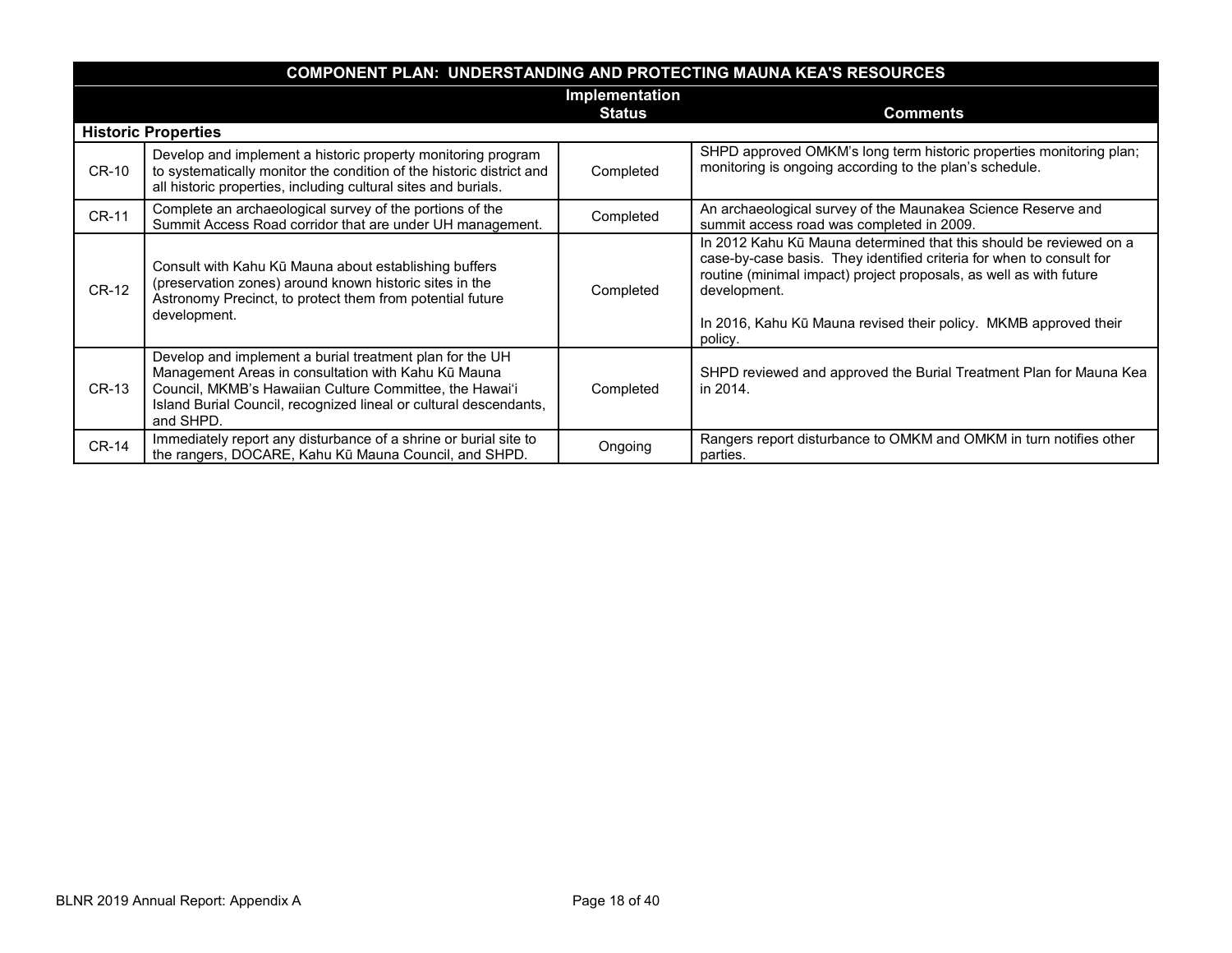|              | <b>COMPONENT PLAN: UNDERSTANDING AND PROTECTING MAUNA KEA'S RESOURCES</b>                                                                                                                                                                                    |           |                                                                                                                                                                                                                                                                                                                 |  |  |  |
|--------------|--------------------------------------------------------------------------------------------------------------------------------------------------------------------------------------------------------------------------------------------------------------|-----------|-----------------------------------------------------------------------------------------------------------------------------------------------------------------------------------------------------------------------------------------------------------------------------------------------------------------|--|--|--|
|              | Implementation<br><b>Comments</b><br><b>Status</b>                                                                                                                                                                                                           |           |                                                                                                                                                                                                                                                                                                                 |  |  |  |
|              | <b>Historic Properties</b>                                                                                                                                                                                                                                   |           |                                                                                                                                                                                                                                                                                                                 |  |  |  |
| CR-10        | Develop and implement a historic property monitoring program<br>to systematically monitor the condition of the historic district and<br>all historic properties, including cultural sites and burials.                                                       | Completed | SHPD approved OMKM's long term historic properties monitoring plan;<br>monitoring is ongoing according to the plan's schedule.                                                                                                                                                                                  |  |  |  |
| <b>CR-11</b> | Complete an archaeological survey of the portions of the<br>Summit Access Road corridor that are under UH management.                                                                                                                                        | Completed | An archaeological survey of the Maunakea Science Reserve and<br>summit access road was completed in 2009.                                                                                                                                                                                                       |  |  |  |
| <b>CR-12</b> | Consult with Kahu Kū Mauna about establishing buffers<br>(preservation zones) around known historic sites in the<br>Astronomy Precinct, to protect them from potential future<br>development.                                                                | Completed | In 2012 Kahu Kū Mauna determined that this should be reviewed on a<br>case-by-case basis. They identified criteria for when to consult for<br>routine (minimal impact) project proposals, as well as with future<br>development.<br>In 2016, Kahu Kū Mauna revised their policy. MKMB approved their<br>policy. |  |  |  |
| CR-13        | Develop and implement a burial treatment plan for the UH<br>Management Areas in consultation with Kahu Kū Mauna<br>Council, MKMB's Hawaiian Culture Committee, the Hawai'i<br>Island Burial Council, recognized lineal or cultural descendants,<br>and SHPD. | Completed | SHPD reviewed and approved the Burial Treatment Plan for Mauna Kea<br>in 2014.                                                                                                                                                                                                                                  |  |  |  |
| <b>CR-14</b> | Immediately report any disturbance of a shrine or burial site to<br>the rangers, DOCARE, Kahu Kū Mauna Council, and SHPD.                                                                                                                                    | Ongoing   | Rangers report disturbance to OMKM and OMKM in turn notifies other<br>parties.                                                                                                                                                                                                                                  |  |  |  |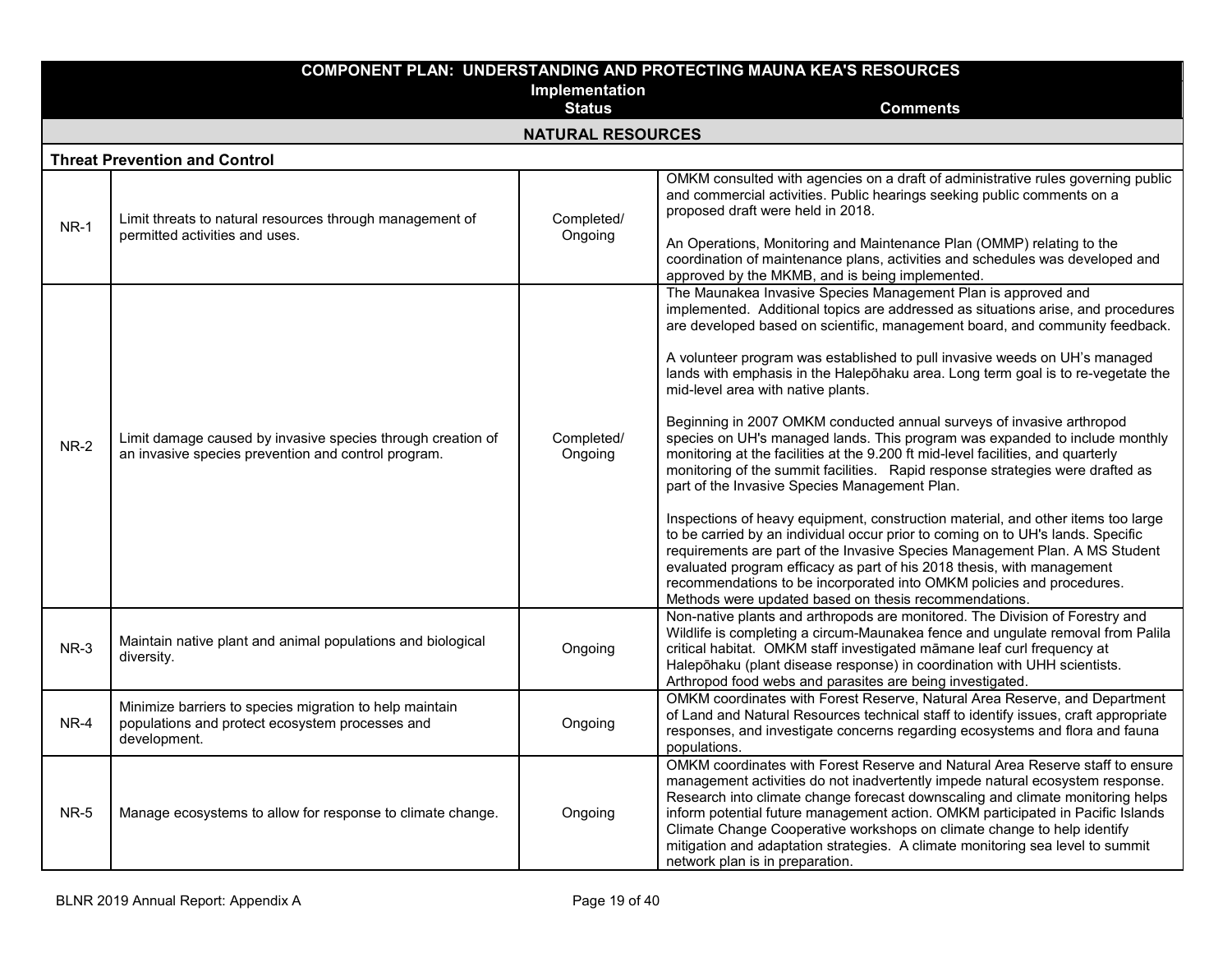|             |                                                                                                                            | Implementation           | <b>COMPONENT PLAN: UNDERSTANDING AND PROTECTING MAUNA KEA'S RESOURCES</b>                                                                                                                                                                                                                                                                                                                                                                                                                                                                                                                                                                                                                                                                                                                                                                                                                                                                                                                                                                                                                                                                                                                                                                                                                  |
|-------------|----------------------------------------------------------------------------------------------------------------------------|--------------------------|--------------------------------------------------------------------------------------------------------------------------------------------------------------------------------------------------------------------------------------------------------------------------------------------------------------------------------------------------------------------------------------------------------------------------------------------------------------------------------------------------------------------------------------------------------------------------------------------------------------------------------------------------------------------------------------------------------------------------------------------------------------------------------------------------------------------------------------------------------------------------------------------------------------------------------------------------------------------------------------------------------------------------------------------------------------------------------------------------------------------------------------------------------------------------------------------------------------------------------------------------------------------------------------------|
|             |                                                                                                                            | <b>Status</b>            | <b>Comments</b>                                                                                                                                                                                                                                                                                                                                                                                                                                                                                                                                                                                                                                                                                                                                                                                                                                                                                                                                                                                                                                                                                                                                                                                                                                                                            |
|             |                                                                                                                            | <b>NATURAL RESOURCES</b> |                                                                                                                                                                                                                                                                                                                                                                                                                                                                                                                                                                                                                                                                                                                                                                                                                                                                                                                                                                                                                                                                                                                                                                                                                                                                                            |
|             | <b>Threat Prevention and Control</b>                                                                                       |                          |                                                                                                                                                                                                                                                                                                                                                                                                                                                                                                                                                                                                                                                                                                                                                                                                                                                                                                                                                                                                                                                                                                                                                                                                                                                                                            |
| $NR-1$      | Limit threats to natural resources through management of<br>permitted activities and uses.                                 | Completed/<br>Ongoing    | OMKM consulted with agencies on a draft of administrative rules governing public<br>and commercial activities. Public hearings seeking public comments on a<br>proposed draft were held in 2018.<br>An Operations, Monitoring and Maintenance Plan (OMMP) relating to the<br>coordination of maintenance plans, activities and schedules was developed and<br>approved by the MKMB, and is being implemented.                                                                                                                                                                                                                                                                                                                                                                                                                                                                                                                                                                                                                                                                                                                                                                                                                                                                              |
| <b>NR-2</b> | Limit damage caused by invasive species through creation of<br>an invasive species prevention and control program.         | Completed/<br>Ongoing    | The Maunakea Invasive Species Management Plan is approved and<br>implemented. Additional topics are addressed as situations arise, and procedures<br>are developed based on scientific, management board, and community feedback.<br>A volunteer program was established to pull invasive weeds on UH's managed<br>lands with emphasis in the Halepohaku area. Long term goal is to re-vegetate the<br>mid-level area with native plants.<br>Beginning in 2007 OMKM conducted annual surveys of invasive arthropod<br>species on UH's managed lands. This program was expanded to include monthly<br>monitoring at the facilities at the 9.200 ft mid-level facilities, and quarterly<br>monitoring of the summit facilities. Rapid response strategies were drafted as<br>part of the Invasive Species Management Plan.<br>Inspections of heavy equipment, construction material, and other items too large<br>to be carried by an individual occur prior to coming on to UH's lands. Specific<br>requirements are part of the Invasive Species Management Plan. A MS Student<br>evaluated program efficacy as part of his 2018 thesis, with management<br>recommendations to be incorporated into OMKM policies and procedures.<br>Methods were updated based on thesis recommendations. |
| $NR-3$      | Maintain native plant and animal populations and biological<br>diversity.                                                  | Ongoing                  | Non-native plants and arthropods are monitored. The Division of Forestry and<br>Wildlife is completing a circum-Maunakea fence and ungulate removal from Palila<br>critical habitat. OMKM staff investigated māmane leaf curl frequency at<br>Halepōhaku (plant disease response) in coordination with UHH scientists.<br>Arthropod food webs and parasites are being investigated.                                                                                                                                                                                                                                                                                                                                                                                                                                                                                                                                                                                                                                                                                                                                                                                                                                                                                                        |
| NR-4        | Minimize barriers to species migration to help maintain<br>populations and protect ecosystem processes and<br>development. | Ongoing                  | OMKM coordinates with Forest Reserve, Natural Area Reserve, and Department<br>of Land and Natural Resources technical staff to identify issues, craft appropriate<br>responses, and investigate concerns regarding ecosystems and flora and fauna<br>populations.                                                                                                                                                                                                                                                                                                                                                                                                                                                                                                                                                                                                                                                                                                                                                                                                                                                                                                                                                                                                                          |
| NR-5        | Manage ecosystems to allow for response to climate change.                                                                 | Ongoing                  | OMKM coordinates with Forest Reserve and Natural Area Reserve staff to ensure<br>management activities do not inadvertently impede natural ecosystem response.<br>Research into climate change forecast downscaling and climate monitoring helps<br>inform potential future management action. OMKM participated in Pacific Islands<br>Climate Change Cooperative workshops on climate change to help identify<br>mitigation and adaptation strategies. A climate monitoring sea level to summit<br>network plan is in preparation.                                                                                                                                                                                                                                                                                                                                                                                                                                                                                                                                                                                                                                                                                                                                                        |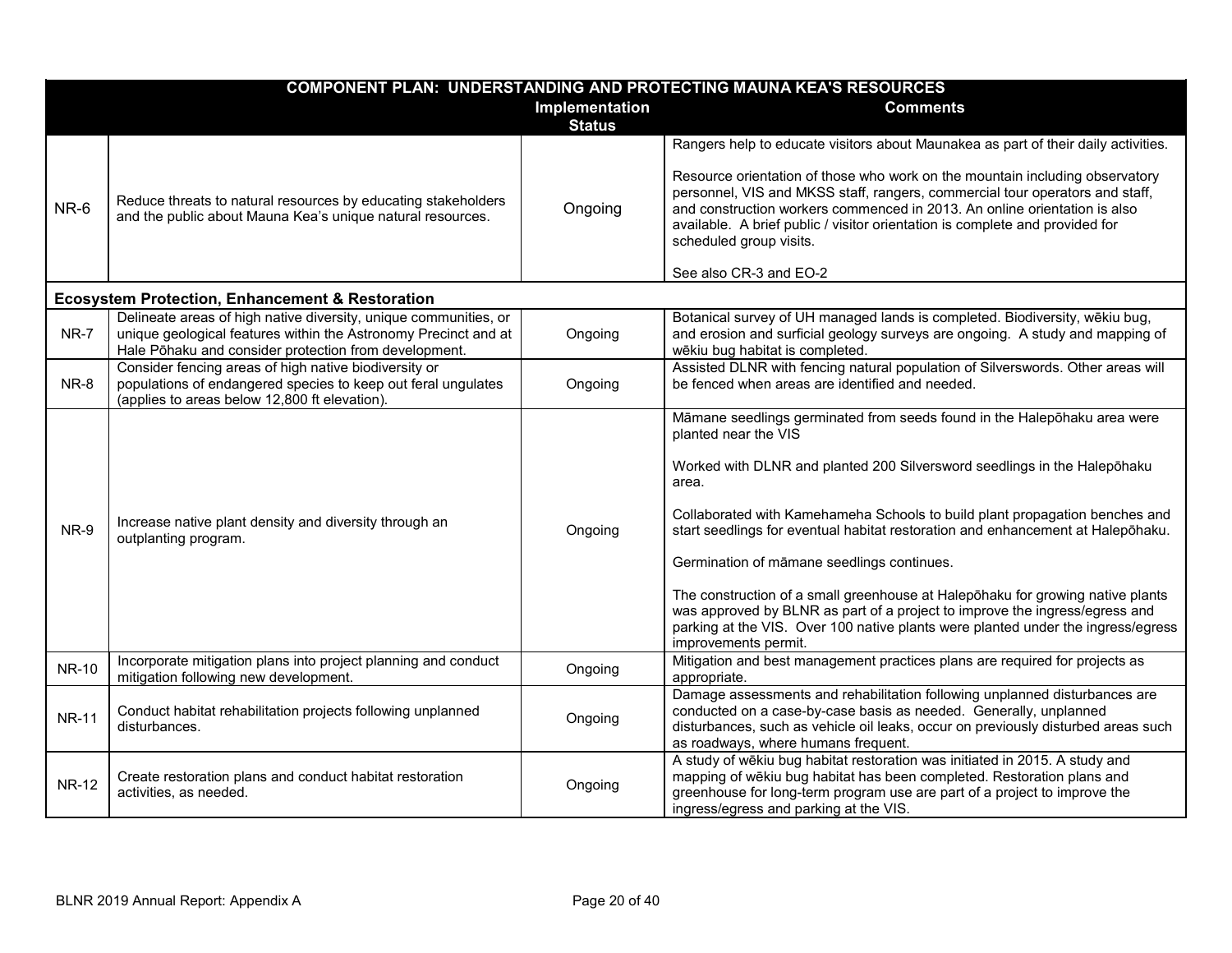|              |                                                                                                                                                                                              |                                 | <b>COMPONENT PLAN: UNDERSTANDING AND PROTECTING MAUNA KEA'S RESOURCES</b>                                                                                                                                                                                                                                                                                                                                                                                                                                                                                                                                                                                                          |
|--------------|----------------------------------------------------------------------------------------------------------------------------------------------------------------------------------------------|---------------------------------|------------------------------------------------------------------------------------------------------------------------------------------------------------------------------------------------------------------------------------------------------------------------------------------------------------------------------------------------------------------------------------------------------------------------------------------------------------------------------------------------------------------------------------------------------------------------------------------------------------------------------------------------------------------------------------|
|              |                                                                                                                                                                                              | Implementation<br><b>Status</b> | <b>Comments</b>                                                                                                                                                                                                                                                                                                                                                                                                                                                                                                                                                                                                                                                                    |
| NR-6         | Reduce threats to natural resources by educating stakeholders<br>and the public about Mauna Kea's unique natural resources.                                                                  | Ongoing                         | Rangers help to educate visitors about Maunakea as part of their daily activities.<br>Resource orientation of those who work on the mountain including observatory<br>personnel, VIS and MKSS staff, rangers, commercial tour operators and staff,<br>and construction workers commenced in 2013. An online orientation is also<br>available. A brief public / visitor orientation is complete and provided for<br>scheduled group visits.<br>See also CR-3 and EO-2                                                                                                                                                                                                               |
|              | <b>Ecosystem Protection, Enhancement &amp; Restoration</b>                                                                                                                                   |                                 |                                                                                                                                                                                                                                                                                                                                                                                                                                                                                                                                                                                                                                                                                    |
| NR-7         | Delineate areas of high native diversity, unique communities, or<br>unique geological features within the Astronomy Precinct and at<br>Hale Pōhaku and consider protection from development. | Ongoing                         | Botanical survey of UH managed lands is completed. Biodiversity, wēkiu bug,<br>and erosion and surficial geology surveys are ongoing. A study and mapping of<br>wēkiu bug habitat is completed.                                                                                                                                                                                                                                                                                                                                                                                                                                                                                    |
| NR-8         | Consider fencing areas of high native biodiversity or<br>populations of endangered species to keep out feral ungulates<br>(applies to areas below 12,800 ft elevation).                      | Ongoing                         | Assisted DLNR with fencing natural population of Silverswords. Other areas will<br>be fenced when areas are identified and needed.                                                                                                                                                                                                                                                                                                                                                                                                                                                                                                                                                 |
| NR-9         | Increase native plant density and diversity through an<br>outplanting program.                                                                                                               | Ongoing                         | Māmane seedlings germinated from seeds found in the Halepohaku area were<br>planted near the VIS<br>Worked with DLNR and planted 200 Silversword seedlings in the Haleponaku<br>area.<br>Collaborated with Kamehameha Schools to build plant propagation benches and<br>start seedlings for eventual habitat restoration and enhancement at Halepohaku.<br>Germination of māmane seedlings continues.<br>The construction of a small greenhouse at Halepohaku for growing native plants<br>was approved by BLNR as part of a project to improve the ingress/egress and<br>parking at the VIS. Over 100 native plants were planted under the ingress/egress<br>improvements permit. |
| <b>NR-10</b> | Incorporate mitigation plans into project planning and conduct<br>mitigation following new development.                                                                                      | Ongoing                         | Mitigation and best management practices plans are required for projects as<br>appropriate.                                                                                                                                                                                                                                                                                                                                                                                                                                                                                                                                                                                        |
| <b>NR-11</b> | Conduct habitat rehabilitation projects following unplanned<br>disturbances.                                                                                                                 | Ongoing                         | Damage assessments and rehabilitation following unplanned disturbances are<br>conducted on a case-by-case basis as needed. Generally, unplanned<br>disturbances, such as vehicle oil leaks, occur on previously disturbed areas such<br>as roadways, where humans frequent.                                                                                                                                                                                                                                                                                                                                                                                                        |
| <b>NR-12</b> | Create restoration plans and conduct habitat restoration<br>activities, as needed.                                                                                                           | Ongoing                         | A study of wēkiu bug habitat restoration was initiated in 2015. A study and<br>mapping of wēkiu bug habitat has been completed. Restoration plans and<br>greenhouse for long-term program use are part of a project to improve the<br>ingress/egress and parking at the VIS.                                                                                                                                                                                                                                                                                                                                                                                                       |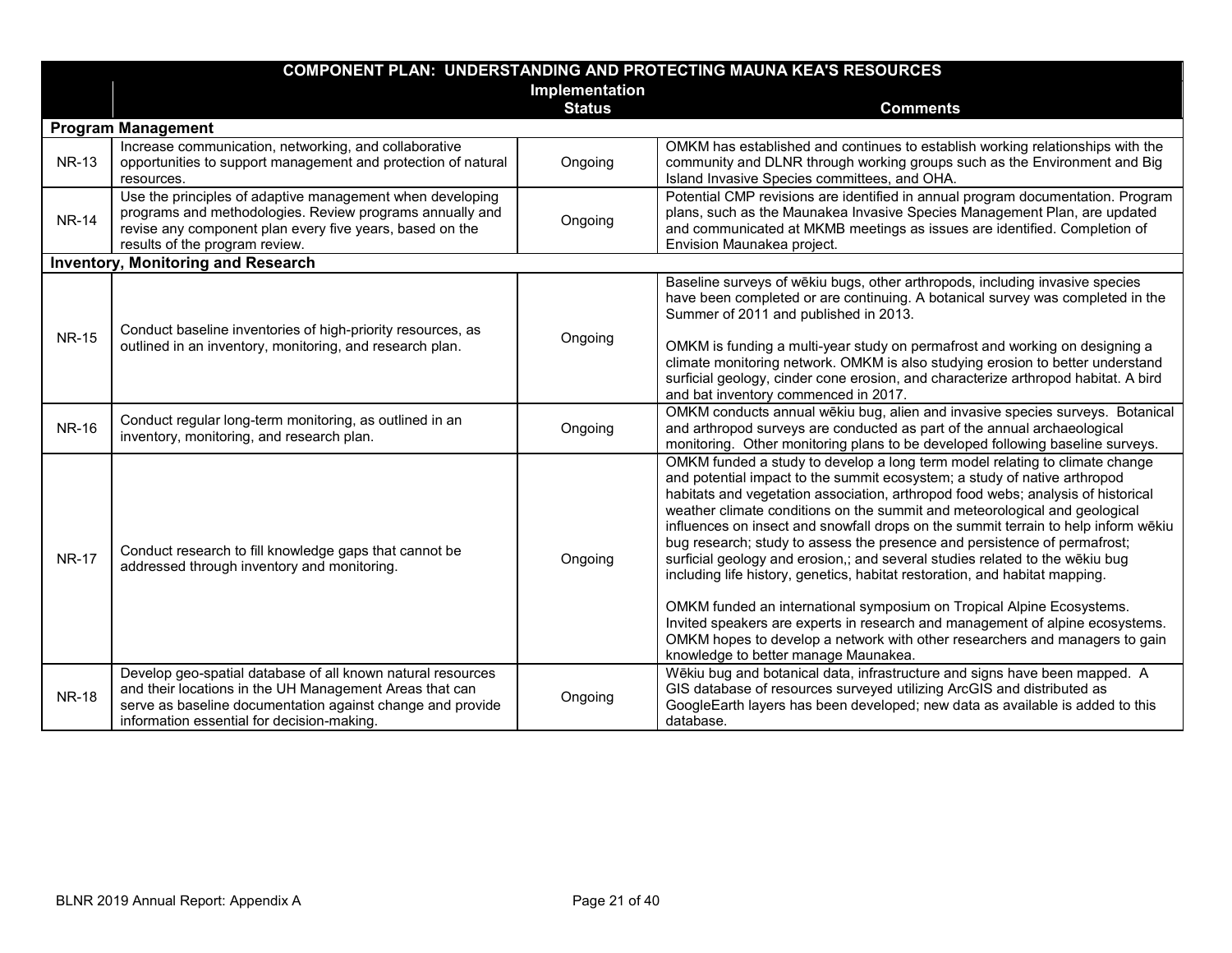| <b>COMPONENT PLAN: UNDERSTANDING AND PROTECTING MAUNA KEA'S RESOURCES</b> |                                                                                                                                                                                                                                    |                |                                                                                                                                                                                                                                                                                                                                                                                                                                                                                                                                                                                                                                                                                                                                       |
|---------------------------------------------------------------------------|------------------------------------------------------------------------------------------------------------------------------------------------------------------------------------------------------------------------------------|----------------|---------------------------------------------------------------------------------------------------------------------------------------------------------------------------------------------------------------------------------------------------------------------------------------------------------------------------------------------------------------------------------------------------------------------------------------------------------------------------------------------------------------------------------------------------------------------------------------------------------------------------------------------------------------------------------------------------------------------------------------|
|                                                                           |                                                                                                                                                                                                                                    | Implementation |                                                                                                                                                                                                                                                                                                                                                                                                                                                                                                                                                                                                                                                                                                                                       |
|                                                                           |                                                                                                                                                                                                                                    | <b>Status</b>  | <b>Comments</b>                                                                                                                                                                                                                                                                                                                                                                                                                                                                                                                                                                                                                                                                                                                       |
|                                                                           | <b>Program Management</b>                                                                                                                                                                                                          |                |                                                                                                                                                                                                                                                                                                                                                                                                                                                                                                                                                                                                                                                                                                                                       |
| <b>NR-13</b>                                                              | Increase communication, networking, and collaborative<br>opportunities to support management and protection of natural<br>resources.                                                                                               | Ongoing        | OMKM has established and continues to establish working relationships with the<br>community and DLNR through working groups such as the Environment and Big<br>Island Invasive Species committees, and OHA.                                                                                                                                                                                                                                                                                                                                                                                                                                                                                                                           |
| <b>NR-14</b>                                                              | Use the principles of adaptive management when developing<br>programs and methodologies. Review programs annually and<br>revise any component plan every five years, based on the<br>results of the program review.                | Ongoing        | Potential CMP revisions are identified in annual program documentation. Program<br>plans, such as the Maunakea Invasive Species Management Plan, are updated<br>and communicated at MKMB meetings as issues are identified. Completion of<br>Envision Maunakea project.                                                                                                                                                                                                                                                                                                                                                                                                                                                               |
|                                                                           | <b>Inventory, Monitoring and Research</b>                                                                                                                                                                                          |                |                                                                                                                                                                                                                                                                                                                                                                                                                                                                                                                                                                                                                                                                                                                                       |
| <b>NR-15</b>                                                              | Conduct baseline inventories of high-priority resources, as<br>outlined in an inventory, monitoring, and research plan.                                                                                                            | Ongoing        | Baseline surveys of wēkiu bugs, other arthropods, including invasive species<br>have been completed or are continuing. A botanical survey was completed in the<br>Summer of 2011 and published in 2013.<br>OMKM is funding a multi-year study on permafrost and working on designing a                                                                                                                                                                                                                                                                                                                                                                                                                                                |
|                                                                           |                                                                                                                                                                                                                                    |                | climate monitoring network. OMKM is also studying erosion to better understand<br>surficial geology, cinder cone erosion, and characterize arthropod habitat. A bird<br>and bat inventory commenced in 2017.                                                                                                                                                                                                                                                                                                                                                                                                                                                                                                                          |
| <b>NR-16</b>                                                              | Conduct regular long-term monitoring, as outlined in an<br>inventory, monitoring, and research plan.                                                                                                                               | Ongoing        | OMKM conducts annual wēkiu bug, alien and invasive species surveys. Botanical<br>and arthropod surveys are conducted as part of the annual archaeological<br>monitoring. Other monitoring plans to be developed following baseline surveys.                                                                                                                                                                                                                                                                                                                                                                                                                                                                                           |
| <b>NR-17</b>                                                              | Conduct research to fill knowledge gaps that cannot be<br>addressed through inventory and monitoring.                                                                                                                              | Ongoing        | OMKM funded a study to develop a long term model relating to climate change<br>and potential impact to the summit ecosystem; a study of native arthropod<br>habitats and vegetation association, arthropod food webs; analysis of historical<br>weather climate conditions on the summit and meteorological and geological<br>influences on insect and snowfall drops on the summit terrain to help inform wēkiu<br>bug research; study to assess the presence and persistence of permafrost;<br>surficial geology and erosion,; and several studies related to the wēkiu bug<br>including life history, genetics, habitat restoration, and habitat mapping.<br>OMKM funded an international symposium on Tropical Alpine Ecosystems. |
|                                                                           |                                                                                                                                                                                                                                    |                | Invited speakers are experts in research and management of alpine ecosystems.<br>OMKM hopes to develop a network with other researchers and managers to gain<br>knowledge to better manage Maunakea.                                                                                                                                                                                                                                                                                                                                                                                                                                                                                                                                  |
| <b>NR-18</b>                                                              | Develop geo-spatial database of all known natural resources<br>and their locations in the UH Management Areas that can<br>serve as baseline documentation against change and provide<br>information essential for decision-making. | Ongoing        | Wēkiu bug and botanical data, infrastructure and signs have been mapped. A<br>GIS database of resources surveyed utilizing ArcGIS and distributed as<br>GoogleEarth layers has been developed; new data as available is added to this<br>database.                                                                                                                                                                                                                                                                                                                                                                                                                                                                                    |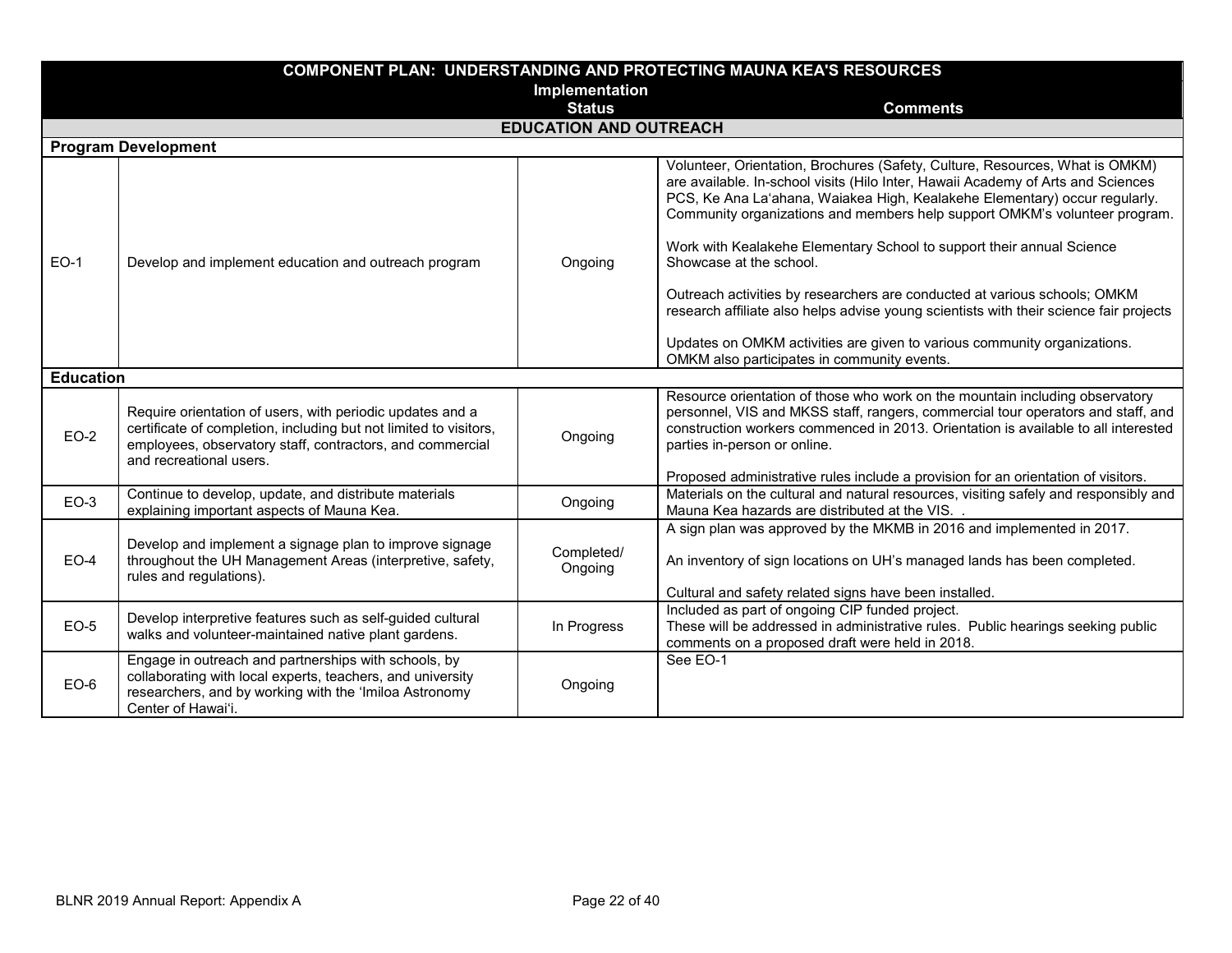|                  | <b>COMPONENT PLAN: UNDERSTANDING AND PROTECTING MAUNA KEA'S RESOURCES</b>                                                                                                                                              |                               |                                                                                                                                                                                                                                                                                                                                                                             |  |  |
|------------------|------------------------------------------------------------------------------------------------------------------------------------------------------------------------------------------------------------------------|-------------------------------|-----------------------------------------------------------------------------------------------------------------------------------------------------------------------------------------------------------------------------------------------------------------------------------------------------------------------------------------------------------------------------|--|--|
|                  | Implementation                                                                                                                                                                                                         |                               |                                                                                                                                                                                                                                                                                                                                                                             |  |  |
|                  |                                                                                                                                                                                                                        | <b>Status</b>                 | <b>Comments</b>                                                                                                                                                                                                                                                                                                                                                             |  |  |
|                  |                                                                                                                                                                                                                        | <b>EDUCATION AND OUTREACH</b> |                                                                                                                                                                                                                                                                                                                                                                             |  |  |
|                  | <b>Program Development</b>                                                                                                                                                                                             |                               |                                                                                                                                                                                                                                                                                                                                                                             |  |  |
|                  |                                                                                                                                                                                                                        |                               | Volunteer, Orientation, Brochures (Safety, Culture, Resources, What is OMKM)<br>are available. In-school visits (Hilo Inter, Hawaii Academy of Arts and Sciences<br>PCS, Ke Ana La'ahana, Waiakea High, Kealakehe Elementary) occur regularly.<br>Community organizations and members help support OMKM's volunteer program.                                                |  |  |
| $EO-1$           | Develop and implement education and outreach program                                                                                                                                                                   | Ongoing                       | Work with Kealakehe Elementary School to support their annual Science<br>Showcase at the school.                                                                                                                                                                                                                                                                            |  |  |
|                  |                                                                                                                                                                                                                        |                               | Outreach activities by researchers are conducted at various schools; OMKM<br>research affiliate also helps advise young scientists with their science fair projects                                                                                                                                                                                                         |  |  |
|                  |                                                                                                                                                                                                                        |                               | Updates on OMKM activities are given to various community organizations.<br>OMKM also participates in community events.                                                                                                                                                                                                                                                     |  |  |
| <b>Education</b> |                                                                                                                                                                                                                        |                               |                                                                                                                                                                                                                                                                                                                                                                             |  |  |
| $EO-2$           | Require orientation of users, with periodic updates and a<br>certificate of completion, including but not limited to visitors,<br>employees, observatory staff, contractors, and commercial<br>and recreational users. | Ongoing                       | Resource orientation of those who work on the mountain including observatory<br>personnel, VIS and MKSS staff, rangers, commercial tour operators and staff, and<br>construction workers commenced in 2013. Orientation is available to all interested<br>parties in-person or online.<br>Proposed administrative rules include a provision for an orientation of visitors. |  |  |
|                  | Continue to develop, update, and distribute materials                                                                                                                                                                  |                               | Materials on the cultural and natural resources, visiting safely and responsibly and                                                                                                                                                                                                                                                                                        |  |  |
| $EO-3$           | explaining important aspects of Mauna Kea.                                                                                                                                                                             | Ongoing                       | Mauna Kea hazards are distributed at the VIS.                                                                                                                                                                                                                                                                                                                               |  |  |
| $EO-4$           | Develop and implement a signage plan to improve signage<br>throughout the UH Management Areas (interpretive, safety,<br>rules and regulations).                                                                        | Completed/<br>Ongoing         | A sign plan was approved by the MKMB in 2016 and implemented in 2017.<br>An inventory of sign locations on UH's managed lands has been completed.<br>Cultural and safety related signs have been installed.                                                                                                                                                                 |  |  |
| $EO-5$           | Develop interpretive features such as self-guided cultural<br>walks and volunteer-maintained native plant gardens.                                                                                                     | In Progress                   | Included as part of ongoing CIP funded project.<br>These will be addressed in administrative rules. Public hearings seeking public<br>comments on a proposed draft were held in 2018.                                                                                                                                                                                       |  |  |
| $EO-6$           | Engage in outreach and partnerships with schools, by<br>collaborating with local experts, teachers, and university<br>researchers, and by working with the 'Imiloa Astronomy<br>Center of Hawai'i.                     | Ongoing                       | See EO-1                                                                                                                                                                                                                                                                                                                                                                    |  |  |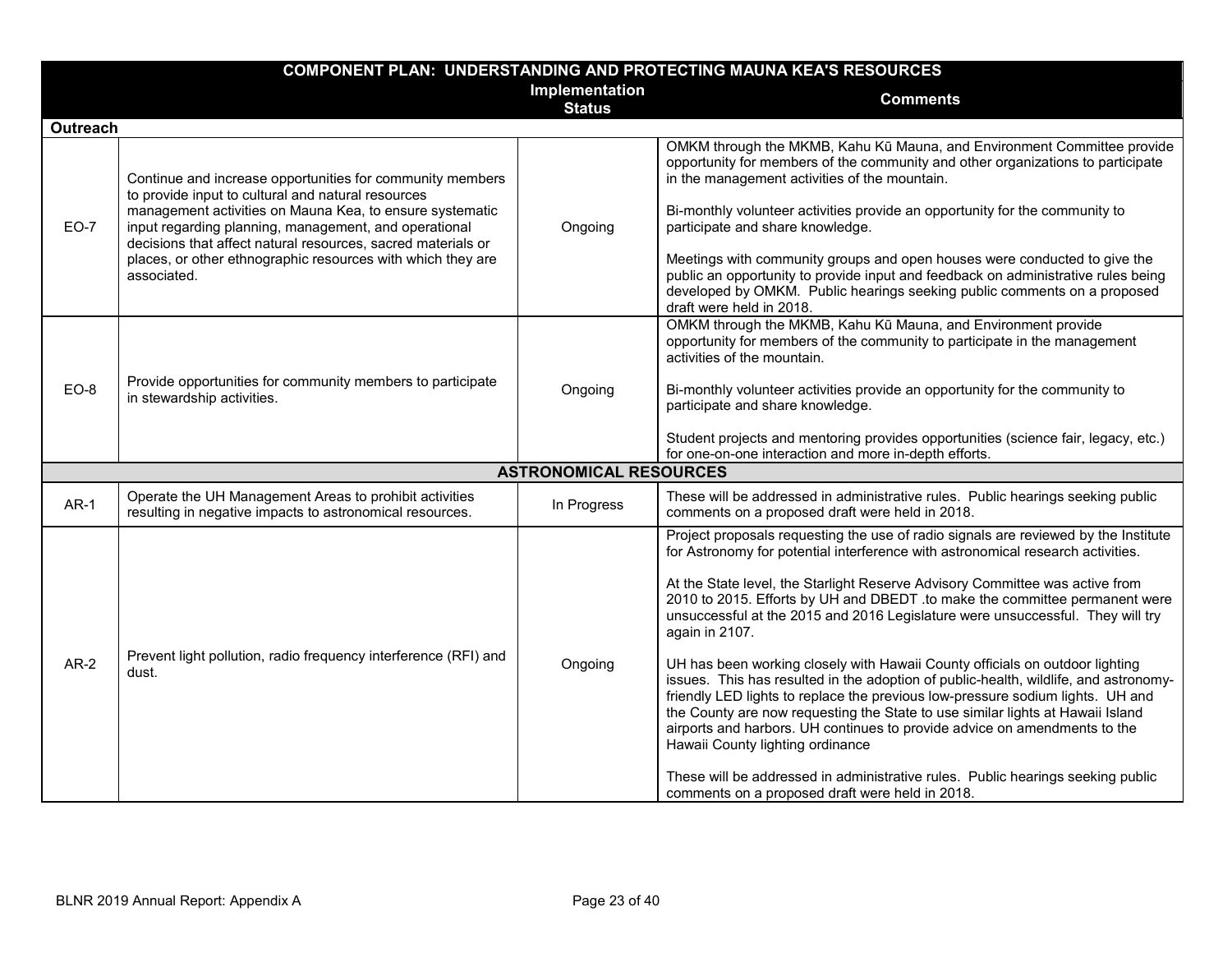| <b>COMPONENT PLAN: UNDERSTANDING AND PROTECTING MAUNA KEA'S RESOURCES</b> |                                                                                                                                                                                                                                                                                                                                                                                    |                                 |                                                                                                                                                                                                                                                                                                                                                                                                                                                                                                                                                                                                                                                                                                                                                                                                                                                                                                                                                                                                                                              |
|---------------------------------------------------------------------------|------------------------------------------------------------------------------------------------------------------------------------------------------------------------------------------------------------------------------------------------------------------------------------------------------------------------------------------------------------------------------------|---------------------------------|----------------------------------------------------------------------------------------------------------------------------------------------------------------------------------------------------------------------------------------------------------------------------------------------------------------------------------------------------------------------------------------------------------------------------------------------------------------------------------------------------------------------------------------------------------------------------------------------------------------------------------------------------------------------------------------------------------------------------------------------------------------------------------------------------------------------------------------------------------------------------------------------------------------------------------------------------------------------------------------------------------------------------------------------|
|                                                                           |                                                                                                                                                                                                                                                                                                                                                                                    | Implementation<br><b>Status</b> | <b>Comments</b>                                                                                                                                                                                                                                                                                                                                                                                                                                                                                                                                                                                                                                                                                                                                                                                                                                                                                                                                                                                                                              |
| <b>Outreach</b>                                                           |                                                                                                                                                                                                                                                                                                                                                                                    |                                 |                                                                                                                                                                                                                                                                                                                                                                                                                                                                                                                                                                                                                                                                                                                                                                                                                                                                                                                                                                                                                                              |
| <b>EO-7</b>                                                               | Continue and increase opportunities for community members<br>to provide input to cultural and natural resources<br>management activities on Mauna Kea, to ensure systematic<br>input regarding planning, management, and operational<br>decisions that affect natural resources, sacred materials or<br>places, or other ethnographic resources with which they are<br>associated. | Ongoing                         | OMKM through the MKMB, Kahu Kū Mauna, and Environment Committee provide<br>opportunity for members of the community and other organizations to participate<br>in the management activities of the mountain.<br>Bi-monthly volunteer activities provide an opportunity for the community to<br>participate and share knowledge.<br>Meetings with community groups and open houses were conducted to give the<br>public an opportunity to provide input and feedback on administrative rules being<br>developed by OMKM. Public hearings seeking public comments on a proposed<br>draft were held in 2018.                                                                                                                                                                                                                                                                                                                                                                                                                                     |
| $EO-8$                                                                    | Provide opportunities for community members to participate<br>in stewardship activities.                                                                                                                                                                                                                                                                                           | Ongoing                         | OMKM through the MKMB, Kahu Kū Mauna, and Environment provide<br>opportunity for members of the community to participate in the management<br>activities of the mountain.<br>Bi-monthly volunteer activities provide an opportunity for the community to<br>participate and share knowledge.<br>Student projects and mentoring provides opportunities (science fair, legacy, etc.)<br>for one-on-one interaction and more in-depth efforts.                                                                                                                                                                                                                                                                                                                                                                                                                                                                                                                                                                                                  |
|                                                                           |                                                                                                                                                                                                                                                                                                                                                                                    | <b>ASTRONOMICAL RESOURCES</b>   |                                                                                                                                                                                                                                                                                                                                                                                                                                                                                                                                                                                                                                                                                                                                                                                                                                                                                                                                                                                                                                              |
| $AR-1$                                                                    | Operate the UH Management Areas to prohibit activities<br>resulting in negative impacts to astronomical resources.                                                                                                                                                                                                                                                                 | In Progress                     | These will be addressed in administrative rules. Public hearings seeking public<br>comments on a proposed draft were held in 2018.                                                                                                                                                                                                                                                                                                                                                                                                                                                                                                                                                                                                                                                                                                                                                                                                                                                                                                           |
| $AR-2$                                                                    | Prevent light pollution, radio frequency interference (RFI) and<br>dust.                                                                                                                                                                                                                                                                                                           | Ongoing                         | Project proposals requesting the use of radio signals are reviewed by the Institute<br>for Astronomy for potential interference with astronomical research activities.<br>At the State level, the Starlight Reserve Advisory Committee was active from<br>2010 to 2015. Efforts by UH and DBEDT .to make the committee permanent were<br>unsuccessful at the 2015 and 2016 Legislature were unsuccessful. They will try<br>again in 2107.<br>UH has been working closely with Hawaii County officials on outdoor lighting<br>issues. This has resulted in the adoption of public-health, wildlife, and astronomy-<br>friendly LED lights to replace the previous low-pressure sodium lights. UH and<br>the County are now requesting the State to use similar lights at Hawaii Island<br>airports and harbors. UH continues to provide advice on amendments to the<br>Hawaii County lighting ordinance<br>These will be addressed in administrative rules. Public hearings seeking public<br>comments on a proposed draft were held in 2018. |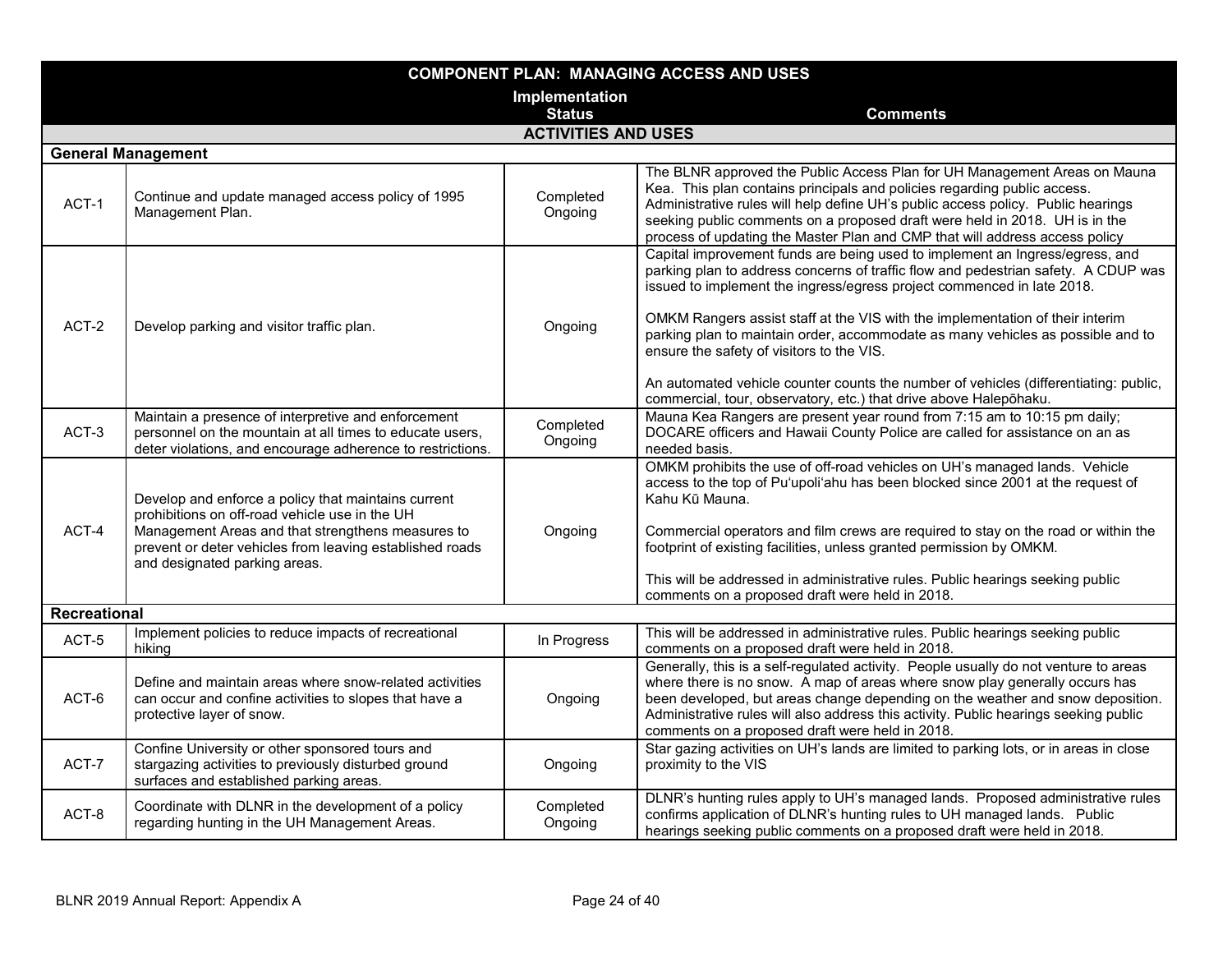| <b>COMPONENT PLAN: MANAGING ACCESS AND USES</b> |                                                                                                                                                                                                                                                         |                            |                                                                                                                                                                                                                                                                                                                                                                                                                                 |
|-------------------------------------------------|---------------------------------------------------------------------------------------------------------------------------------------------------------------------------------------------------------------------------------------------------------|----------------------------|---------------------------------------------------------------------------------------------------------------------------------------------------------------------------------------------------------------------------------------------------------------------------------------------------------------------------------------------------------------------------------------------------------------------------------|
|                                                 |                                                                                                                                                                                                                                                         | Implementation             |                                                                                                                                                                                                                                                                                                                                                                                                                                 |
|                                                 |                                                                                                                                                                                                                                                         | <b>Status</b>              | <b>Comments</b>                                                                                                                                                                                                                                                                                                                                                                                                                 |
|                                                 |                                                                                                                                                                                                                                                         | <b>ACTIVITIES AND USES</b> |                                                                                                                                                                                                                                                                                                                                                                                                                                 |
|                                                 | <b>General Management</b>                                                                                                                                                                                                                               |                            |                                                                                                                                                                                                                                                                                                                                                                                                                                 |
| ACT-1                                           | Continue and update managed access policy of 1995<br>Management Plan.                                                                                                                                                                                   | Completed<br>Ongoing       | The BLNR approved the Public Access Plan for UH Management Areas on Mauna<br>Kea. This plan contains principals and policies regarding public access.<br>Administrative rules will help define UH's public access policy. Public hearings<br>seeking public comments on a proposed draft were held in 2018. UH is in the<br>process of updating the Master Plan and CMP that will address access policy                         |
|                                                 |                                                                                                                                                                                                                                                         |                            | Capital improvement funds are being used to implement an Ingress/egress, and<br>parking plan to address concerns of traffic flow and pedestrian safety. A CDUP was<br>issued to implement the ingress/egress project commenced in late 2018.                                                                                                                                                                                    |
| ACT-2                                           | Develop parking and visitor traffic plan.                                                                                                                                                                                                               | Ongoing                    | OMKM Rangers assist staff at the VIS with the implementation of their interim<br>parking plan to maintain order, accommodate as many vehicles as possible and to<br>ensure the safety of visitors to the VIS.                                                                                                                                                                                                                   |
|                                                 |                                                                                                                                                                                                                                                         |                            | An automated vehicle counter counts the number of vehicles (differentiating: public,<br>commercial, tour, observatory, etc.) that drive above Halepōhaku.                                                                                                                                                                                                                                                                       |
| ACT-3                                           | Maintain a presence of interpretive and enforcement<br>personnel on the mountain at all times to educate users,<br>deter violations, and encourage adherence to restrictions.                                                                           | Completed<br>Ongoing       | Mauna Kea Rangers are present year round from 7:15 am to 10:15 pm daily;<br>DOCARE officers and Hawaii County Police are called for assistance on an as<br>needed basis.                                                                                                                                                                                                                                                        |
| ACT-4                                           | Develop and enforce a policy that maintains current<br>prohibitions on off-road vehicle use in the UH<br>Management Areas and that strengthens measures to<br>prevent or deter vehicles from leaving established roads<br>and designated parking areas. | Ongoing                    | OMKM prohibits the use of off-road vehicles on UH's managed lands. Vehicle<br>access to the top of Pu'upoli'ahu has been blocked since 2001 at the request of<br>Kahu Kū Mauna.<br>Commercial operators and film crews are required to stay on the road or within the<br>footprint of existing facilities, unless granted permission by OMKM.<br>This will be addressed in administrative rules. Public hearings seeking public |
|                                                 |                                                                                                                                                                                                                                                         |                            | comments on a proposed draft were held in 2018.                                                                                                                                                                                                                                                                                                                                                                                 |
| <b>Recreational</b>                             |                                                                                                                                                                                                                                                         |                            |                                                                                                                                                                                                                                                                                                                                                                                                                                 |
| ACT-5                                           | Implement policies to reduce impacts of recreational<br>hiking                                                                                                                                                                                          | In Progress                | This will be addressed in administrative rules. Public hearings seeking public<br>comments on a proposed draft were held in 2018.                                                                                                                                                                                                                                                                                               |
| ACT-6                                           | Define and maintain areas where snow-related activities<br>can occur and confine activities to slopes that have a<br>protective layer of snow.                                                                                                          | Ongoing                    | Generally, this is a self-regulated activity. People usually do not venture to areas<br>where there is no snow. A map of areas where snow play generally occurs has<br>been developed, but areas change depending on the weather and snow deposition.<br>Administrative rules will also address this activity. Public hearings seeking public<br>comments on a proposed draft were held in 2018.                                |
| ACT-7                                           | Confine University or other sponsored tours and<br>stargazing activities to previously disturbed ground<br>surfaces and established parking areas.                                                                                                      | Ongoing                    | Star gazing activities on UH's lands are limited to parking lots, or in areas in close<br>proximity to the VIS                                                                                                                                                                                                                                                                                                                  |
| ACT-8                                           | Coordinate with DLNR in the development of a policy<br>regarding hunting in the UH Management Areas.                                                                                                                                                    | Completed<br>Ongoing       | DLNR's hunting rules apply to UH's managed lands. Proposed administrative rules<br>confirms application of DLNR's hunting rules to UH managed lands. Public<br>hearings seeking public comments on a proposed draft were held in 2018.                                                                                                                                                                                          |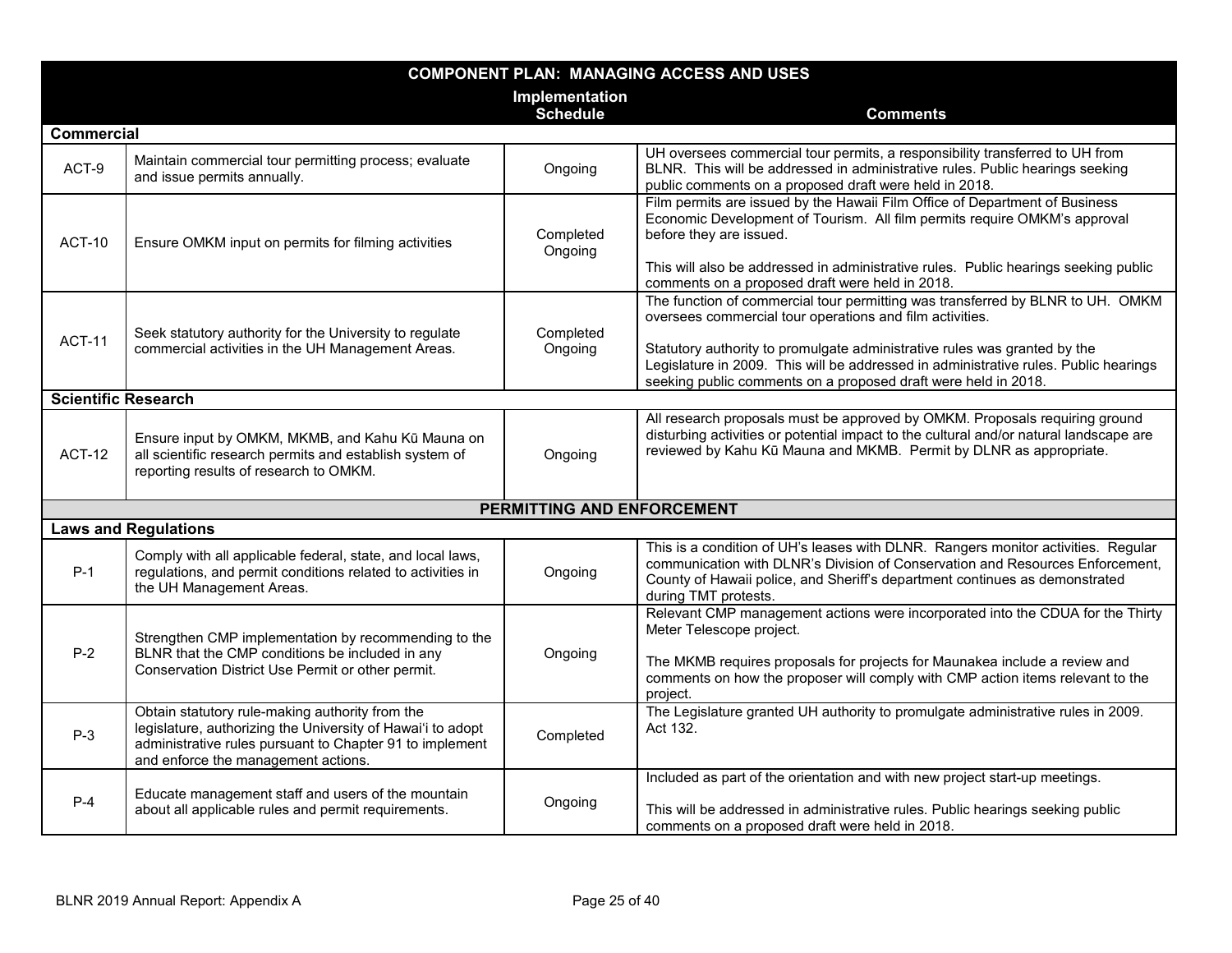| <b>COMPONENT PLAN: MANAGING ACCESS AND USES</b> |                                                                                                                                                                                                                   |                            |                                                                                                                                                                                                                                                                                                                                                                                   |
|-------------------------------------------------|-------------------------------------------------------------------------------------------------------------------------------------------------------------------------------------------------------------------|----------------------------|-----------------------------------------------------------------------------------------------------------------------------------------------------------------------------------------------------------------------------------------------------------------------------------------------------------------------------------------------------------------------------------|
|                                                 |                                                                                                                                                                                                                   | Implementation             |                                                                                                                                                                                                                                                                                                                                                                                   |
|                                                 |                                                                                                                                                                                                                   | <b>Schedule</b>            | <b>Comments</b>                                                                                                                                                                                                                                                                                                                                                                   |
| <b>Commercial</b>                               |                                                                                                                                                                                                                   |                            |                                                                                                                                                                                                                                                                                                                                                                                   |
| ACT-9                                           | Maintain commercial tour permitting process; evaluate<br>and issue permits annually.                                                                                                                              | Ongoing                    | UH oversees commercial tour permits, a responsibility transferred to UH from<br>BLNR. This will be addressed in administrative rules. Public hearings seeking<br>public comments on a proposed draft were held in 2018.                                                                                                                                                           |
| ACT-10                                          | Ensure OMKM input on permits for filming activities                                                                                                                                                               | Completed<br>Ongoing       | Film permits are issued by the Hawaii Film Office of Department of Business<br>Economic Development of Tourism. All film permits require OMKM's approval<br>before they are issued.<br>This will also be addressed in administrative rules. Public hearings seeking public<br>comments on a proposed draft were held in 2018.                                                     |
| <b>ACT-11</b>                                   | Seek statutory authority for the University to regulate<br>commercial activities in the UH Management Areas.                                                                                                      | Completed<br>Ongoing       | The function of commercial tour permitting was transferred by BLNR to UH. OMKM<br>oversees commercial tour operations and film activities.<br>Statutory authority to promulgate administrative rules was granted by the<br>Legislature in 2009. This will be addressed in administrative rules. Public hearings<br>seeking public comments on a proposed draft were held in 2018. |
| <b>Scientific Research</b>                      |                                                                                                                                                                                                                   |                            |                                                                                                                                                                                                                                                                                                                                                                                   |
| <b>ACT-12</b>                                   | Ensure input by OMKM, MKMB, and Kahu Kū Mauna on<br>all scientific research permits and establish system of<br>reporting results of research to OMKM.                                                             | Ongoing                    | All research proposals must be approved by OMKM. Proposals requiring ground<br>disturbing activities or potential impact to the cultural and/or natural landscape are<br>reviewed by Kahu Kū Mauna and MKMB. Permit by DLNR as appropriate.                                                                                                                                       |
|                                                 |                                                                                                                                                                                                                   | PERMITTING AND ENFORCEMENT |                                                                                                                                                                                                                                                                                                                                                                                   |
|                                                 | <b>Laws and Regulations</b>                                                                                                                                                                                       |                            |                                                                                                                                                                                                                                                                                                                                                                                   |
| $P-1$                                           | Comply with all applicable federal, state, and local laws,<br>regulations, and permit conditions related to activities in<br>the UH Management Areas.                                                             | Ongoing                    | This is a condition of UH's leases with DLNR. Rangers monitor activities. Regular<br>communication with DLNR's Division of Conservation and Resources Enforcement,<br>County of Hawaii police, and Sheriff's department continues as demonstrated<br>during TMT protests.                                                                                                         |
| $P-2$                                           | Strengthen CMP implementation by recommending to the<br>BLNR that the CMP conditions be included in any<br>Conservation District Use Permit or other permit.                                                      | Ongoing                    | Relevant CMP management actions were incorporated into the CDUA for the Thirty<br>Meter Telescope project.<br>The MKMB requires proposals for projects for Maunakea include a review and<br>comments on how the proposer will comply with CMP action items relevant to the<br>project.                                                                                            |
| $P-3$                                           | Obtain statutory rule-making authority from the<br>legislature, authorizing the University of Hawai'i to adopt<br>administrative rules pursuant to Chapter 91 to implement<br>and enforce the management actions. | Completed                  | The Legislature granted UH authority to promulgate administrative rules in 2009.<br>Act 132.                                                                                                                                                                                                                                                                                      |
| $P-4$                                           | Educate management staff and users of the mountain<br>about all applicable rules and permit requirements.                                                                                                         | Ongoing                    | Included as part of the orientation and with new project start-up meetings.<br>This will be addressed in administrative rules. Public hearings seeking public<br>comments on a proposed draft were held in 2018.                                                                                                                                                                  |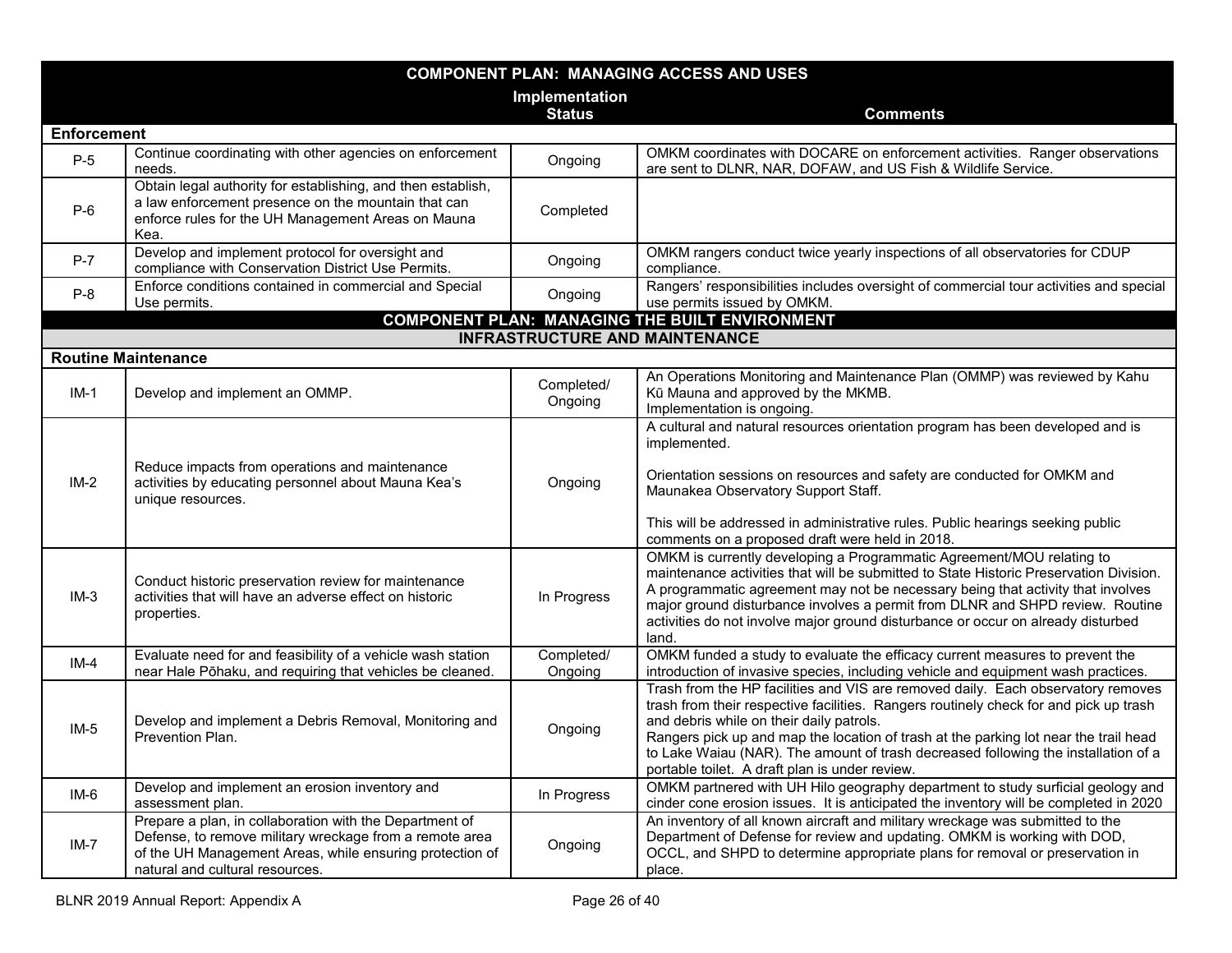| <b>COMPONENT PLAN: MANAGING ACCESS AND USES</b> |                                                                                                                                                                                                                   |                       |                                                                                                                                                                                                                                                                                                                                                                                                                                                       |
|-------------------------------------------------|-------------------------------------------------------------------------------------------------------------------------------------------------------------------------------------------------------------------|-----------------------|-------------------------------------------------------------------------------------------------------------------------------------------------------------------------------------------------------------------------------------------------------------------------------------------------------------------------------------------------------------------------------------------------------------------------------------------------------|
|                                                 |                                                                                                                                                                                                                   | Implementation        |                                                                                                                                                                                                                                                                                                                                                                                                                                                       |
|                                                 |                                                                                                                                                                                                                   | <b>Status</b>         | <b>Comments</b>                                                                                                                                                                                                                                                                                                                                                                                                                                       |
| <b>Enforcement</b>                              |                                                                                                                                                                                                                   |                       |                                                                                                                                                                                                                                                                                                                                                                                                                                                       |
| $P-5$                                           | Continue coordinating with other agencies on enforcement<br>needs.                                                                                                                                                | Ongoing               | OMKM coordinates with DOCARE on enforcement activities. Ranger observations<br>are sent to DLNR, NAR, DOFAW, and US Fish & Wildlife Service.                                                                                                                                                                                                                                                                                                          |
| $P-6$                                           | Obtain legal authority for establishing, and then establish,<br>a law enforcement presence on the mountain that can<br>enforce rules for the UH Management Areas on Mauna<br>Kea.                                 | Completed             |                                                                                                                                                                                                                                                                                                                                                                                                                                                       |
| $P-7$                                           | Develop and implement protocol for oversight and<br>compliance with Conservation District Use Permits.                                                                                                            | Ongoing               | OMKM rangers conduct twice yearly inspections of all observatories for CDUP<br>compliance.                                                                                                                                                                                                                                                                                                                                                            |
| $P-8$                                           | Enforce conditions contained in commercial and Special<br>Use permits.                                                                                                                                            | Ongoing               | Rangers' responsibilities includes oversight of commercial tour activities and special<br>use permits issued by OMKM.                                                                                                                                                                                                                                                                                                                                 |
|                                                 |                                                                                                                                                                                                                   |                       | <b>COMPONENT PLAN: MANAGING THE BUILT ENVIRONMENT</b>                                                                                                                                                                                                                                                                                                                                                                                                 |
|                                                 |                                                                                                                                                                                                                   |                       | <b>INFRASTRUCTURE AND MAINTENANCE</b>                                                                                                                                                                                                                                                                                                                                                                                                                 |
|                                                 | <b>Routine Maintenance</b>                                                                                                                                                                                        |                       |                                                                                                                                                                                                                                                                                                                                                                                                                                                       |
| $IM-1$                                          | Develop and implement an OMMP.                                                                                                                                                                                    | Completed/<br>Ongoing | An Operations Monitoring and Maintenance Plan (OMMP) was reviewed by Kahu<br>Kū Mauna and approved by the MKMB.<br>Implementation is ongoing.                                                                                                                                                                                                                                                                                                         |
| $IM-2$                                          | Reduce impacts from operations and maintenance<br>activities by educating personnel about Mauna Kea's<br>unique resources.                                                                                        | Ongoing               | A cultural and natural resources orientation program has been developed and is<br>implemented.<br>Orientation sessions on resources and safety are conducted for OMKM and<br>Maunakea Observatory Support Staff.<br>This will be addressed in administrative rules. Public hearings seeking public<br>comments on a proposed draft were held in 2018.                                                                                                 |
| $IM-3$                                          | Conduct historic preservation review for maintenance<br>activities that will have an adverse effect on historic<br>properties.                                                                                    | In Progress           | OMKM is currently developing a Programmatic Agreement/MOU relating to<br>maintenance activities that will be submitted to State Historic Preservation Division.<br>A programmatic agreement may not be necessary being that activity that involves<br>major ground disturbance involves a permit from DLNR and SHPD review. Routine<br>activities do not involve major ground disturbance or occur on already disturbed<br>land.                      |
| $IM-4$                                          | Evaluate need for and feasibility of a vehicle wash station<br>near Hale Pōhaku, and requiring that vehicles be cleaned.                                                                                          | Completed/<br>Ongoing | OMKM funded a study to evaluate the efficacy current measures to prevent the<br>introduction of invasive species, including vehicle and equipment wash practices.                                                                                                                                                                                                                                                                                     |
| $IM-5$                                          | Develop and implement a Debris Removal, Monitoring and<br>Prevention Plan.                                                                                                                                        | Ongoing               | Trash from the HP facilities and VIS are removed daily. Each observatory removes<br>trash from their respective facilities. Rangers routinely check for and pick up trash<br>and debris while on their daily patrols.<br>Rangers pick up and map the location of trash at the parking lot near the trail head<br>to Lake Waiau (NAR). The amount of trash decreased following the installation of a<br>portable toilet. A draft plan is under review. |
| $IM-6$                                          | Develop and implement an erosion inventory and<br>assessment plan.                                                                                                                                                | In Progress           | OMKM partnered with UH Hilo geography department to study surficial geology and<br>cinder cone erosion issues. It is anticipated the inventory will be completed in 2020                                                                                                                                                                                                                                                                              |
| $IM-7$                                          | Prepare a plan, in collaboration with the Department of<br>Defense, to remove military wreckage from a remote area<br>of the UH Management Areas, while ensuring protection of<br>natural and cultural resources. | Ongoing               | An inventory of all known aircraft and military wreckage was submitted to the<br>Department of Defense for review and updating. OMKM is working with DOD,<br>OCCL, and SHPD to determine appropriate plans for removal or preservation in<br>place.                                                                                                                                                                                                   |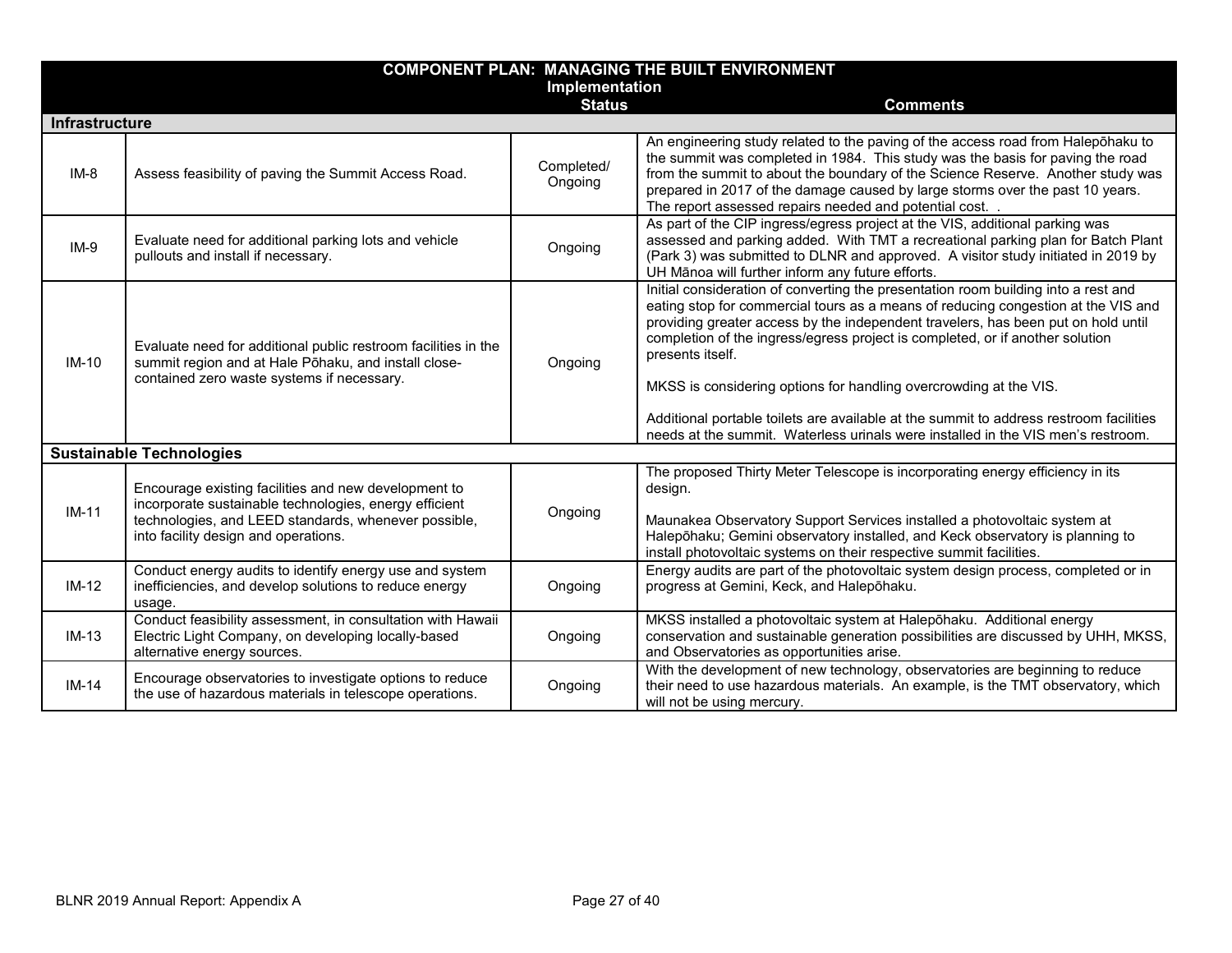| <b>COMPONENT PLAN: MANAGING THE BUILT ENVIRONMENT</b> |                                                                                                                                                                                                                |                       |                                                                                                                                                                                                                                                                                                                                                                                                                                                                                                                                                                                                                      |  |
|-------------------------------------------------------|----------------------------------------------------------------------------------------------------------------------------------------------------------------------------------------------------------------|-----------------------|----------------------------------------------------------------------------------------------------------------------------------------------------------------------------------------------------------------------------------------------------------------------------------------------------------------------------------------------------------------------------------------------------------------------------------------------------------------------------------------------------------------------------------------------------------------------------------------------------------------------|--|
|                                                       | Implementation                                                                                                                                                                                                 |                       |                                                                                                                                                                                                                                                                                                                                                                                                                                                                                                                                                                                                                      |  |
|                                                       |                                                                                                                                                                                                                | <b>Status</b>         | <b>Comments</b>                                                                                                                                                                                                                                                                                                                                                                                                                                                                                                                                                                                                      |  |
| <b>Infrastructure</b>                                 |                                                                                                                                                                                                                |                       |                                                                                                                                                                                                                                                                                                                                                                                                                                                                                                                                                                                                                      |  |
| $IM-8$                                                | Assess feasibility of paving the Summit Access Road.                                                                                                                                                           | Completed/<br>Ongoing | An engineering study related to the paving of the access road from Halepohaku to<br>the summit was completed in 1984. This study was the basis for paving the road<br>from the summit to about the boundary of the Science Reserve. Another study was<br>prepared in 2017 of the damage caused by large storms over the past 10 years.<br>The report assessed repairs needed and potential cost. .                                                                                                                                                                                                                   |  |
| $IM-9$                                                | Evaluate need for additional parking lots and vehicle<br>pullouts and install if necessary.                                                                                                                    | Ongoing               | As part of the CIP ingress/egress project at the VIS, additional parking was<br>assessed and parking added. With TMT a recreational parking plan for Batch Plant<br>(Park 3) was submitted to DLNR and approved. A visitor study initiated in 2019 by<br>UH Mānoa will further inform any future efforts.                                                                                                                                                                                                                                                                                                            |  |
| $IM-10$                                               | Evaluate need for additional public restroom facilities in the<br>summit region and at Hale Pōhaku, and install close-<br>contained zero waste systems if necessary.                                           | Ongoing               | Initial consideration of converting the presentation room building into a rest and<br>eating stop for commercial tours as a means of reducing congestion at the VIS and<br>providing greater access by the independent travelers, has been put on hold until<br>completion of the ingress/egress project is completed, or if another solution<br>presents itself.<br>MKSS is considering options for handling overcrowding at the VIS.<br>Additional portable toilets are available at the summit to address restroom facilities<br>needs at the summit. Waterless urinals were installed in the VIS men's restroom. |  |
|                                                       | <b>Sustainable Technologies</b>                                                                                                                                                                                |                       |                                                                                                                                                                                                                                                                                                                                                                                                                                                                                                                                                                                                                      |  |
| $IM-11$                                               | Encourage existing facilities and new development to<br>incorporate sustainable technologies, energy efficient<br>technologies, and LEED standards, whenever possible,<br>into facility design and operations. | Ongoing               | The proposed Thirty Meter Telescope is incorporating energy efficiency in its<br>design.<br>Maunakea Observatory Support Services installed a photovoltaic system at<br>Halepōhaku; Gemini observatory installed, and Keck observatory is planning to<br>install photovoltaic systems on their respective summit facilities.                                                                                                                                                                                                                                                                                         |  |
| $IM-12$                                               | Conduct energy audits to identify energy use and system<br>inefficiencies, and develop solutions to reduce energy<br>usage.                                                                                    | Ongoing               | Energy audits are part of the photovoltaic system design process, completed or in<br>progress at Gemini, Keck, and Halepōhaku.                                                                                                                                                                                                                                                                                                                                                                                                                                                                                       |  |
| $IM-13$                                               | Conduct feasibility assessment, in consultation with Hawaii<br>Electric Light Company, on developing locally-based<br>alternative energy sources.                                                              | Ongoing               | MKSS installed a photovoltaic system at Halepōhaku. Additional energy<br>conservation and sustainable generation possibilities are discussed by UHH, MKSS,<br>and Observatories as opportunities arise.                                                                                                                                                                                                                                                                                                                                                                                                              |  |
| $IM-14$                                               | Encourage observatories to investigate options to reduce<br>the use of hazardous materials in telescope operations.                                                                                            | Ongoing               | With the development of new technology, observatories are beginning to reduce<br>their need to use hazardous materials. An example, is the TMT observatory, which<br>will not be using mercury.                                                                                                                                                                                                                                                                                                                                                                                                                      |  |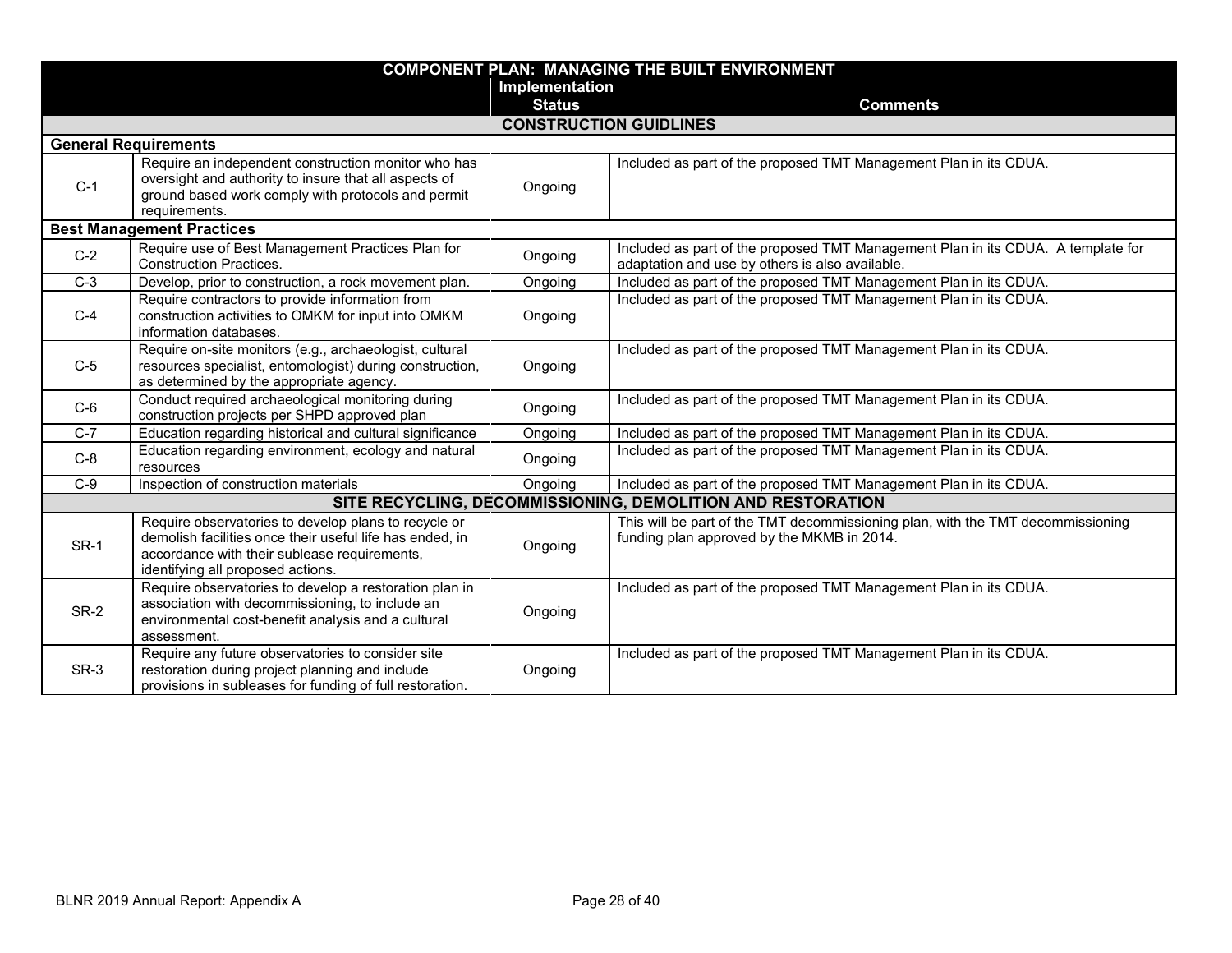|       |                                                                                                                                                                                                       |                | <b>COMPONENT PLAN: MANAGING THE BUILT ENVIRONMENT</b>                                                                               |
|-------|-------------------------------------------------------------------------------------------------------------------------------------------------------------------------------------------------------|----------------|-------------------------------------------------------------------------------------------------------------------------------------|
|       |                                                                                                                                                                                                       | Implementation |                                                                                                                                     |
|       |                                                                                                                                                                                                       | <b>Status</b>  | <b>Comments</b>                                                                                                                     |
|       |                                                                                                                                                                                                       |                | <b>CONSTRUCTION GUIDLINES</b>                                                                                                       |
|       | <b>General Requirements</b>                                                                                                                                                                           |                |                                                                                                                                     |
| $C-1$ | Require an independent construction monitor who has<br>oversight and authority to insure that all aspects of<br>ground based work comply with protocols and permit<br>requirements.                   | Ongoing        | Included as part of the proposed TMT Management Plan in its CDUA.                                                                   |
|       | <b>Best Management Practices</b>                                                                                                                                                                      |                |                                                                                                                                     |
| $C-2$ | Require use of Best Management Practices Plan for<br><b>Construction Practices.</b>                                                                                                                   | Ongoing        | Included as part of the proposed TMT Management Plan in its CDUA. A template for<br>adaptation and use by others is also available. |
| $C-3$ | Develop, prior to construction, a rock movement plan.                                                                                                                                                 | Ongoing        | Included as part of the proposed TMT Management Plan in its CDUA.                                                                   |
| $C-4$ | Require contractors to provide information from<br>construction activities to OMKM for input into OMKM<br>information databases.                                                                      | Ongoing        | Included as part of the proposed TMT Management Plan in its CDUA.                                                                   |
| $C-5$ | Require on-site monitors (e.g., archaeologist, cultural<br>resources specialist, entomologist) during construction,<br>as determined by the appropriate agency.                                       | Ongoing        | Included as part of the proposed TMT Management Plan in its CDUA.                                                                   |
| $C-6$ | Conduct required archaeological monitoring during<br>construction projects per SHPD approved plan                                                                                                     | Ongoing        | Included as part of the proposed TMT Management Plan in its CDUA.                                                                   |
| $C-7$ | Education regarding historical and cultural significance                                                                                                                                              | Ongoing        | Included as part of the proposed TMT Management Plan in its CDUA.                                                                   |
| $C-8$ | Education regarding environment, ecology and natural<br>resources                                                                                                                                     | Ongoing        | Included as part of the proposed TMT Management Plan in its CDUA.                                                                   |
| $C-9$ | Inspection of construction materials                                                                                                                                                                  | Ongoing        | Included as part of the proposed TMT Management Plan in its CDUA.                                                                   |
|       |                                                                                                                                                                                                       |                | SITE RECYCLING, DECOMMISSIONING, DEMOLITION AND RESTORATION                                                                         |
| SR-1  | Require observatories to develop plans to recycle or<br>demolish facilities once their useful life has ended, in<br>accordance with their sublease requirements,<br>identifying all proposed actions. | Ongoing        | This will be part of the TMT decommissioning plan, with the TMT decommissioning<br>funding plan approved by the MKMB in 2014.       |
| SR-2  | Require observatories to develop a restoration plan in<br>association with decommissioning, to include an<br>environmental cost-benefit analysis and a cultural<br>assessment.                        | Ongoing        | Included as part of the proposed TMT Management Plan in its CDUA.                                                                   |
| SR-3  | Require any future observatories to consider site<br>restoration during project planning and include<br>provisions in subleases for funding of full restoration.                                      | Ongoing        | Included as part of the proposed TMT Management Plan in its CDUA.                                                                   |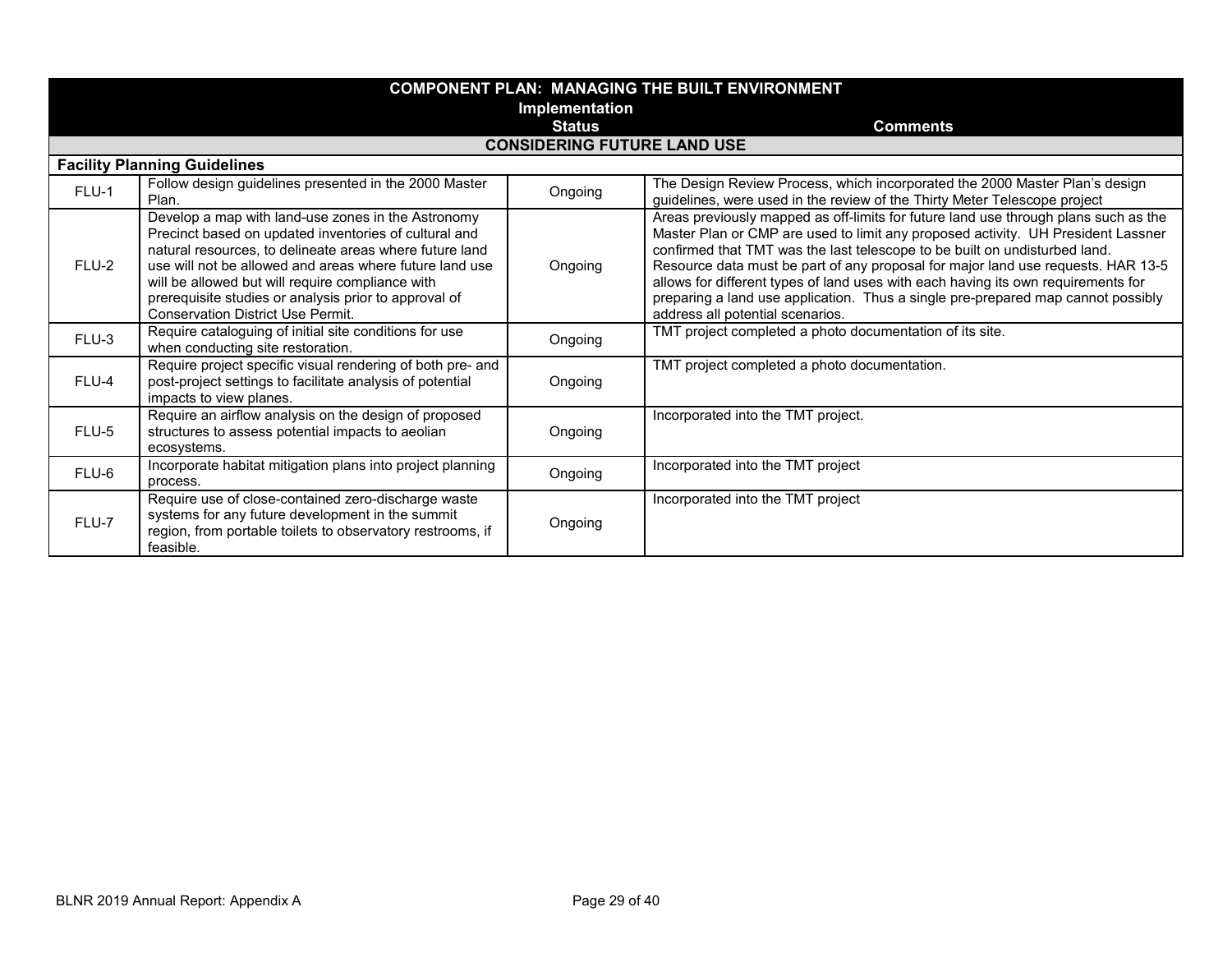|          |                                                                                                                                                                                                                                                                                                                                                                                            |                                    | <b>COMPONENT PLAN: MANAGING THE BUILT ENVIRONMENT</b>                                                                                                                                                                                                                                                                                                                                                                                                                                                                                                  |
|----------|--------------------------------------------------------------------------------------------------------------------------------------------------------------------------------------------------------------------------------------------------------------------------------------------------------------------------------------------------------------------------------------------|------------------------------------|--------------------------------------------------------------------------------------------------------------------------------------------------------------------------------------------------------------------------------------------------------------------------------------------------------------------------------------------------------------------------------------------------------------------------------------------------------------------------------------------------------------------------------------------------------|
|          |                                                                                                                                                                                                                                                                                                                                                                                            | Implementation                     |                                                                                                                                                                                                                                                                                                                                                                                                                                                                                                                                                        |
|          |                                                                                                                                                                                                                                                                                                                                                                                            | <b>Status</b>                      | <b>Comments</b>                                                                                                                                                                                                                                                                                                                                                                                                                                                                                                                                        |
|          |                                                                                                                                                                                                                                                                                                                                                                                            | <b>CONSIDERING FUTURE LAND USE</b> |                                                                                                                                                                                                                                                                                                                                                                                                                                                                                                                                                        |
|          | <b>Facility Planning Guidelines</b>                                                                                                                                                                                                                                                                                                                                                        |                                    |                                                                                                                                                                                                                                                                                                                                                                                                                                                                                                                                                        |
| FLU-1    | Follow design guidelines presented in the 2000 Master<br>Plan.                                                                                                                                                                                                                                                                                                                             | Ongoing                            | The Design Review Process, which incorporated the 2000 Master Plan's design<br>guidelines, were used in the review of the Thirty Meter Telescope project                                                                                                                                                                                                                                                                                                                                                                                               |
| FLU-2    | Develop a map with land-use zones in the Astronomy<br>Precinct based on updated inventories of cultural and<br>natural resources, to delineate areas where future land<br>use will not be allowed and areas where future land use<br>will be allowed but will require compliance with<br>prerequisite studies or analysis prior to approval of<br><b>Conservation District Use Permit.</b> | Ongoing                            | Areas previously mapped as off-limits for future land use through plans such as the<br>Master Plan or CMP are used to limit any proposed activity. UH President Lassner<br>confirmed that TMT was the last telescope to be built on undisturbed land.<br>Resource data must be part of any proposal for major land use requests. HAR 13-5<br>allows for different types of land uses with each having its own requirements for<br>preparing a land use application. Thus a single pre-prepared map cannot possibly<br>address all potential scenarios. |
| FLU-3    | Require cataloguing of initial site conditions for use<br>when conducting site restoration.                                                                                                                                                                                                                                                                                                | Ongoing                            | TMT project completed a photo documentation of its site.                                                                                                                                                                                                                                                                                                                                                                                                                                                                                               |
| $FI$ U-4 | Require project specific visual rendering of both pre- and<br>post-project settings to facilitate analysis of potential<br>impacts to view planes.                                                                                                                                                                                                                                         | Ongoing                            | TMT project completed a photo documentation.                                                                                                                                                                                                                                                                                                                                                                                                                                                                                                           |
| FLU-5    | Require an airflow analysis on the design of proposed<br>structures to assess potential impacts to aeolian<br>ecosystems.                                                                                                                                                                                                                                                                  | Ongoing                            | Incorporated into the TMT project.                                                                                                                                                                                                                                                                                                                                                                                                                                                                                                                     |
| FLU-6    | Incorporate habitat mitigation plans into project planning<br>process.                                                                                                                                                                                                                                                                                                                     | Ongoing                            | Incorporated into the TMT project                                                                                                                                                                                                                                                                                                                                                                                                                                                                                                                      |
| FLU-7    | Require use of close-contained zero-discharge waste<br>systems for any future development in the summit<br>region, from portable toilets to observatory restrooms, if<br>feasible.                                                                                                                                                                                                         | Ongoing                            | Incorporated into the TMT project                                                                                                                                                                                                                                                                                                                                                                                                                                                                                                                      |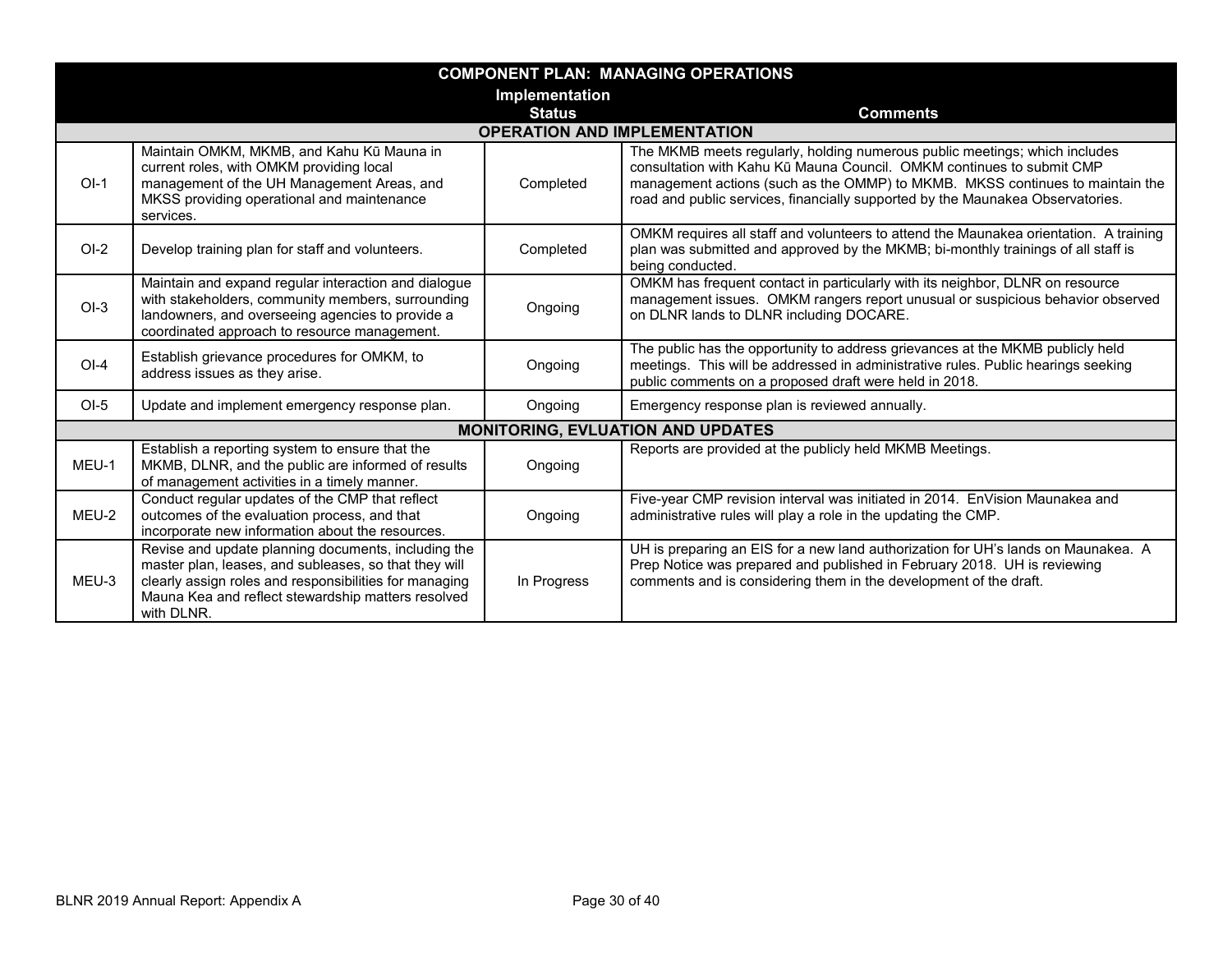|         |                                                                                                                                                                                                                                            |                | <b>COMPONENT PLAN: MANAGING OPERATIONS</b>                                                                                                                                                                                                                                                                             |
|---------|--------------------------------------------------------------------------------------------------------------------------------------------------------------------------------------------------------------------------------------------|----------------|------------------------------------------------------------------------------------------------------------------------------------------------------------------------------------------------------------------------------------------------------------------------------------------------------------------------|
|         |                                                                                                                                                                                                                                            | Implementation |                                                                                                                                                                                                                                                                                                                        |
|         |                                                                                                                                                                                                                                            | <b>Status</b>  | <b>Comments</b>                                                                                                                                                                                                                                                                                                        |
|         |                                                                                                                                                                                                                                            |                | <b>OPERATION AND IMPLEMENTATION</b>                                                                                                                                                                                                                                                                                    |
| $OI-1$  | Maintain OMKM, MKMB, and Kahu Kū Mauna in<br>current roles, with OMKM providing local<br>management of the UH Management Areas, and<br>MKSS providing operational and maintenance<br>services.                                             | Completed      | The MKMB meets regularly, holding numerous public meetings; which includes<br>consultation with Kahu Kū Mauna Council. OMKM continues to submit CMP<br>management actions (such as the OMMP) to MKMB. MKSS continues to maintain the<br>road and public services, financially supported by the Maunakea Observatories. |
| $O-I-2$ | Develop training plan for staff and volunteers.                                                                                                                                                                                            | Completed      | OMKM requires all staff and volunteers to attend the Maunakea orientation. A training<br>plan was submitted and approved by the MKMB; bi-monthly trainings of all staff is<br>being conducted.                                                                                                                         |
| $OI-3$  | Maintain and expand regular interaction and dialogue<br>with stakeholders, community members, surrounding<br>landowners, and overseeing agencies to provide a<br>coordinated approach to resource management.                              | Ongoing        | OMKM has frequent contact in particularly with its neighbor, DLNR on resource<br>management issues. OMKM rangers report unusual or suspicious behavior observed<br>on DLNR lands to DLNR including DOCARE.                                                                                                             |
| $OI-4$  | Establish grievance procedures for OMKM, to<br>address issues as they arise.                                                                                                                                                               | Ongoing        | The public has the opportunity to address grievances at the MKMB publicly held<br>meetings. This will be addressed in administrative rules. Public hearings seeking<br>public comments on a proposed draft were held in 2018.                                                                                          |
| $OI-5$  | Update and implement emergency response plan.                                                                                                                                                                                              | Ongoing        | Emergency response plan is reviewed annually.                                                                                                                                                                                                                                                                          |
|         |                                                                                                                                                                                                                                            |                | <b>MONITORING, EVLUATION AND UPDATES</b>                                                                                                                                                                                                                                                                               |
| MEU-1   | Establish a reporting system to ensure that the<br>MKMB, DLNR, and the public are informed of results<br>of management activities in a timely manner.                                                                                      | Ongoing        | Reports are provided at the publicly held MKMB Meetings.                                                                                                                                                                                                                                                               |
| MEU-2   | Conduct regular updates of the CMP that reflect<br>outcomes of the evaluation process, and that<br>incorporate new information about the resources.                                                                                        | Ongoing        | Five-year CMP revision interval was initiated in 2014. EnVision Maunakea and<br>administrative rules will play a role in the updating the CMP.                                                                                                                                                                         |
| MEU-3   | Revise and update planning documents, including the<br>master plan, leases, and subleases, so that they will<br>clearly assign roles and responsibilities for managing<br>Mauna Kea and reflect stewardship matters resolved<br>with DLNR. | In Progress    | UH is preparing an EIS for a new land authorization for UH's lands on Maunakea. A<br>Prep Notice was prepared and published in February 2018. UH is reviewing<br>comments and is considering them in the development of the draft.                                                                                     |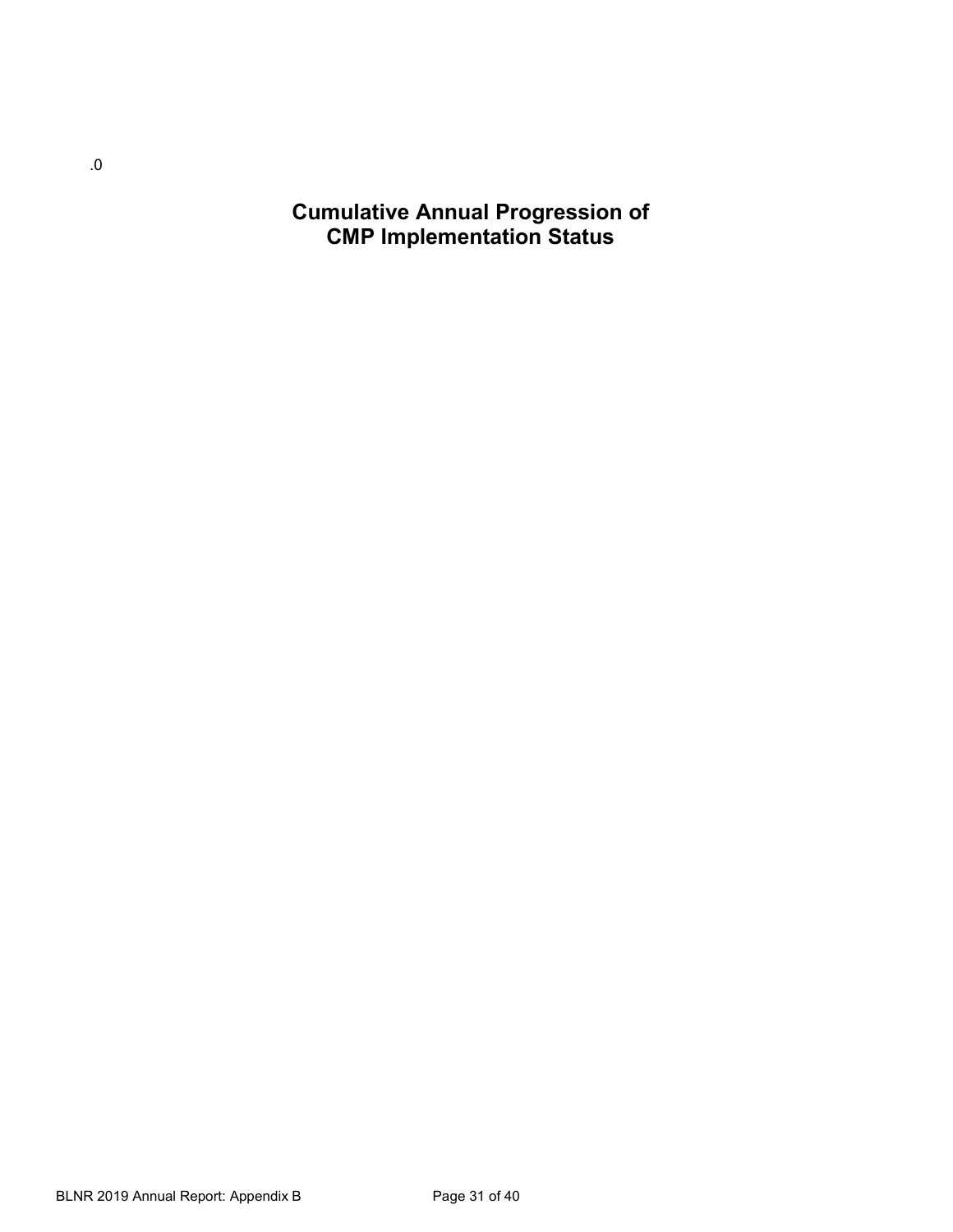**Cumulative Annual Progression of CMP Implementation Status**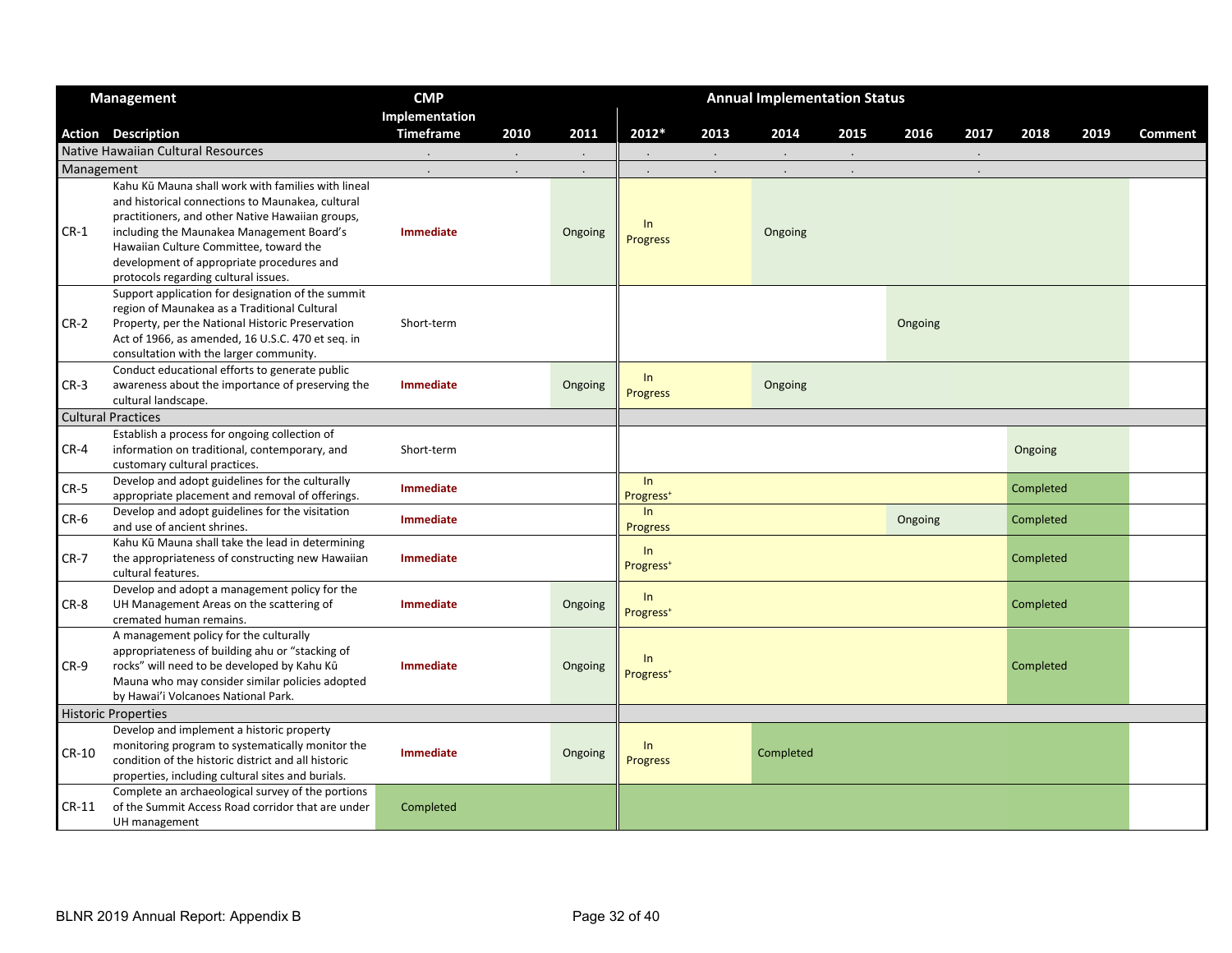|            | <b>Management</b>                                                                                                                                                                                                                                                                                                                      | <b>CMP</b>       |                |         |                                |      | <b>Annual Implementation Status</b> |                |         |                |           |      |                |
|------------|----------------------------------------------------------------------------------------------------------------------------------------------------------------------------------------------------------------------------------------------------------------------------------------------------------------------------------------|------------------|----------------|---------|--------------------------------|------|-------------------------------------|----------------|---------|----------------|-----------|------|----------------|
|            |                                                                                                                                                                                                                                                                                                                                        | Implementation   |                |         |                                |      |                                     |                |         |                |           |      |                |
|            | <b>Action Description</b>                                                                                                                                                                                                                                                                                                              | <b>Timeframe</b> | 2010           | 2011    | 2012*                          | 2013 | 2014                                | 2015           | 2016    | 2017           | 2018      | 2019 | <b>Comment</b> |
|            | Native Hawaiian Cultural Resources                                                                                                                                                                                                                                                                                                     | $\blacksquare$   | $\blacksquare$ |         | $\blacksquare$                 |      | $\cdot$                             | $\blacksquare$ |         | $\blacksquare$ |           |      |                |
| Management |                                                                                                                                                                                                                                                                                                                                        |                  |                |         |                                |      |                                     |                |         |                |           |      |                |
| $CR-1$     | Kahu Kū Mauna shall work with families with lineal<br>and historical connections to Maunakea, cultural<br>practitioners, and other Native Hawaiian groups,<br>including the Maunakea Management Board's<br>Hawaiian Culture Committee, toward the<br>development of appropriate procedures and<br>protocols regarding cultural issues. | <b>Immediate</b> |                | Ongoing | $\ln$<br><b>Progress</b>       |      | Ongoing                             |                |         |                |           |      |                |
| $CR-2$     | Support application for designation of the summit<br>region of Maunakea as a Traditional Cultural<br>Property, per the National Historic Preservation<br>Act of 1966, as amended, 16 U.S.C. 470 et seq. in<br>consultation with the larger community.                                                                                  | Short-term       |                |         |                                |      |                                     |                | Ongoing |                |           |      |                |
| $CR-3$     | Conduct educational efforts to generate public<br>awareness about the importance of preserving the<br>cultural landscape.                                                                                                                                                                                                              | <b>Immediate</b> |                | Ongoing | ln<br><b>Progress</b>          |      | Ongoing                             |                |         |                |           |      |                |
|            | <b>Cultural Practices</b>                                                                                                                                                                                                                                                                                                              |                  |                |         |                                |      |                                     |                |         |                |           |      |                |
| $CR-4$     | Establish a process for ongoing collection of<br>information on traditional, contemporary, and<br>customary cultural practices.                                                                                                                                                                                                        | Short-term       |                |         |                                |      |                                     |                |         |                | Ongoing   |      |                |
| $CR-5$     | Develop and adopt guidelines for the culturally<br>appropriate placement and removal of offerings.                                                                                                                                                                                                                                     | <b>Immediate</b> |                |         | ln<br>Progress <sup>+</sup>    |      |                                     |                |         |                | Completed |      |                |
| $CR-6$     | Develop and adopt guidelines for the visitation<br>and use of ancient shrines.                                                                                                                                                                                                                                                         | <b>Immediate</b> |                |         | In<br><b>Progress</b>          |      |                                     |                | Ongoing |                | Completed |      |                |
| $CR-7$     | Kahu Kū Mauna shall take the lead in determining<br>the appropriateness of constructing new Hawaiian<br>cultural features.                                                                                                                                                                                                             | Immediate        |                |         | ln<br>Progress <sup>+</sup>    |      |                                     |                |         |                | Completed |      |                |
| CR-8       | Develop and adopt a management policy for the<br>UH Management Areas on the scattering of<br>cremated human remains.                                                                                                                                                                                                                   | <b>Immediate</b> |                | Ongoing | ln<br>Progress <sup>+</sup>    |      |                                     |                |         |                | Completed |      |                |
| $CR-9$     | A management policy for the culturally<br>appropriateness of building ahu or "stacking of<br>rocks" will need to be developed by Kahu Kū<br>Mauna who may consider similar policies adopted<br>by Hawai'i Volcanoes National Park.                                                                                                     | Immediate        |                | Ongoing | $\ln$<br>Progress <sup>+</sup> |      |                                     |                |         |                | Completed |      |                |
|            | <b>Historic Properties</b>                                                                                                                                                                                                                                                                                                             |                  |                |         |                                |      |                                     |                |         |                |           |      |                |
| CR-10      | Develop and implement a historic property<br>monitoring program to systematically monitor the<br>condition of the historic district and all historic<br>properties, including cultural sites and burials.                                                                                                                              | <b>Immediate</b> |                | Ongoing | $\ln$<br><b>Progress</b>       |      | Completed                           |                |         |                |           |      |                |
| $CR-11$    | Complete an archaeological survey of the portions<br>of the Summit Access Road corridor that are under<br>UH management                                                                                                                                                                                                                | Completed        |                |         |                                |      |                                     |                |         |                |           |      |                |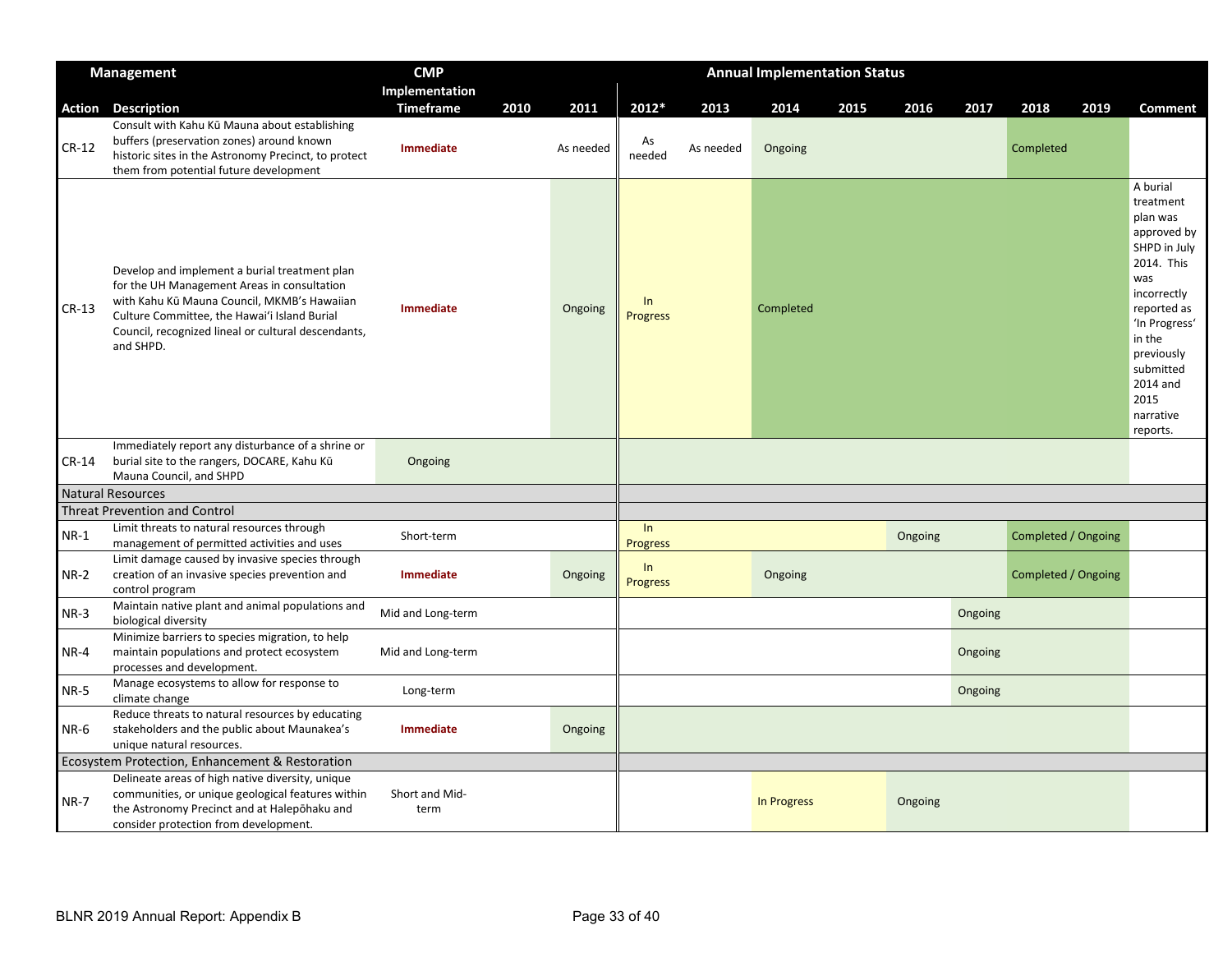|             | <b>Management</b>                                                                                                                                                                                                                                               | <b>CMP</b>             |      | <b>Annual Implementation Status</b> |                       |           |             |      |         |         |                     |      |                                                                                                                                                                                                                        |
|-------------|-----------------------------------------------------------------------------------------------------------------------------------------------------------------------------------------------------------------------------------------------------------------|------------------------|------|-------------------------------------|-----------------------|-----------|-------------|------|---------|---------|---------------------|------|------------------------------------------------------------------------------------------------------------------------------------------------------------------------------------------------------------------------|
|             |                                                                                                                                                                                                                                                                 | Implementation         |      |                                     |                       |           |             |      |         |         |                     |      |                                                                                                                                                                                                                        |
| Action      | <b>Description</b>                                                                                                                                                                                                                                              | <b>Timeframe</b>       | 2010 | 2011                                | 2012*                 | 2013      | 2014        | 2015 | 2016    | 2017    | 2018                | 2019 | <b>Comment</b>                                                                                                                                                                                                         |
| $CR-12$     | Consult with Kahu Kū Mauna about establishing<br>buffers (preservation zones) around known<br>historic sites in the Astronomy Precinct, to protect<br>them from potential future development                                                                    | Immediate              |      | As needed                           | As<br>needed          | As needed | Ongoing     |      |         |         | Completed           |      |                                                                                                                                                                                                                        |
| $CR-13$     | Develop and implement a burial treatment plan<br>for the UH Management Areas in consultation<br>with Kahu Kū Mauna Council, MKMB's Hawaiian<br>Culture Committee, the Hawai'i Island Burial<br>Council, recognized lineal or cultural descendants,<br>and SHPD. | Immediate              |      | Ongoing                             | In<br><b>Progress</b> |           | Completed   |      |         |         |                     |      | A burial<br>treatment<br>plan was<br>approved by<br>SHPD in July<br>2014. This<br>was<br>incorrectly<br>reported as<br>'In Progress'<br>in the<br>previously<br>submitted<br>2014 and<br>2015<br>narrative<br>reports. |
| $CR-14$     | Immediately report any disturbance of a shrine or<br>burial site to the rangers, DOCARE, Kahu Kū<br>Mauna Council, and SHPD                                                                                                                                     | Ongoing                |      |                                     |                       |           |             |      |         |         |                     |      |                                                                                                                                                                                                                        |
|             | <b>Natural Resources</b>                                                                                                                                                                                                                                        |                        |      |                                     |                       |           |             |      |         |         |                     |      |                                                                                                                                                                                                                        |
|             | <b>Threat Prevention and Control</b>                                                                                                                                                                                                                            |                        |      |                                     |                       |           |             |      |         |         |                     |      |                                                                                                                                                                                                                        |
| $NR-1$      | Limit threats to natural resources through<br>management of permitted activities and uses                                                                                                                                                                       | Short-term             |      |                                     | ln<br><b>Progress</b> |           |             |      | Ongoing |         | Completed / Ongoing |      |                                                                                                                                                                                                                        |
| $NR-2$      | Limit damage caused by invasive species through<br>creation of an invasive species prevention and<br>control program                                                                                                                                            | Immediate              |      | Ongoing                             | In<br><b>Progress</b> |           | Ongoing     |      |         |         | Completed / Ongoing |      |                                                                                                                                                                                                                        |
| $NR-3$      | Maintain native plant and animal populations and<br>biological diversity                                                                                                                                                                                        | Mid and Long-term      |      |                                     |                       |           |             |      |         | Ongoing |                     |      |                                                                                                                                                                                                                        |
| NR-4        | Minimize barriers to species migration, to help<br>maintain populations and protect ecosystem<br>processes and development.                                                                                                                                     | Mid and Long-term      |      |                                     |                       |           |             |      |         | Ongoing |                     |      |                                                                                                                                                                                                                        |
| <b>NR-5</b> | Manage ecosystems to allow for response to<br>climate change                                                                                                                                                                                                    | Long-term              |      |                                     |                       |           |             |      |         | Ongoing |                     |      |                                                                                                                                                                                                                        |
| NR-6        | Reduce threats to natural resources by educating<br>stakeholders and the public about Maunakea's<br>unique natural resources.                                                                                                                                   | Immediate              |      | Ongoing                             |                       |           |             |      |         |         |                     |      |                                                                                                                                                                                                                        |
|             | Ecosystem Protection, Enhancement & Restoration                                                                                                                                                                                                                 |                        |      |                                     |                       |           |             |      |         |         |                     |      |                                                                                                                                                                                                                        |
| <b>NR-7</b> | Delineate areas of high native diversity, unique<br>communities, or unique geological features within<br>the Astronomy Precinct and at Halepohaku and<br>consider protection from development.                                                                  | Short and Mid-<br>term |      |                                     |                       |           | In Progress |      | Ongoing |         |                     |      |                                                                                                                                                                                                                        |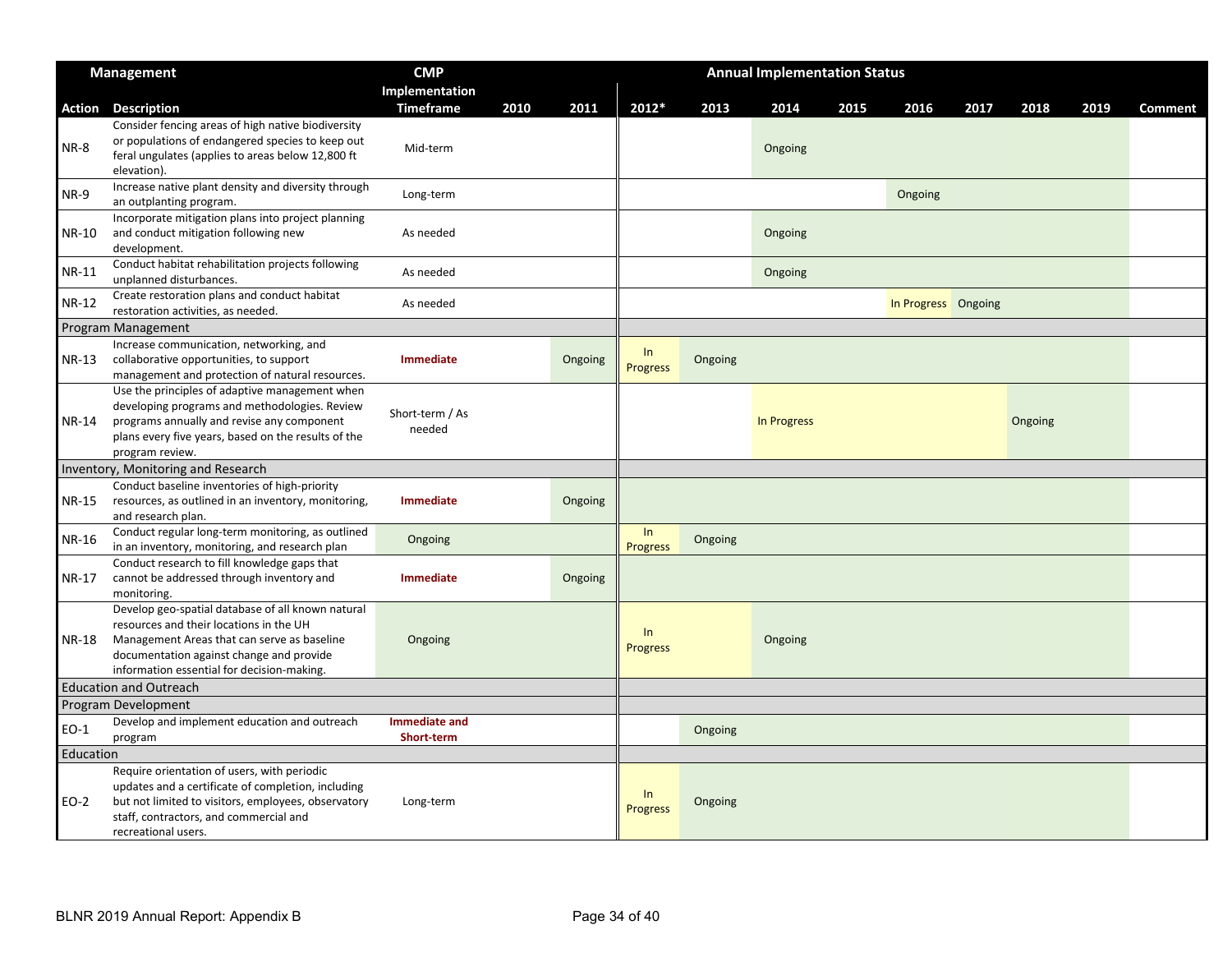|              | <b>Management</b>                                                                                                                                                                                                                     | <b>CMP</b>                  |      |         |                       |         | <b>Annual Implementation Status</b> |      |                     |      |         |      |                |
|--------------|---------------------------------------------------------------------------------------------------------------------------------------------------------------------------------------------------------------------------------------|-----------------------------|------|---------|-----------------------|---------|-------------------------------------|------|---------------------|------|---------|------|----------------|
|              |                                                                                                                                                                                                                                       | Implementation              |      |         |                       |         |                                     |      |                     |      |         |      |                |
| Action       | <b>Description</b>                                                                                                                                                                                                                    | <b>Timeframe</b>            | 2010 | 2011    | 2012*                 | 2013    | 2014                                | 2015 | 2016                | 2017 | 2018    | 2019 | <b>Comment</b> |
| NR-8         | Consider fencing areas of high native biodiversity<br>or populations of endangered species to keep out<br>feral ungulates (applies to areas below 12,800 ft<br>elevation).                                                            | Mid-term                    |      |         |                       |         | Ongoing                             |      |                     |      |         |      |                |
| NR-9         | Increase native plant density and diversity through<br>an outplanting program.                                                                                                                                                        | Long-term                   |      |         |                       |         |                                     |      | Ongoing             |      |         |      |                |
| NR-10        | Incorporate mitigation plans into project planning<br>and conduct mitigation following new<br>development.                                                                                                                            | As needed                   |      |         |                       |         | Ongoing                             |      |                     |      |         |      |                |
| <b>NR-11</b> | Conduct habitat rehabilitation projects following<br>unplanned disturbances.                                                                                                                                                          | As needed                   |      |         |                       |         | Ongoing                             |      |                     |      |         |      |                |
| NR-12        | Create restoration plans and conduct habitat<br>restoration activities, as needed.                                                                                                                                                    | As needed                   |      |         |                       |         |                                     |      | In Progress Ongoing |      |         |      |                |
|              | Program Management                                                                                                                                                                                                                    |                             |      |         |                       |         |                                     |      |                     |      |         |      |                |
| NR-13        | Increase communication, networking, and<br>collaborative opportunities, to support<br>management and protection of natural resources.                                                                                                 | Immediate                   |      | Ongoing | ln<br><b>Progress</b> | Ongoing |                                     |      |                     |      |         |      |                |
| NR-14        | Use the principles of adaptive management when<br>developing programs and methodologies. Review<br>programs annually and revise any component<br>plans every five years, based on the results of the<br>program review.               | Short-term / As<br>needed   |      |         |                       |         | In Progress                         |      |                     |      | Ongoing |      |                |
|              | Inventory, Monitoring and Research                                                                                                                                                                                                    |                             |      |         |                       |         |                                     |      |                     |      |         |      |                |
| NR-15        | Conduct baseline inventories of high-priority<br>resources, as outlined in an inventory, monitoring,<br>and research plan.                                                                                                            | <b>Immediate</b>            |      | Ongoing |                       |         |                                     |      |                     |      |         |      |                |
| NR-16        | Conduct regular long-term monitoring, as outlined<br>in an inventory, monitoring, and research plan                                                                                                                                   | Ongoing                     |      |         | ln<br><b>Progress</b> | Ongoing |                                     |      |                     |      |         |      |                |
| NR-17        | Conduct research to fill knowledge gaps that<br>cannot be addressed through inventory and<br>monitoring.                                                                                                                              | <b>Immediate</b>            |      | Ongoing |                       |         |                                     |      |                     |      |         |      |                |
| NR-18        | Develop geo-spatial database of all known natural<br>resources and their locations in the UH<br>Management Areas that can serve as baseline<br>documentation against change and provide<br>information essential for decision-making. | Ongoing                     |      |         | ln<br><b>Progress</b> |         | Ongoing                             |      |                     |      |         |      |                |
|              | <b>Education and Outreach</b>                                                                                                                                                                                                         |                             |      |         |                       |         |                                     |      |                     |      |         |      |                |
|              | <b>Program Development</b>                                                                                                                                                                                                            |                             |      |         |                       |         |                                     |      |                     |      |         |      |                |
| EO-1         | Develop and implement education and outreach<br>program                                                                                                                                                                               | Immediate and<br>Short-term |      |         |                       | Ongoing |                                     |      |                     |      |         |      |                |
| Education    |                                                                                                                                                                                                                                       |                             |      |         |                       |         |                                     |      |                     |      |         |      |                |
| EO-2         | Require orientation of users, with periodic<br>updates and a certificate of completion, including<br>but not limited to visitors, employees, observatory<br>staff, contractors, and commercial and<br>recreational users.             | Long-term                   |      |         | ln<br><b>Progress</b> | Ongoing |                                     |      |                     |      |         |      |                |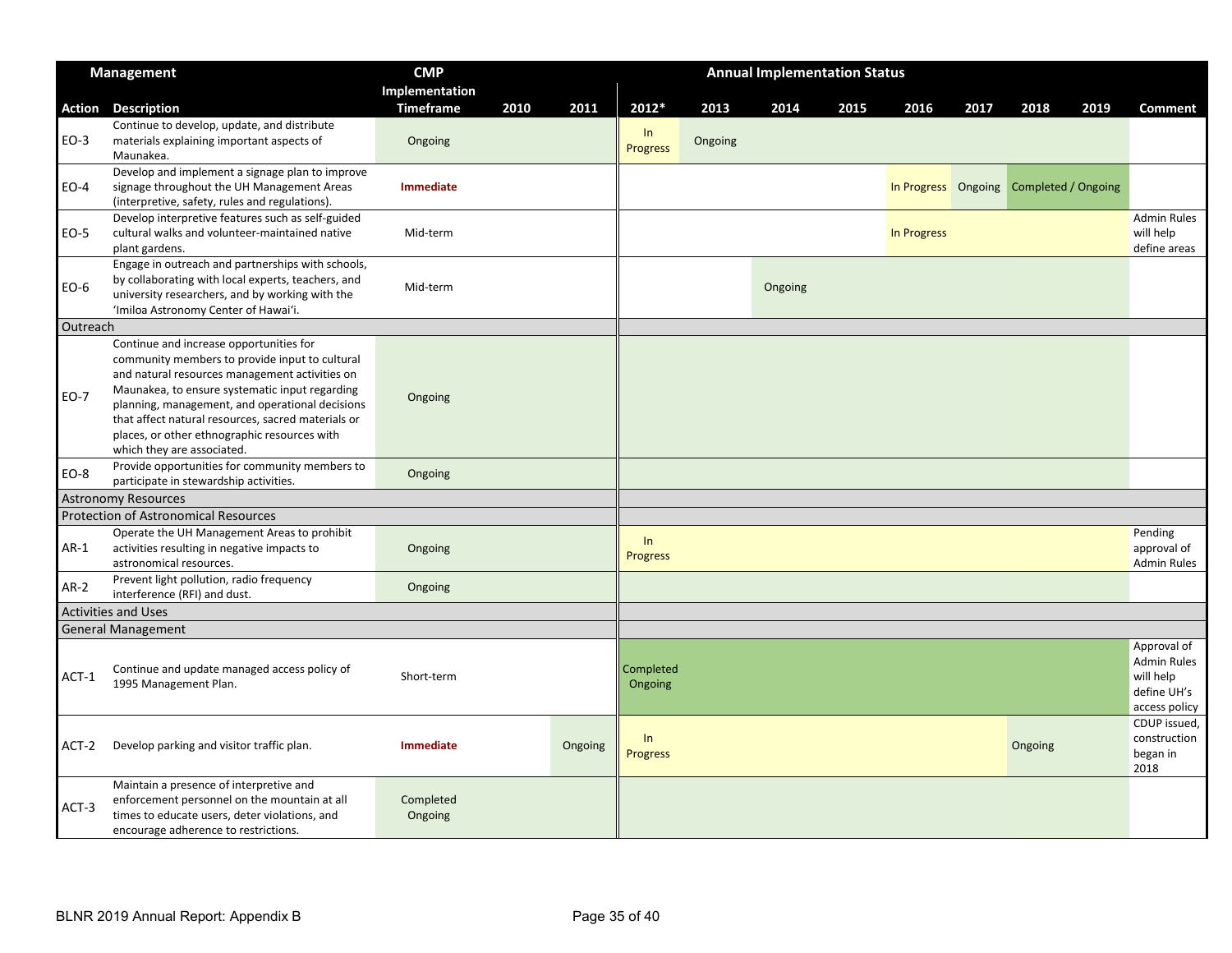|             | <b>Management</b>                                                                                                                                                                                                                                                                                                                                      | <b>CMP</b>           |      |         | <b>Annual Implementation Status</b><br>2011<br>2012*<br>2013<br>2014<br>2015<br>2016<br>2017<br>2018<br>2019<br>In<br>Ongoing<br><b>Progress</b> |  |         |             |                                         |                                                                                |
|-------------|--------------------------------------------------------------------------------------------------------------------------------------------------------------------------------------------------------------------------------------------------------------------------------------------------------------------------------------------------------|----------------------|------|---------|--------------------------------------------------------------------------------------------------------------------------------------------------|--|---------|-------------|-----------------------------------------|--------------------------------------------------------------------------------|
|             |                                                                                                                                                                                                                                                                                                                                                        | Implementation       |      |         |                                                                                                                                                  |  |         |             |                                         |                                                                                |
| Action      | <b>Description</b>                                                                                                                                                                                                                                                                                                                                     | <b>Timeframe</b>     | 2010 |         |                                                                                                                                                  |  |         |             |                                         | <b>Comment</b>                                                                 |
| EO-3        | Continue to develop, update, and distribute<br>materials explaining important aspects of<br>Maunakea.                                                                                                                                                                                                                                                  | Ongoing              |      |         |                                                                                                                                                  |  |         |             |                                         |                                                                                |
| $EO-4$      | Develop and implement a signage plan to improve<br>signage throughout the UH Management Areas<br>(interpretive, safety, rules and regulations).                                                                                                                                                                                                        | Immediate            |      |         |                                                                                                                                                  |  |         |             | In Progress Ongoing Completed / Ongoing |                                                                                |
| EO-5        | Develop interpretive features such as self-guided<br>cultural walks and volunteer-maintained native<br>plant gardens.                                                                                                                                                                                                                                  | Mid-term             |      |         |                                                                                                                                                  |  |         | In Progress |                                         | <b>Admin Rules</b><br>will help<br>define areas                                |
| EO-6        | Engage in outreach and partnerships with schools,<br>by collaborating with local experts, teachers, and<br>university researchers, and by working with the<br>'Imiloa Astronomy Center of Hawai'i.                                                                                                                                                     | Mid-term             |      |         |                                                                                                                                                  |  | Ongoing |             |                                         |                                                                                |
| Outreach    |                                                                                                                                                                                                                                                                                                                                                        |                      |      |         |                                                                                                                                                  |  |         |             |                                         |                                                                                |
| <b>EO-7</b> | Continue and increase opportunities for<br>community members to provide input to cultural<br>and natural resources management activities on<br>Maunakea, to ensure systematic input regarding<br>planning, management, and operational decisions<br>that affect natural resources, sacred materials or<br>places, or other ethnographic resources with | Ongoing              |      |         |                                                                                                                                                  |  |         |             |                                         |                                                                                |
|             | which they are associated.                                                                                                                                                                                                                                                                                                                             |                      |      |         |                                                                                                                                                  |  |         |             |                                         |                                                                                |
| EO-8        | Provide opportunities for community members to<br>participate in stewardship activities.                                                                                                                                                                                                                                                               | Ongoing              |      |         |                                                                                                                                                  |  |         |             |                                         |                                                                                |
|             | <b>Astronomy Resources</b>                                                                                                                                                                                                                                                                                                                             |                      |      |         |                                                                                                                                                  |  |         |             |                                         |                                                                                |
|             | <b>Protection of Astronomical Resources</b>                                                                                                                                                                                                                                                                                                            |                      |      |         |                                                                                                                                                  |  |         |             |                                         |                                                                                |
| $AR-1$      | Operate the UH Management Areas to prohibit<br>activities resulting in negative impacts to<br>astronomical resources.                                                                                                                                                                                                                                  | Ongoing              |      |         | In<br><b>Progress</b>                                                                                                                            |  |         |             |                                         | Pending<br>approval of<br><b>Admin Rules</b>                                   |
| $AR-2$      | Prevent light pollution, radio frequency<br>interference (RFI) and dust.                                                                                                                                                                                                                                                                               | Ongoing              |      |         |                                                                                                                                                  |  |         |             |                                         |                                                                                |
|             | <b>Activities and Uses</b>                                                                                                                                                                                                                                                                                                                             |                      |      |         |                                                                                                                                                  |  |         |             |                                         |                                                                                |
|             | <b>General Management</b>                                                                                                                                                                                                                                                                                                                              |                      |      |         |                                                                                                                                                  |  |         |             |                                         |                                                                                |
| ACT-1       | Continue and update managed access policy of<br>1995 Management Plan.                                                                                                                                                                                                                                                                                  | Short-term           |      |         | Completed<br>Ongoing                                                                                                                             |  |         |             |                                         | Approval of<br><b>Admin Rules</b><br>will help<br>define UH's<br>access policy |
| $ACT-2$     | Develop parking and visitor traffic plan.                                                                                                                                                                                                                                                                                                              | <b>Immediate</b>     |      | Ongoing | $\ln$<br><b>Progress</b>                                                                                                                         |  |         |             | Ongoing                                 | CDUP issued,<br>construction<br>began in<br>2018                               |
| $ACT-3$     | Maintain a presence of interpretive and<br>enforcement personnel on the mountain at all<br>times to educate users, deter violations, and<br>encourage adherence to restrictions.                                                                                                                                                                       | Completed<br>Ongoing |      |         |                                                                                                                                                  |  |         |             |                                         |                                                                                |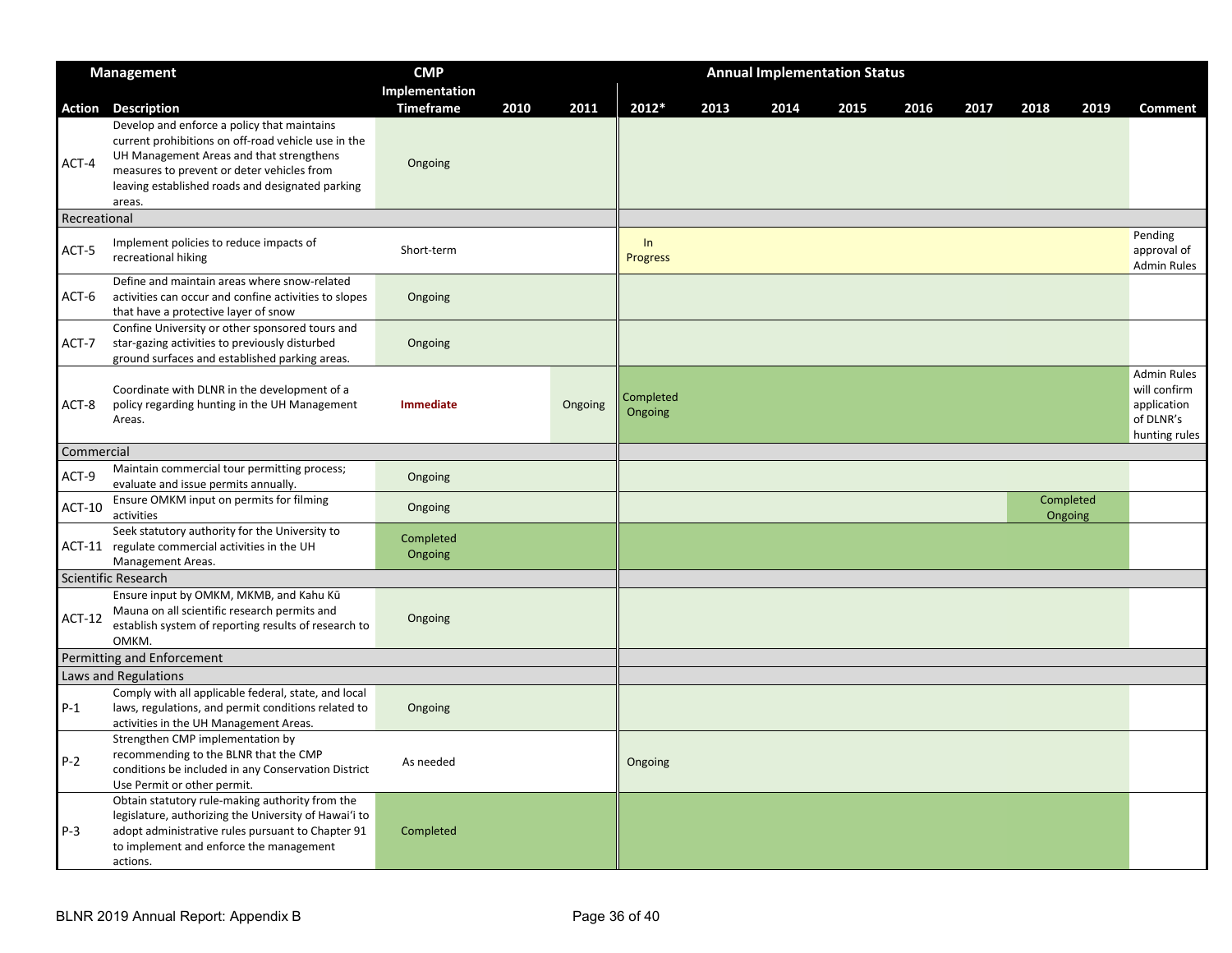|                 | <b>Management</b>                                                                                                                                                                                                                                                      | <b>CMP</b>                  |      |         |                       |      |      | <b>Annual Implementation Status</b> |      |      |      |                      |                                                                                 |
|-----------------|------------------------------------------------------------------------------------------------------------------------------------------------------------------------------------------------------------------------------------------------------------------------|-----------------------------|------|---------|-----------------------|------|------|-------------------------------------|------|------|------|----------------------|---------------------------------------------------------------------------------|
|                 |                                                                                                                                                                                                                                                                        | Implementation              |      |         |                       |      |      |                                     |      |      |      |                      |                                                                                 |
| Action<br>ACT-4 | <b>Description</b><br>Develop and enforce a policy that maintains<br>current prohibitions on off-road vehicle use in the<br>UH Management Areas and that strengthens<br>measures to prevent or deter vehicles from<br>leaving established roads and designated parking | <b>Timeframe</b><br>Ongoing | 2010 | 2011    | 2012*                 | 2013 | 2014 | 2015                                | 2016 | 2017 | 2018 | 2019                 | Comment                                                                         |
| Recreational    | areas.                                                                                                                                                                                                                                                                 |                             |      |         |                       |      |      |                                     |      |      |      |                      |                                                                                 |
| ACT-5           | Implement policies to reduce impacts of<br>recreational hiking                                                                                                                                                                                                         | Short-term                  |      |         | In<br><b>Progress</b> |      |      |                                     |      |      |      |                      | Pending<br>approval of<br><b>Admin Rules</b>                                    |
| ACT-6           | Define and maintain areas where snow-related<br>activities can occur and confine activities to slopes<br>that have a protective layer of snow                                                                                                                          | Ongoing                     |      |         |                       |      |      |                                     |      |      |      |                      |                                                                                 |
| ACT-7           | Confine University or other sponsored tours and<br>star-gazing activities to previously disturbed<br>ground surfaces and established parking areas.                                                                                                                    | Ongoing                     |      |         |                       |      |      |                                     |      |      |      |                      |                                                                                 |
| ACT-8           | Coordinate with DLNR in the development of a<br>policy regarding hunting in the UH Management<br>Areas.                                                                                                                                                                | <b>Immediate</b>            |      | Ongoing | Completed<br>Ongoing  |      |      |                                     |      |      |      |                      | <b>Admin Rules</b><br>will confirm<br>application<br>of DLNR's<br>hunting rules |
| Commercial      |                                                                                                                                                                                                                                                                        |                             |      |         |                       |      |      |                                     |      |      |      |                      |                                                                                 |
| ACT-9           | Maintain commercial tour permitting process;<br>evaluate and issue permits annually.                                                                                                                                                                                   | Ongoing                     |      |         |                       |      |      |                                     |      |      |      |                      |                                                                                 |
| <b>ACT-10</b>   | Ensure OMKM input on permits for filming<br>activities                                                                                                                                                                                                                 | Ongoing                     |      |         |                       |      |      |                                     |      |      |      | Completed<br>Ongoing |                                                                                 |
|                 | Seek statutory authority for the University to<br>ACT-11 regulate commercial activities in the UH<br>Management Areas.                                                                                                                                                 | Completed<br>Ongoing        |      |         |                       |      |      |                                     |      |      |      |                      |                                                                                 |
|                 | Scientific Research                                                                                                                                                                                                                                                    |                             |      |         |                       |      |      |                                     |      |      |      |                      |                                                                                 |
| $ACT-12$        | Ensure input by OMKM, MKMB, and Kahu Kū<br>Mauna on all scientific research permits and<br>establish system of reporting results of research to<br>OMKM.                                                                                                               | Ongoing                     |      |         |                       |      |      |                                     |      |      |      |                      |                                                                                 |
|                 | Permitting and Enforcement                                                                                                                                                                                                                                             |                             |      |         |                       |      |      |                                     |      |      |      |                      |                                                                                 |
|                 | Laws and Regulations                                                                                                                                                                                                                                                   |                             |      |         |                       |      |      |                                     |      |      |      |                      |                                                                                 |
| $P-1$           | Comply with all applicable federal, state, and local<br>laws, regulations, and permit conditions related to<br>activities in the UH Management Areas.                                                                                                                  | Ongoing                     |      |         |                       |      |      |                                     |      |      |      |                      |                                                                                 |
| $P-2$           | Strengthen CMP implementation by<br>recommending to the BLNR that the CMP<br>conditions be included in any Conservation District<br>Use Permit or other permit.                                                                                                        | As needed                   |      |         | Ongoing               |      |      |                                     |      |      |      |                      |                                                                                 |
| $P-3$           | Obtain statutory rule-making authority from the<br>legislature, authorizing the University of Hawai'i to<br>adopt administrative rules pursuant to Chapter 91<br>to implement and enforce the management<br>actions.                                                   | Completed                   |      |         |                       |      |      |                                     |      |      |      |                      |                                                                                 |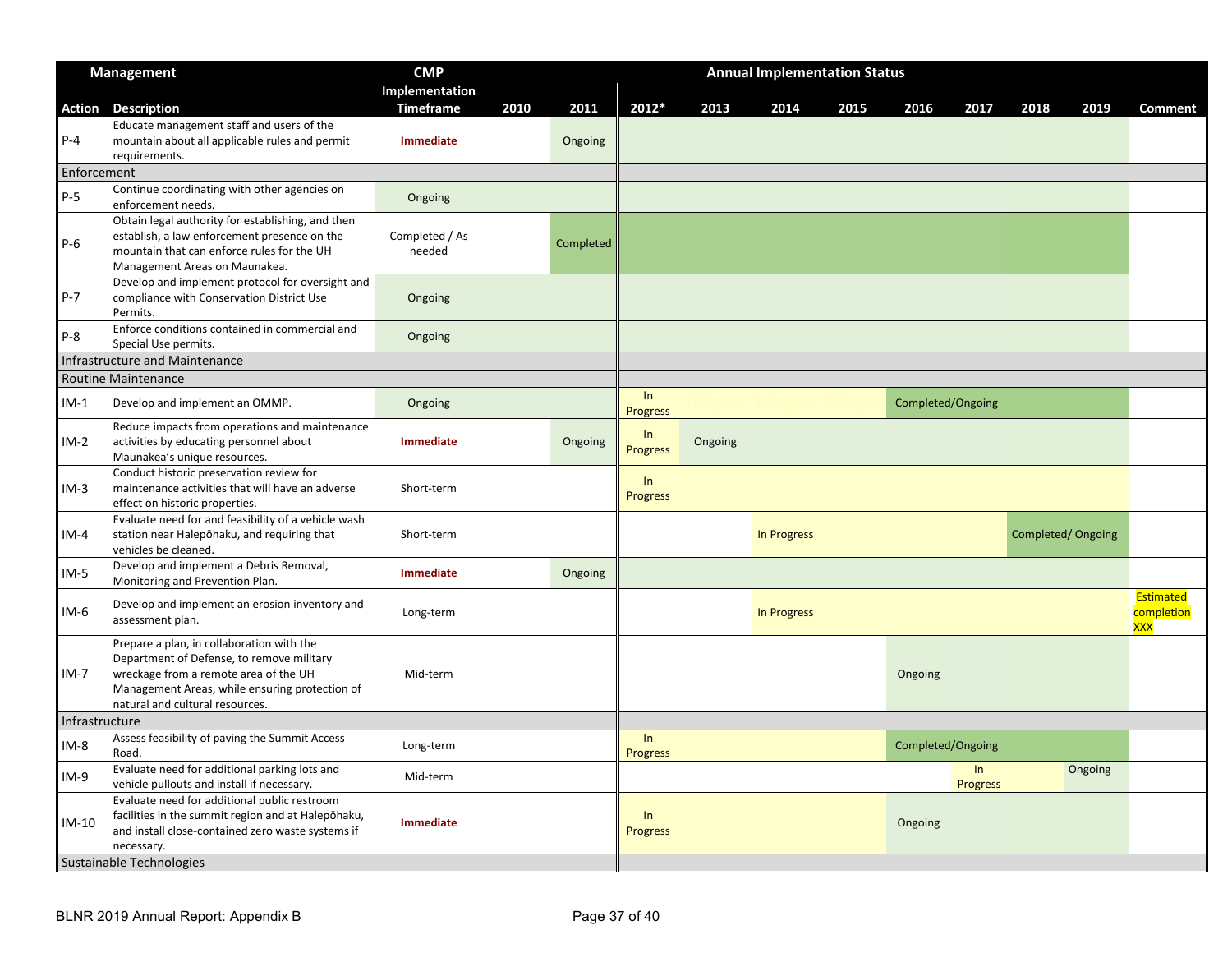|                | <b>Management</b>                                                                                                                                                                                                    | <b>CMP</b>               |      |           |                       |         | <b>Annual Implementation Status</b> |      |                   |                |      |                   |                                       |
|----------------|----------------------------------------------------------------------------------------------------------------------------------------------------------------------------------------------------------------------|--------------------------|------|-----------|-----------------------|---------|-------------------------------------|------|-------------------|----------------|------|-------------------|---------------------------------------|
|                |                                                                                                                                                                                                                      | Implementation           |      |           |                       |         |                                     |      |                   |                |      |                   |                                       |
|                | <b>Action Description</b>                                                                                                                                                                                            | <b>Timeframe</b>         | 2010 | 2011      | 2012*                 | 2013    | 2014                                | 2015 | 2016              | 2017           | 2018 | 2019              | <b>Comment</b>                        |
| $P-4$          | Educate management staff and users of the<br>mountain about all applicable rules and permit<br>requirements.                                                                                                         | Immediate                |      | Ongoing   |                       |         |                                     |      |                   |                |      |                   |                                       |
| Enforcement    |                                                                                                                                                                                                                      |                          |      |           |                       |         |                                     |      |                   |                |      |                   |                                       |
| $P-5$          | Continue coordinating with other agencies on<br>enforcement needs.                                                                                                                                                   | Ongoing                  |      |           |                       |         |                                     |      |                   |                |      |                   |                                       |
| $P-6$          | Obtain legal authority for establishing, and then<br>establish, a law enforcement presence on the<br>mountain that can enforce rules for the UH<br>Management Areas on Maunakea.                                     | Completed / As<br>needed |      | Completed |                       |         |                                     |      |                   |                |      |                   |                                       |
| $P - 7$        | Develop and implement protocol for oversight and<br>compliance with Conservation District Use<br>Permits.                                                                                                            | Ongoing                  |      |           |                       |         |                                     |      |                   |                |      |                   |                                       |
| $P-8$          | Enforce conditions contained in commercial and<br>Special Use permits.                                                                                                                                               | Ongoing                  |      |           |                       |         |                                     |      |                   |                |      |                   |                                       |
|                | Infrastructure and Maintenance                                                                                                                                                                                       |                          |      |           |                       |         |                                     |      |                   |                |      |                   |                                       |
|                | Routine Maintenance                                                                                                                                                                                                  |                          |      |           |                       |         |                                     |      |                   |                |      |                   |                                       |
| $IM-1$         | Develop and implement an OMMP.                                                                                                                                                                                       | Ongoing                  |      |           | In<br><b>Progress</b> |         |                                     |      | Completed/Ongoing |                |      |                   |                                       |
| IM-2           | Reduce impacts from operations and maintenance<br>activities by educating personnel about<br>Maunakea's unique resources.                                                                                            | Immediate                |      | Ongoing   | In<br><b>Progress</b> | Ongoing |                                     |      |                   |                |      |                   |                                       |
| $IM-3$         | Conduct historic preservation review for<br>maintenance activities that will have an adverse<br>effect on historic properties.                                                                                       | Short-term               |      |           | In<br><b>Progress</b> |         |                                     |      |                   |                |      |                   |                                       |
| $IM-4$         | Evaluate need for and feasibility of a vehicle wash<br>station near Halepōhaku, and requiring that<br>vehicles be cleaned.                                                                                           | Short-term               |      |           |                       |         | In Progress                         |      |                   |                |      | Completed/Ongoing |                                       |
| $IM-5$         | Develop and implement a Debris Removal,<br>Monitoring and Prevention Plan.                                                                                                                                           | <b>Immediate</b>         |      | Ongoing   |                       |         |                                     |      |                   |                |      |                   |                                       |
| IM-6           | Develop and implement an erosion inventory and<br>assessment plan.                                                                                                                                                   | Long-term                |      |           |                       |         | In Progress                         |      |                   |                |      |                   | Estimated<br>completion<br><b>XXX</b> |
| IM-7           | Prepare a plan, in collaboration with the<br>Department of Defense, to remove military<br>wreckage from a remote area of the UH<br>Management Areas, while ensuring protection of<br>natural and cultural resources. | Mid-term                 |      |           |                       |         |                                     |      | Ongoing           |                |      |                   |                                       |
| Infrastructure |                                                                                                                                                                                                                      |                          |      |           |                       |         |                                     |      |                   |                |      |                   |                                       |
| IM-8           | Assess feasibility of paving the Summit Access<br>Road.                                                                                                                                                              | Long-term                |      |           | In<br><b>Progress</b> |         |                                     |      | Completed/Ongoing |                |      |                   |                                       |
| $IM-9$         | Evaluate need for additional parking lots and<br>vehicle pullouts and install if necessary.                                                                                                                          | Mid-term                 |      |           |                       |         |                                     |      |                   | In<br>Progress |      | Ongoing           |                                       |
| IM-10          | Evaluate need for additional public restroom<br>facilities in the summit region and at Halepohaku,<br>and install close-contained zero waste systems if<br>necessary.                                                | Immediate                |      |           | ln<br><b>Progress</b> |         |                                     |      | Ongoing           |                |      |                   |                                       |
|                | Sustainable Technologies                                                                                                                                                                                             |                          |      |           |                       |         |                                     |      |                   |                |      |                   |                                       |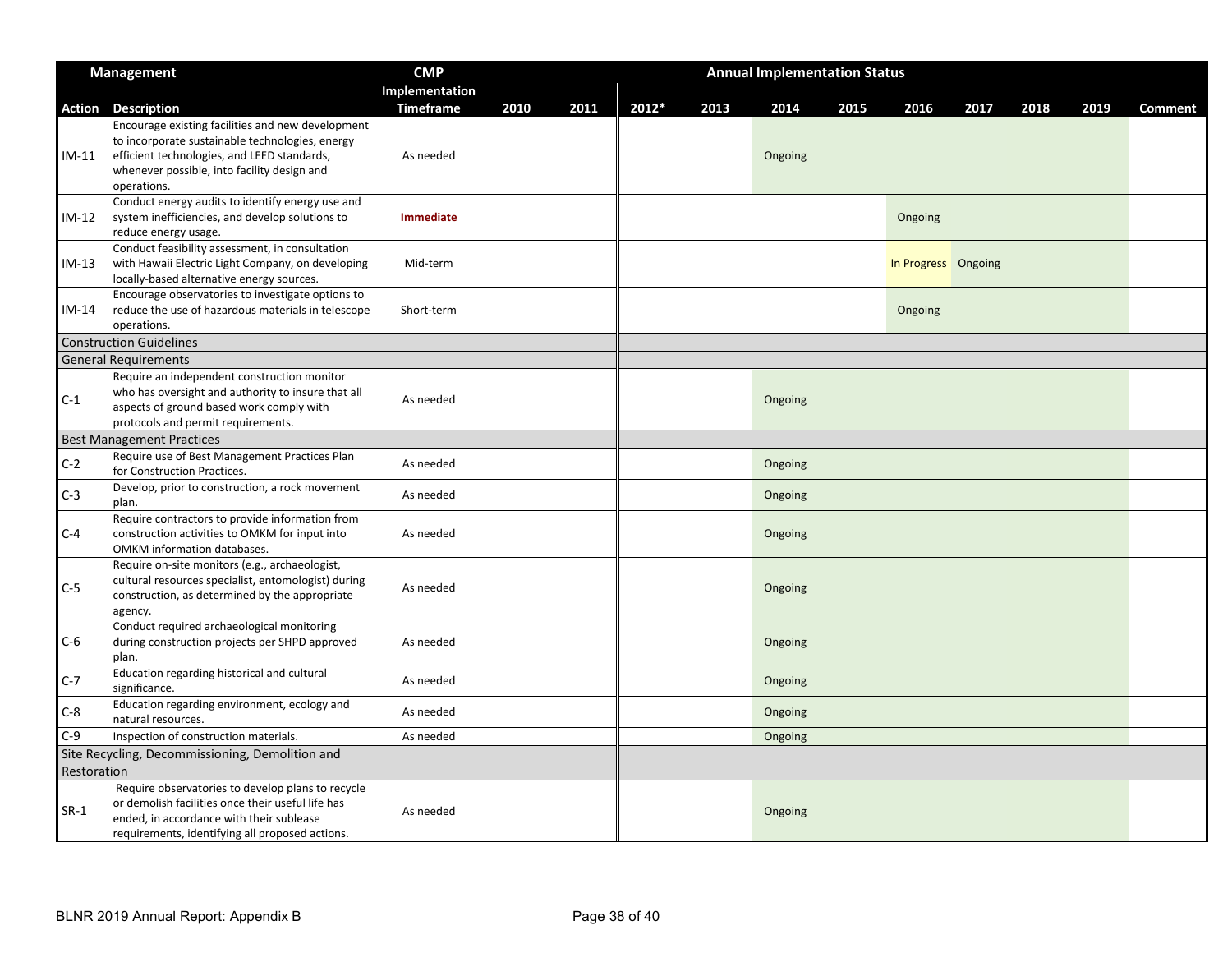|             | <b>Management</b>                                                                                                                                                                                                 | <b>CMP</b>       |      |      |       |      | <b>Annual Implementation Status</b> |      |                     |      |      |      |                |
|-------------|-------------------------------------------------------------------------------------------------------------------------------------------------------------------------------------------------------------------|------------------|------|------|-------|------|-------------------------------------|------|---------------------|------|------|------|----------------|
|             |                                                                                                                                                                                                                   | Implementation   |      |      |       |      |                                     |      |                     |      |      |      |                |
|             | <b>Action Description</b>                                                                                                                                                                                         | <b>Timeframe</b> | 2010 | 2011 | 2012* | 2013 | 2014                                | 2015 | 2016                | 2017 | 2018 | 2019 | <b>Comment</b> |
| IM-11       | Encourage existing facilities and new development<br>to incorporate sustainable technologies, energy<br>efficient technologies, and LEED standards,<br>whenever possible, into facility design and<br>operations. | As needed        |      |      |       |      | Ongoing                             |      |                     |      |      |      |                |
| IM-12       | Conduct energy audits to identify energy use and<br>system inefficiencies, and develop solutions to<br>reduce energy usage.                                                                                       | <b>Immediate</b> |      |      |       |      |                                     |      | Ongoing             |      |      |      |                |
| IM-13       | Conduct feasibility assessment, in consultation<br>with Hawaii Electric Light Company, on developing<br>locally-based alternative energy sources.                                                                 | Mid-term         |      |      |       |      |                                     |      | In Progress Ongoing |      |      |      |                |
| IM-14       | Encourage observatories to investigate options to<br>reduce the use of hazardous materials in telescope<br>operations.                                                                                            | Short-term       |      |      |       |      |                                     |      | Ongoing             |      |      |      |                |
|             | <b>Construction Guidelines</b>                                                                                                                                                                                    |                  |      |      |       |      |                                     |      |                     |      |      |      |                |
|             | <b>General Requirements</b>                                                                                                                                                                                       |                  |      |      |       |      |                                     |      |                     |      |      |      |                |
| $C-1$       | Require an independent construction monitor<br>who has oversight and authority to insure that all<br>aspects of ground based work comply with<br>protocols and permit requirements.                               | As needed        |      |      |       |      | Ongoing                             |      |                     |      |      |      |                |
|             | <b>Best Management Practices</b>                                                                                                                                                                                  |                  |      |      |       |      |                                     |      |                     |      |      |      |                |
| $C-2$       | Require use of Best Management Practices Plan<br>for Construction Practices.                                                                                                                                      | As needed        |      |      |       |      | Ongoing                             |      |                     |      |      |      |                |
| $C-3$       | Develop, prior to construction, a rock movement<br>plan.                                                                                                                                                          | As needed        |      |      |       |      | Ongoing                             |      |                     |      |      |      |                |
| $C-4$       | Require contractors to provide information from<br>construction activities to OMKM for input into<br>OMKM information databases.                                                                                  | As needed        |      |      |       |      | Ongoing                             |      |                     |      |      |      |                |
| $C-5$       | Require on-site monitors (e.g., archaeologist,<br>cultural resources specialist, entomologist) during<br>construction, as determined by the appropriate<br>agency.                                                | As needed        |      |      |       |      | Ongoing                             |      |                     |      |      |      |                |
| C-6         | Conduct required archaeological monitoring<br>during construction projects per SHPD approved<br>plan.                                                                                                             | As needed        |      |      |       |      | Ongoing                             |      |                     |      |      |      |                |
| $C-7$       | Education regarding historical and cultural<br>significance.                                                                                                                                                      | As needed        |      |      |       |      | Ongoing                             |      |                     |      |      |      |                |
| C-8         | Education regarding environment, ecology and<br>natural resources.                                                                                                                                                | As needed        |      |      |       |      | Ongoing                             |      |                     |      |      |      |                |
| $C-9$       | Inspection of construction materials.                                                                                                                                                                             | As needed        |      |      |       |      | Ongoing                             |      |                     |      |      |      |                |
| Restoration | Site Recycling, Decommissioning, Demolition and                                                                                                                                                                   |                  |      |      |       |      |                                     |      |                     |      |      |      |                |
| $SR-1$      | Require observatories to develop plans to recycle<br>or demolish facilities once their useful life has<br>ended, in accordance with their sublease<br>requirements, identifying all proposed actions.             | As needed        |      |      |       |      | Ongoing                             |      |                     |      |      |      |                |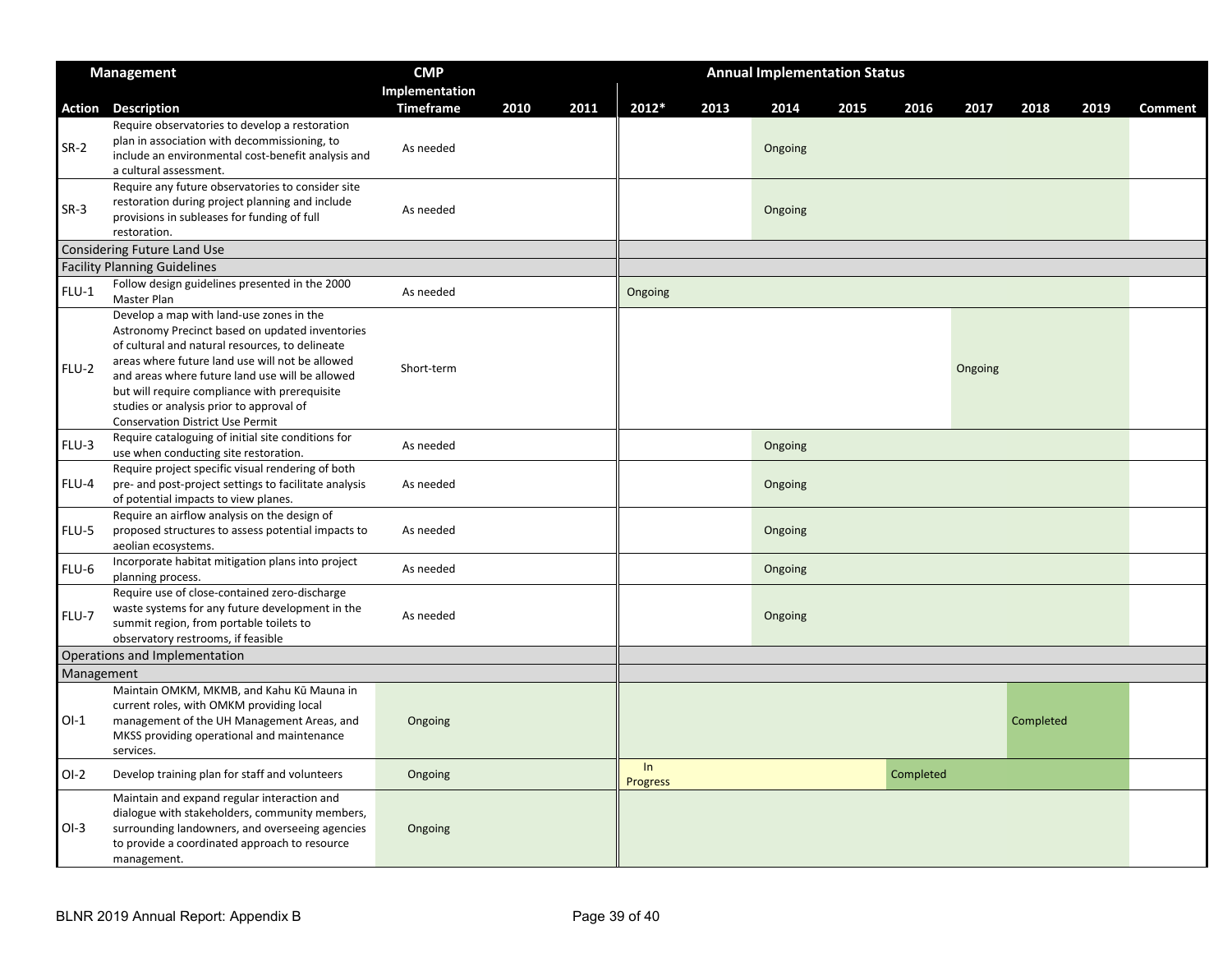|            | <b>Management</b>                                                                                                                                                                                                                                                                                                                                                                                                                                  | <b>CMP</b>       |      |      | <b>Annual Implementation Status</b> |      |         |      |           |         |           |      |                |
|------------|----------------------------------------------------------------------------------------------------------------------------------------------------------------------------------------------------------------------------------------------------------------------------------------------------------------------------------------------------------------------------------------------------------------------------------------------------|------------------|------|------|-------------------------------------|------|---------|------|-----------|---------|-----------|------|----------------|
|            |                                                                                                                                                                                                                                                                                                                                                                                                                                                    | Implementation   |      |      |                                     |      |         |      |           |         |           |      |                |
| Action     | <b>Description</b>                                                                                                                                                                                                                                                                                                                                                                                                                                 | <b>Timeframe</b> | 2010 | 2011 | 2012*                               | 2013 | 2014    | 2015 | 2016      | 2017    | 2018      | 2019 | <b>Comment</b> |
| $SR-2$     | Require observatories to develop a restoration<br>plan in association with decommissioning, to<br>include an environmental cost-benefit analysis and<br>a cultural assessment.                                                                                                                                                                                                                                                                     | As needed        |      |      |                                     |      | Ongoing |      |           |         |           |      |                |
| $SR-3$     | Require any future observatories to consider site<br>restoration during project planning and include<br>provisions in subleases for funding of full<br>restoration.                                                                                                                                                                                                                                                                                | As needed        |      |      |                                     |      | Ongoing |      |           |         |           |      |                |
|            | Considering Future Land Use                                                                                                                                                                                                                                                                                                                                                                                                                        |                  |      |      |                                     |      |         |      |           |         |           |      |                |
|            | <b>Facility Planning Guidelines</b>                                                                                                                                                                                                                                                                                                                                                                                                                |                  |      |      |                                     |      |         |      |           |         |           |      |                |
| $FLU-1$    | Follow design guidelines presented in the 2000<br>Master Plan                                                                                                                                                                                                                                                                                                                                                                                      | As needed        |      |      | Ongoing                             |      |         |      |           |         |           |      |                |
| FLU-2      | Develop a map with land-use zones in the<br>Astronomy Precinct based on updated inventories<br>of cultural and natural resources, to delineate<br>areas where future land use will not be allowed<br>and areas where future land use will be allowed<br>but will require compliance with prerequisite<br>studies or analysis prior to approval of<br><b>Conservation District Use Permit</b><br>Require cataloguing of initial site conditions for | Short-term       |      |      |                                     |      |         |      |           | Ongoing |           |      |                |
| FLU-3      | use when conducting site restoration.                                                                                                                                                                                                                                                                                                                                                                                                              | As needed        |      |      |                                     |      | Ongoing |      |           |         |           |      |                |
| FLU-4      | Require project specific visual rendering of both<br>pre- and post-project settings to facilitate analysis<br>of potential impacts to view planes.                                                                                                                                                                                                                                                                                                 | As needed        |      |      |                                     |      | Ongoing |      |           |         |           |      |                |
| FLU-5      | Require an airflow analysis on the design of<br>proposed structures to assess potential impacts to<br>aeolian ecosystems.                                                                                                                                                                                                                                                                                                                          | As needed        |      |      |                                     |      | Ongoing |      |           |         |           |      |                |
| FLU-6      | Incorporate habitat mitigation plans into project<br>planning process.                                                                                                                                                                                                                                                                                                                                                                             | As needed        |      |      |                                     |      | Ongoing |      |           |         |           |      |                |
| FLU-7      | Require use of close-contained zero-discharge<br>waste systems for any future development in the<br>summit region, from portable toilets to<br>observatory restrooms, if feasible                                                                                                                                                                                                                                                                  | As needed        |      |      |                                     |      | Ongoing |      |           |         |           |      |                |
|            | Operations and Implementation                                                                                                                                                                                                                                                                                                                                                                                                                      |                  |      |      |                                     |      |         |      |           |         |           |      |                |
| Management |                                                                                                                                                                                                                                                                                                                                                                                                                                                    |                  |      |      |                                     |      |         |      |           |         |           |      |                |
| $O-I$      | Maintain OMKM, MKMB, and Kahu Kū Mauna in<br>current roles, with OMKM providing local<br>management of the UH Management Areas, and<br>MKSS providing operational and maintenance<br>services.                                                                                                                                                                                                                                                     | Ongoing          |      |      |                                     |      |         |      |           |         | Completed |      |                |
| $O-I-2$    | Develop training plan for staff and volunteers                                                                                                                                                                                                                                                                                                                                                                                                     | Ongoing          |      |      | In<br>Progress                      |      |         |      | Completed |         |           |      |                |
| $OI-3$     | Maintain and expand regular interaction and<br>dialogue with stakeholders, community members,<br>surrounding landowners, and overseeing agencies<br>to provide a coordinated approach to resource<br>management.                                                                                                                                                                                                                                   | Ongoing          |      |      |                                     |      |         |      |           |         |           |      |                |